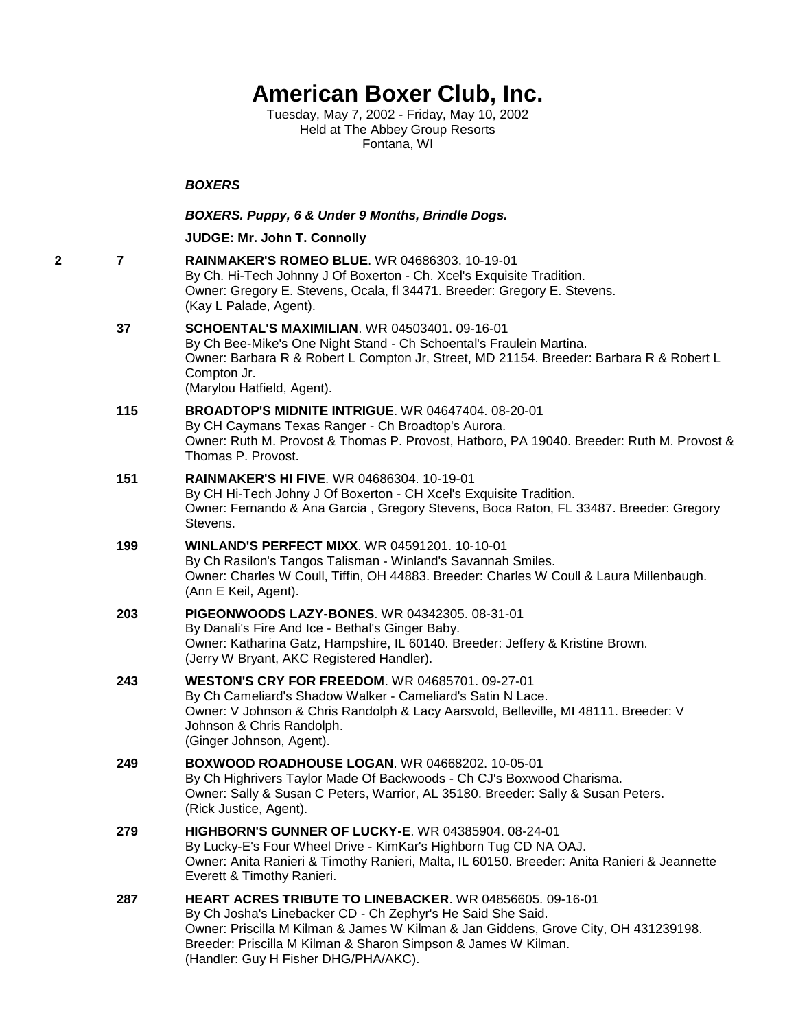# **American Boxer Club, Inc.**

Tuesday, May 7, 2002 - Friday, May 10, 2002 Held at The Abbey Group Resorts Fontana, WI

#### *BOXERS*

#### *BOXERS. Puppy, 6 & Under 9 Months, Brindle Dogs.*

#### **JUDGE: [Mr. John T. Connolly](http://infodog.com/show/judge/jdgprofile.htm?jn=401)**

**2 7 [RAINMAKER'S ROMEO BLUE](http://infodog.com/my/drlookup2.htm?makc=WR%2004686303&mdog=Rainmaker%27s+Romeo+Blue&wins=all)**. WR 04686303. 10-19-01 By Ch. Hi-Tech Johnny J Of Boxerton - Ch. Xcel's Exquisite Tradition. Owner: Gregory E. Stevens, Ocala, fl 34471. Breeder: Gregory E. Stevens. (Kay L Palade, Agent). **37 [SCHOENTAL'S MAXIMILIAN](http://infodog.com/my/drlookup2.htm?makc=WR%2004503401&mdog=Schoental%27s+Maximilian&wins=all)**. WR 04503401. 09-16-01 By Ch Bee-Mike's One Night Stand - Ch Schoental's Fraulein Martina. Owner: Barbara R & Robert L Compton Jr, Street, MD 21154. Breeder: Barbara R & Robert L Compton Jr. (Marylou Hatfield, Agent). **115 [BROADTOP'S MIDNITE INTRIGUE](http://infodog.com/my/drlookup2.htm?makc=WR%2004647404&mdog=Broadtop%27s+Midnite+Intrigue&wins=all)**. WR 04647404. 08-20-01 By CH Caymans Texas Ranger - Ch Broadtop's Aurora. Owner: Ruth M. Provost & Thomas P. Provost, Hatboro, PA 19040. Breeder: Ruth M. Provost & Thomas P. Provost. **151 [RAINMAKER'S HI FIVE](http://infodog.com/my/drlookup2.htm?makc=WR%2004686304&mdog=Rainmaker%27s+Hi+Five&wins=all)**. WR 04686304. 10-19-01 By CH Hi-Tech Johny J Of Boxerton - CH Xcel's Exquisite Tradition. Owner: Fernando & Ana Garcia , Gregory Stevens, Boca Raton, FL 33487. Breeder: Gregory Stevens. **199 [WINLAND'S PERFECT MIXX](http://infodog.com/my/drlookup2.htm?makc=WR%2004591201&mdog=Winland%27s+Perfect+Mixx&wins=all)**. WR 04591201. 10-10-01 By Ch Rasilon's Tangos Talisman - Winland's Savannah Smiles. Owner: Charles W Coull, Tiffin, OH 44883. Breeder: Charles W Coull & Laura Millenbaugh. (Ann E Keil, Agent). **203 [PIGEONWOODS LAZY-BONES](http://infodog.com/my/drlookup2.htm?makc=WR%2004342305&mdog=Pigeonwoods+Lazy-Bones&wins=all)**. WR 04342305. 08-31-01 By Danali's Fire And Ice - Bethal's Ginger Baby. Owner: Katharina Gatz, Hampshire, IL 60140. Breeder: Jeffery & Kristine Brown. (Jerry W Bryant, AKC Registered Handler). **243 [WESTON'S CRY FOR FREEDOM](http://infodog.com/my/drlookup2.htm?makc=WR%2004685701&mdog=Weston%27s+Cry+For+Freedom&wins=all)**. WR 04685701. 09-27-01 By Ch Cameliard's Shadow Walker - Cameliard's Satin N Lace. Owner: V Johnson & Chris Randolph & Lacy Aarsvold, Belleville, MI 48111. Breeder: V Johnson & Chris Randolph. (Ginger Johnson, Agent). **249 [BOXWOOD ROADHOUSE LOGAN](http://infodog.com/my/drlookup2.htm?makc=WR%2004668202&mdog=Boxwood+Roadhouse+Logan&wins=all)**. WR 04668202. 10-05-01 By Ch Highrivers Taylor Made Of Backwoods - Ch CJ's Boxwood Charisma. Owner: Sally & Susan C Peters, Warrior, AL 35180. Breeder: Sally & Susan Peters. (Rick Justice, Agent). **279 [HIGHBORN'S GUNNER OF LUCKY-E](http://infodog.com/my/drlookup2.htm?makc=WR%2004385904&mdog=Highborn%27s+Gunner+of+Lucky-E&wins=all)**. WR 04385904. 08-24-01 By Lucky-E's Four Wheel Drive - KimKar's Highborn Tug CD NA OAJ. Owner: Anita Ranieri & Timothy Ranieri, Malta, IL 60150. Breeder: Anita Ranieri & Jeannette Everett & Timothy Ranieri. **287 [HEART ACRES TRIBUTE TO LINEBACKER](http://infodog.com/my/drlookup2.htm?makc=WR%2004856605&mdog=Heart+Acres+Tribute+To+Linebacker&wins=all)**. WR 04856605. 09-16-01 By Ch Josha's Linebacker CD - Ch Zephyr's He Said She Said. Owner: Priscilla M Kilman & James W Kilman & Jan Giddens, Grove City, OH 431239198.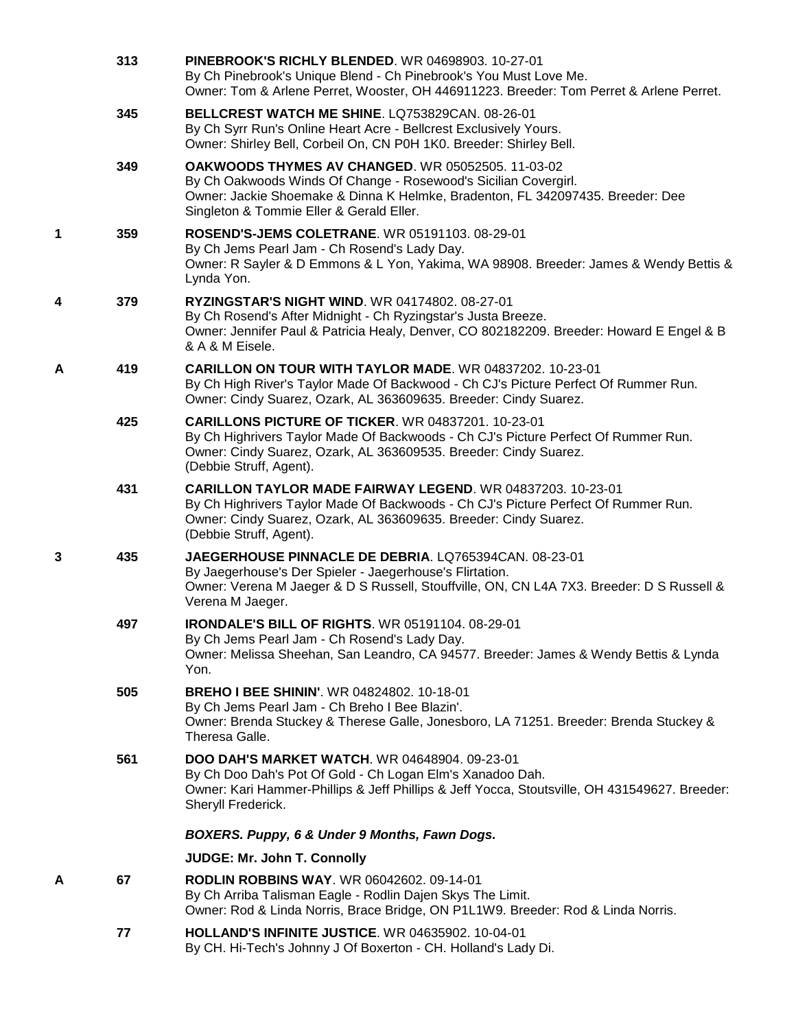|   | 313 | PINEBROOK'S RICHLY BLENDED. WR 04698903. 10-27-01<br>By Ch Pinebrook's Unique Blend - Ch Pinebrook's You Must Love Me.<br>Owner: Tom & Arlene Perret, Wooster, OH 446911223. Breeder: Tom Perret & Arlene Perret.                                      |
|---|-----|--------------------------------------------------------------------------------------------------------------------------------------------------------------------------------------------------------------------------------------------------------|
|   | 345 | BELLCREST WATCH ME SHINE. LQ753829CAN. 08-26-01<br>By Ch Syrr Run's Online Heart Acre - Bellcrest Exclusively Yours.<br>Owner: Shirley Bell, Corbeil On, CN P0H 1K0. Breeder: Shirley Bell.                                                            |
|   | 349 | OAKWOODS THYMES AV CHANGED. WR 05052505. 11-03-02<br>By Ch Oakwoods Winds Of Change - Rosewood's Sicilian Covergirl.<br>Owner: Jackie Shoemake & Dinna K Helmke, Bradenton, FL 342097435. Breeder: Dee<br>Singleton & Tommie Eller & Gerald Eller.     |
| 1 | 359 | ROSEND'S-JEMS COLETRANE, WR 05191103, 08-29-01<br>By Ch Jems Pearl Jam - Ch Rosend's Lady Day.<br>Owner: R Sayler & D Emmons & L Yon, Yakima, WA 98908. Breeder: James & Wendy Bettis &<br>Lynda Yon.                                                  |
| 4 | 379 | <b>RYZINGSTAR'S NIGHT WIND. WR 04174802. 08-27-01</b><br>By Ch Rosend's After Midnight - Ch Ryzingstar's Justa Breeze.<br>Owner: Jennifer Paul & Patricia Healy, Denver, CO 802182209. Breeder: Howard E Engel & B<br>& A & M Eisele.                  |
| Α | 419 | <b>CARILLON ON TOUR WITH TAYLOR MADE. WR 04837202. 10-23-01</b><br>By Ch High River's Taylor Made Of Backwood - Ch CJ's Picture Perfect Of Rummer Run.<br>Owner: Cindy Suarez, Ozark, AL 363609635. Breeder: Cindy Suarez.                             |
|   | 425 | <b>CARILLONS PICTURE OF TICKER. WR 04837201. 10-23-01</b><br>By Ch Highrivers Taylor Made Of Backwoods - Ch CJ's Picture Perfect Of Rummer Run.<br>Owner: Cindy Suarez, Ozark, AL 363609535. Breeder: Cindy Suarez.<br>(Debbie Struff, Agent).         |
|   | 431 | <b>CARILLON TAYLOR MADE FAIRWAY LEGEND.</b> WR 04837203. 10-23-01<br>By Ch Highrivers Taylor Made Of Backwoods - Ch CJ's Picture Perfect Of Rummer Run.<br>Owner: Cindy Suarez, Ozark, AL 363609635. Breeder: Cindy Suarez.<br>(Debbie Struff, Agent). |
| 3 | 435 | JAEGERHOUSE PINNACLE DE DEBRIA. LQ765394CAN. 08-23-01<br>By Jaegerhouse's Der Spieler - Jaegerhouse's Flirtation.<br>Owner: Verena M Jaeger & D S Russell, Stouffville, ON, CN L4A 7X3. Breeder: D S Russell &<br>Verena M Jaeger.                     |
|   | 497 | <b>IRONDALE'S BILL OF RIGHTS. WR 05191104. 08-29-01</b><br>By Ch Jems Pearl Jam - Ch Rosend's Lady Day.<br>Owner: Melissa Sheehan, San Leandro, CA 94577. Breeder: James & Wendy Bettis & Lynda<br>Yon.                                                |
|   | 505 | <b>BREHO I BEE SHININ'. WR 04824802. 10-18-01</b><br>By Ch Jems Pearl Jam - Ch Breho I Bee Blazin'.<br>Owner: Brenda Stuckey & Therese Galle, Jonesboro, LA 71251. Breeder: Brenda Stuckey &<br>Theresa Galle.                                         |
|   | 561 | <b>DOO DAH'S MARKET WATCH. WR 04648904. 09-23-01</b><br>By Ch Doo Dah's Pot Of Gold - Ch Logan Elm's Xanadoo Dah.<br>Owner: Kari Hammer-Phillips & Jeff Phillips & Jeff Yocca, Stoutsville, OH 431549627. Breeder:<br>Sheryll Frederick.               |
|   |     | BOXERS. Puppy, 6 & Under 9 Months, Fawn Dogs.                                                                                                                                                                                                          |
|   |     | <b>JUDGE: Mr. John T. Connolly</b>                                                                                                                                                                                                                     |
| А | 67  | <b>RODLIN ROBBINS WAY.</b> WR 06042602. 09-14-01<br>By Ch Arriba Talisman Eagle - Rodlin Dajen Skys The Limit.<br>Owner: Rod & Linda Norris, Brace Bridge, ON P1L1W9. Breeder: Rod & Linda Norris.                                                     |
|   | 77  | <b>HOLLAND'S INFINITE JUSTICE. WR 04635902. 10-04-01</b><br>By CH. Hi-Tech's Johnny J Of Boxerton - CH. Holland's Lady Di.                                                                                                                             |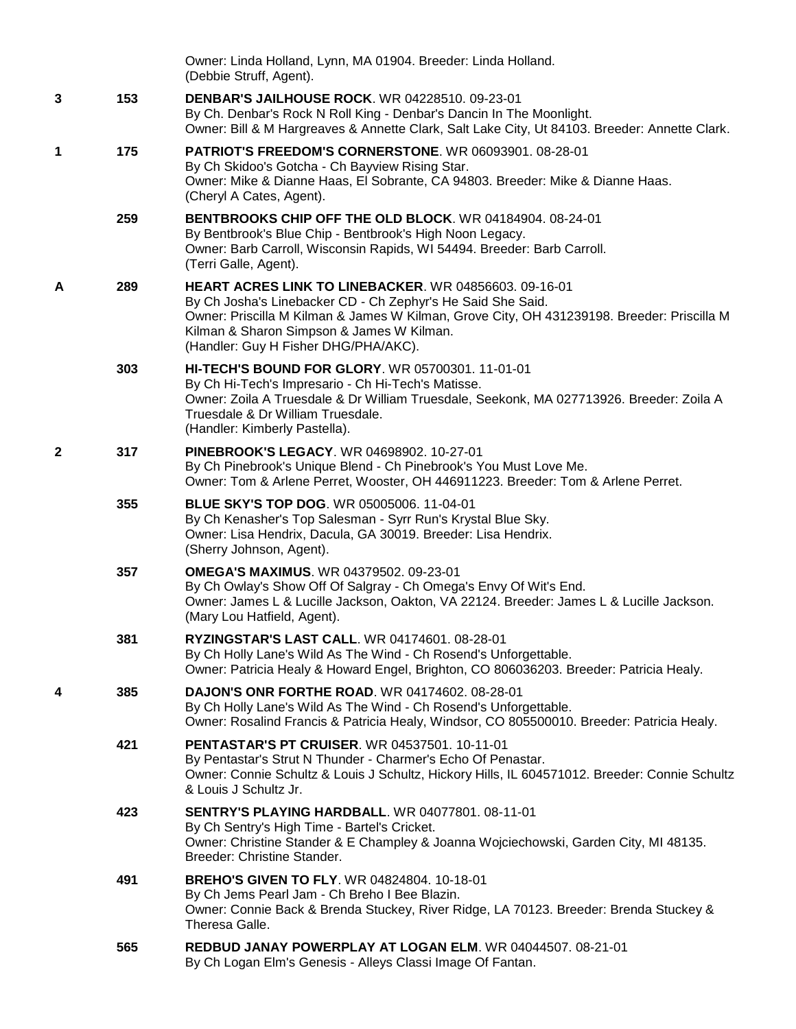|              |     | Owner: Linda Holland, Lynn, MA 01904. Breeder: Linda Holland.<br>(Debbie Struff, Agent).                                                                                                                                                                                                                       |
|--------------|-----|----------------------------------------------------------------------------------------------------------------------------------------------------------------------------------------------------------------------------------------------------------------------------------------------------------------|
| 3            | 153 | <b>DENBAR'S JAILHOUSE ROCK.</b> WR 04228510. 09-23-01<br>By Ch. Denbar's Rock N Roll King - Denbar's Dancin In The Moonlight.<br>Owner: Bill & M Hargreaves & Annette Clark, Salt Lake City, Ut 84103. Breeder: Annette Clark.                                                                                 |
| 1            | 175 | PATRIOT'S FREEDOM'S CORNERSTONE. WR 06093901. 08-28-01<br>By Ch Skidoo's Gotcha - Ch Bayview Rising Star.<br>Owner: Mike & Dianne Haas, El Sobrante, CA 94803. Breeder: Mike & Dianne Haas.<br>(Cheryl A Cates, Agent).                                                                                        |
|              | 259 | BENTBROOKS CHIP OFF THE OLD BLOCK. WR 04184904. 08-24-01<br>By Bentbrook's Blue Chip - Bentbrook's High Noon Legacy.<br>Owner: Barb Carroll, Wisconsin Rapids, WI 54494. Breeder: Barb Carroll.<br>(Terri Galle, Agent).                                                                                       |
| A            | 289 | <b>HEART ACRES LINK TO LINEBACKER. WR 04856603. 09-16-01</b><br>By Ch Josha's Linebacker CD - Ch Zephyr's He Said She Said.<br>Owner: Priscilla M Kilman & James W Kilman, Grove City, OH 431239198. Breeder: Priscilla M<br>Kilman & Sharon Simpson & James W Kilman.<br>(Handler: Guy H Fisher DHG/PHA/AKC). |
|              | 303 | HI-TECH'S BOUND FOR GLORY, WR 05700301, 11-01-01<br>By Ch Hi-Tech's Impresario - Ch Hi-Tech's Matisse.<br>Owner: Zoila A Truesdale & Dr William Truesdale, Seekonk, MA 027713926. Breeder: Zoila A<br>Truesdale & Dr William Truesdale.<br>(Handler: Kimberly Pastella).                                       |
| $\mathbf{2}$ | 317 | <b>PINEBROOK'S LEGACY. WR 04698902. 10-27-01</b><br>By Ch Pinebrook's Unique Blend - Ch Pinebrook's You Must Love Me.<br>Owner: Tom & Arlene Perret, Wooster, OH 446911223. Breeder: Tom & Arlene Perret.                                                                                                      |
|              | 355 | <b>BLUE SKY'S TOP DOG. WR 05005006. 11-04-01</b><br>By Ch Kenasher's Top Salesman - Syrr Run's Krystal Blue Sky.<br>Owner: Lisa Hendrix, Dacula, GA 30019. Breeder: Lisa Hendrix.<br>(Sherry Johnson, Agent).                                                                                                  |
|              | 357 | <b>OMEGA'S MAXIMUS. WR 04379502. 09-23-01</b><br>By Ch Owlay's Show Off Of Salgray - Ch Omega's Envy Of Wit's End.<br>Owner: James L & Lucille Jackson, Oakton, VA 22124. Breeder: James L & Lucille Jackson.<br>(Mary Lou Hatfield, Agent).                                                                   |
|              | 381 | <b>RYZINGSTAR'S LAST CALL. WR 04174601. 08-28-01</b><br>By Ch Holly Lane's Wild As The Wind - Ch Rosend's Unforgettable.<br>Owner: Patricia Healy & Howard Engel, Brighton, CO 806036203. Breeder: Patricia Healy.                                                                                             |
| 4            | 385 | <b>DAJON'S ONR FORTHE ROAD.</b> WR 04174602. 08-28-01<br>By Ch Holly Lane's Wild As The Wind - Ch Rosend's Unforgettable.<br>Owner: Rosalind Francis & Patricia Healy, Windsor, CO 805500010. Breeder: Patricia Healy.                                                                                         |
|              | 421 | <b>PENTASTAR'S PT CRUISER. WR 04537501. 10-11-01</b><br>By Pentastar's Strut N Thunder - Charmer's Echo Of Penastar.<br>Owner: Connie Schultz & Louis J Schultz, Hickory Hills, IL 604571012. Breeder: Connie Schultz<br>& Louis J Schultz Jr.                                                                 |
|              | 423 | <b>SENTRY'S PLAYING HARDBALL. WR 04077801. 08-11-01</b><br>By Ch Sentry's High Time - Bartel's Cricket.<br>Owner: Christine Stander & E Champley & Joanna Wojciechowski, Garden City, MI 48135.<br>Breeder: Christine Stander.                                                                                 |
|              | 491 | <b>BREHO'S GIVEN TO FLY. WR 04824804. 10-18-01</b><br>By Ch Jems Pearl Jam - Ch Breho I Bee Blazin.<br>Owner: Connie Back & Brenda Stuckey, River Ridge, LA 70123. Breeder: Brenda Stuckey &<br>Theresa Galle.                                                                                                 |
|              | 565 | REDBUD JANAY POWERPLAY AT LOGAN ELM. WR 04044507. 08-21-01<br>By Ch Logan Elm's Genesis - Alleys Classi Image Of Fantan.                                                                                                                                                                                       |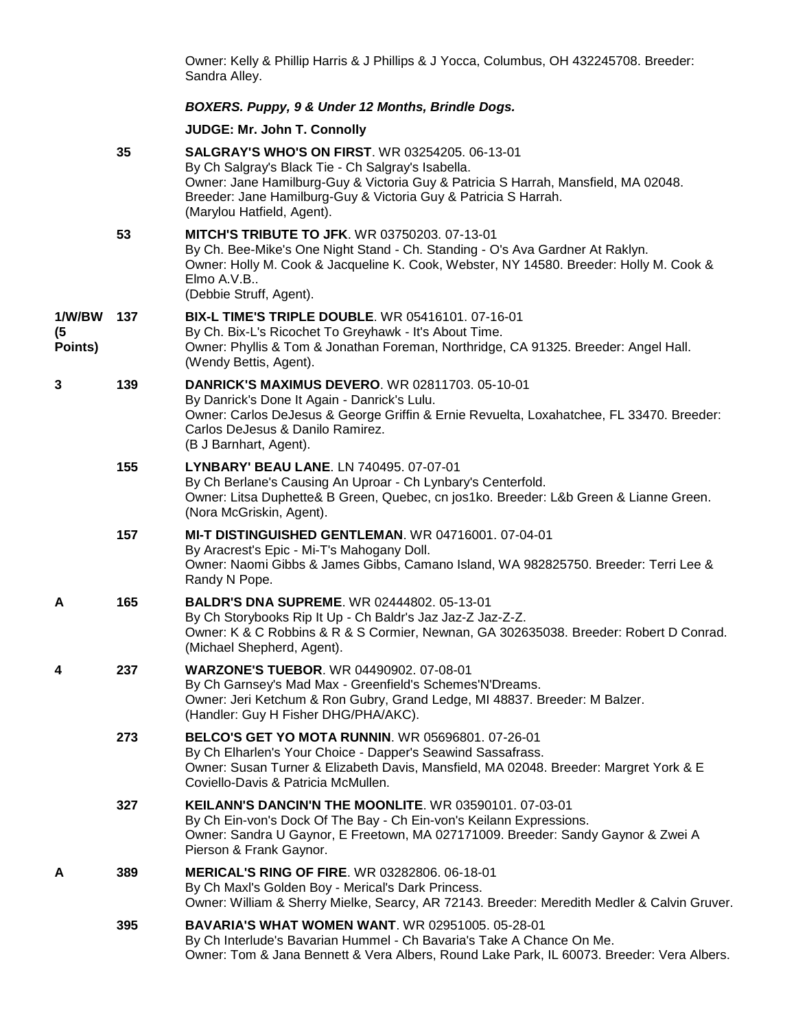Owner: Kelly & Phillip Harris & J Phillips & J Yocca, Columbus, OH 432245708. Breeder: Sandra Alley.

## *BOXERS. Puppy, 9 & Under 12 Months, Brindle Dogs.*

**JUDGE: [Mr. John T. Connolly](http://infodog.com/show/judge/jdgprofile.htm?jn=401)**

|                         | 35  | <b>SALGRAY'S WHO'S ON FIRST. WR 03254205, 06-13-01</b><br>By Ch Salgray's Black Tie - Ch Salgray's Isabella.<br>Owner: Jane Hamilburg-Guy & Victoria Guy & Patricia S Harrah, Mansfield, MA 02048.<br>Breeder: Jane Hamilburg-Guy & Victoria Guy & Patricia S Harrah.<br>(Marylou Hatfield, Agent). |
|-------------------------|-----|-----------------------------------------------------------------------------------------------------------------------------------------------------------------------------------------------------------------------------------------------------------------------------------------------------|
|                         | 53  | <b>MITCH'S TRIBUTE TO JFK. WR 03750203. 07-13-01</b><br>By Ch. Bee-Mike's One Night Stand - Ch. Standing - O's Ava Gardner At Raklyn.<br>Owner: Holly M. Cook & Jacqueline K. Cook, Webster, NY 14580. Breeder: Holly M. Cook &<br>Elmo A.V.B<br>(Debbie Struff, Agent).                            |
| 1/W/BW<br>(5<br>Points) | 137 | <b>BIX-L TIME'S TRIPLE DOUBLE. WR 05416101. 07-16-01</b><br>By Ch. Bix-L's Ricochet To Greyhawk - It's About Time.<br>Owner: Phyllis & Tom & Jonathan Foreman, Northridge, CA 91325. Breeder: Angel Hall.<br>(Wendy Bettis, Agent).                                                                 |
| 3                       | 139 | <b>DANRICK'S MAXIMUS DEVERO. WR 02811703. 05-10-01</b><br>By Danrick's Done It Again - Danrick's Lulu.<br>Owner: Carlos DeJesus & George Griffin & Ernie Revuelta, Loxahatchee, FL 33470. Breeder:<br>Carlos DeJesus & Danilo Ramirez.<br>(B J Barnhart, Agent).                                    |
|                         | 155 | LYNBARY' BEAU LANE. LN 740495. 07-07-01<br>By Ch Berlane's Causing An Uproar - Ch Lynbary's Centerfold.<br>Owner: Litsa Duphette& B Green, Quebec, cn jos1ko. Breeder: L&b Green & Lianne Green.<br>(Nora McGriskin, Agent).                                                                        |
|                         | 157 | MI-T DISTINGUISHED GENTLEMAN. WR 04716001. 07-04-01<br>By Aracrest's Epic - Mi-T's Mahogany Doll.<br>Owner: Naomi Gibbs & James Gibbs, Camano Island, WA 982825750. Breeder: Terri Lee &<br>Randy N Pope.                                                                                           |
| A                       | 165 | <b>BALDR'S DNA SUPREME. WR 02444802. 05-13-01</b><br>By Ch Storybooks Rip It Up - Ch Baldr's Jaz Jaz-Z Jaz-Z-Z.<br>Owner: K & C Robbins & R & S Cormier, Newnan, GA 302635038. Breeder: Robert D Conrad.<br>(Michael Shepherd, Agent).                                                              |
| 4                       | 237 | <b>WARZONE'S TUEBOR. WR 04490902. 07-08-01</b><br>By Ch Garnsey's Mad Max - Greenfield's Schemes'N'Dreams.<br>Owner: Jeri Ketchum & Ron Gubry, Grand Ledge, MI 48837. Breeder: M Balzer.<br>(Handler: Guy H Fisher DHG/PHA/AKC).                                                                    |
|                         | 273 | <b>BELCO'S GET YO MOTA RUNNIN.</b> WR 05696801. 07-26-01<br>By Ch Elharlen's Your Choice - Dapper's Seawind Sassafrass.<br>Owner: Susan Turner & Elizabeth Davis, Mansfield, MA 02048. Breeder: Margret York & E<br>Coviello-Davis & Patricia McMullen.                                             |
|                         | 327 | <b>KEILANN'S DANCIN'N THE MOONLITE. WR 03590101, 07-03-01</b><br>By Ch Ein-von's Dock Of The Bay - Ch Ein-von's Keilann Expressions.<br>Owner: Sandra U Gaynor, E Freetown, MA 027171009. Breeder: Sandy Gaynor & Zwei A<br>Pierson & Frank Gaynor.                                                 |
| A                       | 389 | <b>MERICAL'S RING OF FIRE. WR 03282806. 06-18-01</b><br>By Ch Maxl's Golden Boy - Merical's Dark Princess.<br>Owner: William & Sherry Mielke, Searcy, AR 72143. Breeder: Meredith Medler & Calvin Gruver.                                                                                           |
|                         | 395 | <b>BAVARIA'S WHAT WOMEN WANT. WR 02951005. 05-28-01</b><br>By Ch Interlude's Bavarian Hummel - Ch Bavaria's Take A Chance On Me.<br>Owner: Tom & Jana Bennett & Vera Albers, Round Lake Park, IL 60073. Breeder: Vera Albers.                                                                       |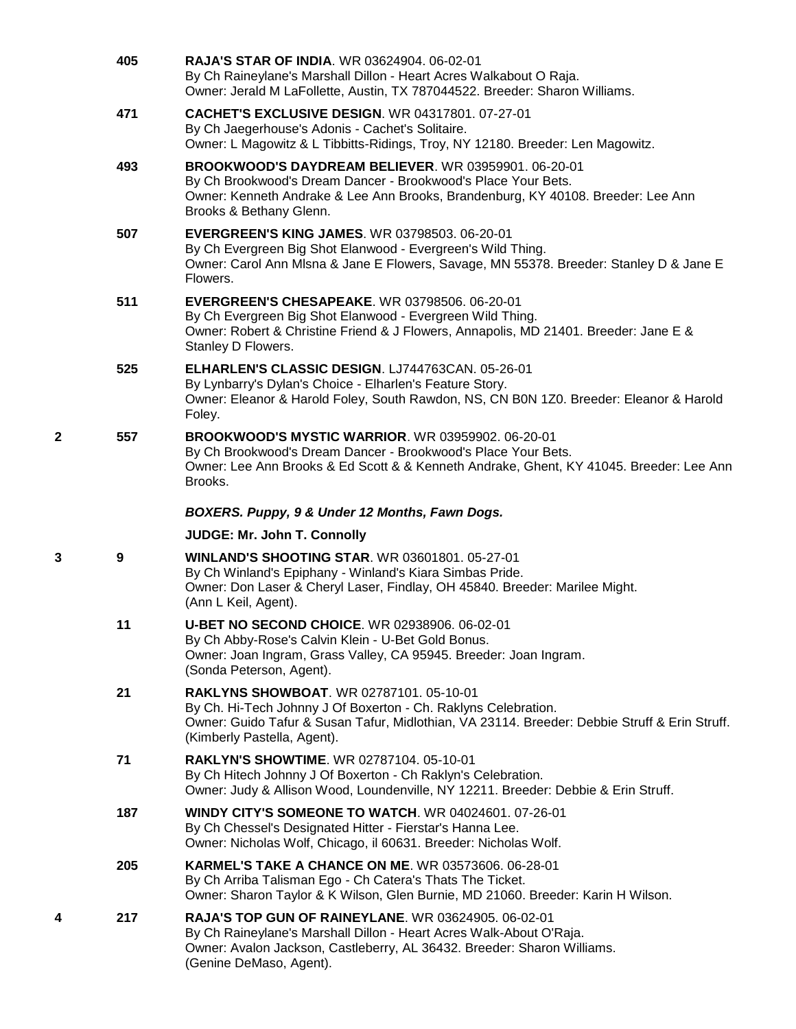|   | 405 | <b>RAJA'S STAR OF INDIA. WR 03624904. 06-02-01</b><br>By Ch Raineylane's Marshall Dillon - Heart Acres Walkabout O Raja.<br>Owner: Jerald M LaFollette, Austin, TX 787044522. Breeder: Sharon Williams.                                   |
|---|-----|-------------------------------------------------------------------------------------------------------------------------------------------------------------------------------------------------------------------------------------------|
|   | 471 | <b>CACHET'S EXCLUSIVE DESIGN. WR 04317801. 07-27-01</b><br>By Ch Jaegerhouse's Adonis - Cachet's Solitaire.<br>Owner: L Magowitz & L Tibbitts-Ridings, Troy, NY 12180. Breeder: Len Magowitz.                                             |
|   | 493 | BROOKWOOD'S DAYDREAM BELIEVER. WR 03959901. 06-20-01<br>By Ch Brookwood's Dream Dancer - Brookwood's Place Your Bets.<br>Owner: Kenneth Andrake & Lee Ann Brooks, Brandenburg, KY 40108. Breeder: Lee Ann<br>Brooks & Bethany Glenn.      |
|   | 507 | <b>EVERGREEN'S KING JAMES. WR 03798503. 06-20-01</b><br>By Ch Evergreen Big Shot Elanwood - Evergreen's Wild Thing.<br>Owner: Carol Ann Misna & Jane E Flowers, Savage, MN 55378. Breeder: Stanley D & Jane E<br>Flowers.                 |
|   | 511 | EVERGREEN'S CHESAPEAKE. WR 03798506. 06-20-01<br>By Ch Evergreen Big Shot Elanwood - Evergreen Wild Thing.<br>Owner: Robert & Christine Friend & J Flowers, Annapolis, MD 21401. Breeder: Jane E &<br>Stanley D Flowers.                  |
|   | 525 | ELHARLEN'S CLASSIC DESIGN. LJ744763CAN. 05-26-01<br>By Lynbarry's Dylan's Choice - Elharlen's Feature Story.<br>Owner: Eleanor & Harold Foley, South Rawdon, NS, CN BON 1Z0. Breeder: Eleanor & Harold<br>Foley.                          |
| 2 | 557 | <b>BROOKWOOD'S MYSTIC WARRIOR. WR 03959902. 06-20-01</b><br>By Ch Brookwood's Dream Dancer - Brookwood's Place Your Bets.<br>Owner: Lee Ann Brooks & Ed Scott & & Kenneth Andrake, Ghent, KY 41045. Breeder: Lee Ann<br>Brooks.           |
|   |     | BOXERS. Puppy, 9 & Under 12 Months, Fawn Dogs.                                                                                                                                                                                            |
|   |     | JUDGE: Mr. John T. Connolly                                                                                                                                                                                                               |
| 3 | 9   | <b>WINLAND'S SHOOTING STAR. WR 03601801. 05-27-01</b><br>By Ch Winland's Epiphany - Winland's Kiara Simbas Pride.<br>Owner: Don Laser & Cheryl Laser, Findlay, OH 45840. Breeder: Marilee Might.<br>(Ann L Keil, Agent).                  |
|   | 11  | <b>U-BET NO SECOND CHOICE.</b> WR 02938906. 06-02-01<br>By Ch Abby-Rose's Calvin Klein - U-Bet Gold Bonus.<br>Owner: Joan Ingram, Grass Valley, CA 95945. Breeder: Joan Ingram.<br>(Sonda Peterson, Agent).                               |
|   | 21  | RAKLYNS SHOWBOAT. WR 02787101. 05-10-01<br>By Ch. Hi-Tech Johnny J Of Boxerton - Ch. Raklyns Celebration.<br>Owner: Guido Tafur & Susan Tafur, Midlothian, VA 23114. Breeder: Debbie Struff & Erin Struff.<br>(Kimberly Pastella, Agent). |
|   | 71  | <b>RAKLYN'S SHOWTIME. WR 02787104. 05-10-01</b><br>By Ch Hitech Johnny J Of Boxerton - Ch Raklyn's Celebration.<br>Owner: Judy & Allison Wood, Loundenville, NY 12211. Breeder: Debbie & Erin Struff.                                     |
|   | 187 | <b>WINDY CITY'S SOMEONE TO WATCH.</b> WR 04024601, 07-26-01<br>By Ch Chessel's Designated Hitter - Fierstar's Hanna Lee.<br>Owner: Nicholas Wolf, Chicago, il 60631. Breeder: Nicholas Wolf.                                              |
|   | 205 | <b>KARMEL'S TAKE A CHANCE ON ME. WR 03573606. 06-28-01</b><br>By Ch Arriba Talisman Ego - Ch Catera's Thats The Ticket.<br>Owner: Sharon Taylor & K Wilson, Glen Burnie, MD 21060. Breeder: Karin H Wilson.                               |
| 4 | 217 | <b>RAJA'S TOP GUN OF RAINEYLANE. WR 03624905. 06-02-01</b><br>By Ch Raineylane's Marshall Dillon - Heart Acres Walk-About O'Raja.<br>Owner: Avalon Jackson, Castleberry, AL 36432. Breeder: Sharon Williams.<br>(Genine DeMaso, Agent).   |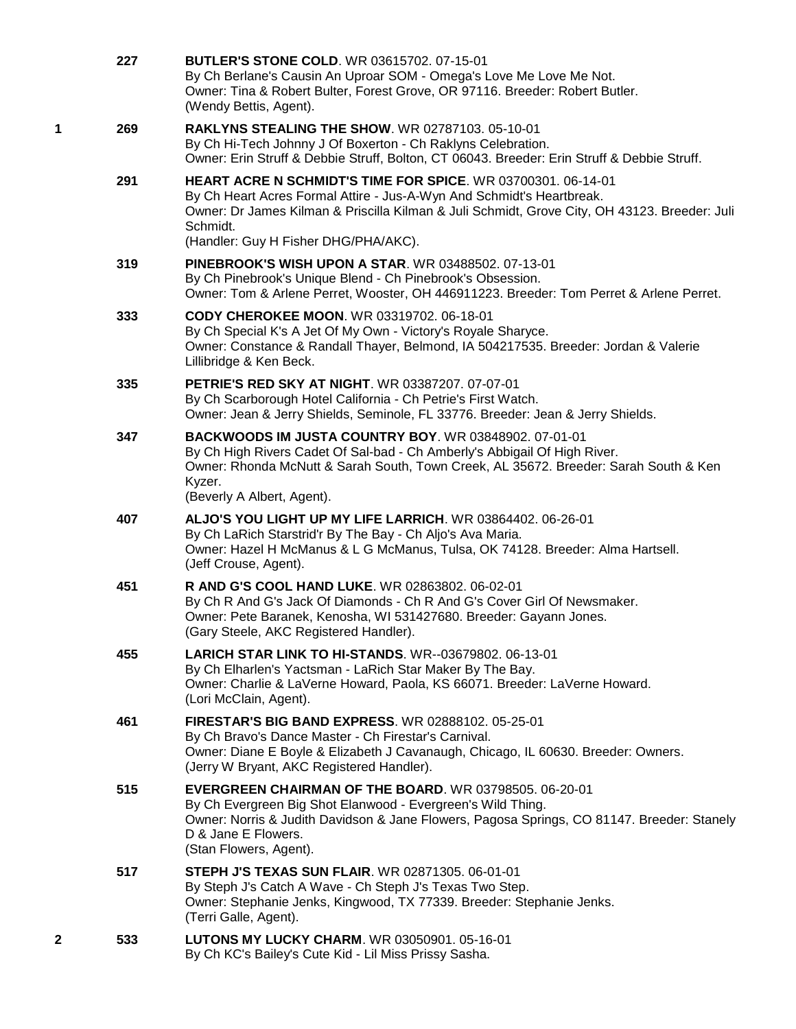|   | 227 | <b>BUTLER'S STONE COLD. WR 03615702. 07-15-01</b><br>By Ch Berlane's Causin An Uproar SOM - Omega's Love Me Love Me Not.<br>Owner: Tina & Robert Bulter, Forest Grove, OR 97116. Breeder: Robert Butler.<br>(Wendy Bettis, Agent).                                                         |
|---|-----|--------------------------------------------------------------------------------------------------------------------------------------------------------------------------------------------------------------------------------------------------------------------------------------------|
| 1 | 269 | RAKLYNS STEALING THE SHOW. WR 02787103. 05-10-01<br>By Ch Hi-Tech Johnny J Of Boxerton - Ch Raklyns Celebration.<br>Owner: Erin Struff & Debbie Struff, Bolton, CT 06043. Breeder: Erin Struff & Debbie Struff.                                                                            |
|   | 291 | HEART ACRE N SCHMIDT'S TIME FOR SPICE. WR 03700301. 06-14-01<br>By Ch Heart Acres Formal Attire - Jus-A-Wyn And Schmidt's Heartbreak.<br>Owner: Dr James Kilman & Priscilla Kilman & Juli Schmidt, Grove City, OH 43123. Breeder: Juli<br>Schmidt.<br>(Handler: Guy H Fisher DHG/PHA/AKC). |
|   | 319 | <b>PINEBROOK'S WISH UPON A STAR. WR 03488502. 07-13-01</b><br>By Ch Pinebrook's Unique Blend - Ch Pinebrook's Obsession.<br>Owner: Tom & Arlene Perret, Wooster, OH 446911223. Breeder: Tom Perret & Arlene Perret.                                                                        |
|   | 333 | CODY CHEROKEE MOON, WR 03319702, 06-18-01<br>By Ch Special K's A Jet Of My Own - Victory's Royale Sharyce.<br>Owner: Constance & Randall Thayer, Belmond, IA 504217535. Breeder: Jordan & Valerie<br>Lillibridge & Ken Beck.                                                               |
|   | 335 | PETRIE'S RED SKY AT NIGHT. WR 03387207. 07-07-01<br>By Ch Scarborough Hotel California - Ch Petrie's First Watch.<br>Owner: Jean & Jerry Shields, Seminole, FL 33776. Breeder: Jean & Jerry Shields.                                                                                       |
|   | 347 | BACKWOODS IM JUSTA COUNTRY BOY. WR 03848902. 07-01-01<br>By Ch High Rivers Cadet Of Sal-bad - Ch Amberly's Abbigail Of High River.<br>Owner: Rhonda McNutt & Sarah South, Town Creek, AL 35672. Breeder: Sarah South & Ken<br>Kyzer.<br>(Beverly A Albert, Agent).                         |
|   | 407 | ALJO'S YOU LIGHT UP MY LIFE LARRICH. WR 03864402. 06-26-01<br>By Ch LaRich Starstrid'r By The Bay - Ch Aljo's Ava Maria.<br>Owner: Hazel H McManus & L G McManus, Tulsa, OK 74128. Breeder: Alma Hartsell.<br>(Jeff Crouse, Agent).                                                        |
|   | 451 | R AND G'S COOL HAND LUKE. WR 02863802. 06-02-01<br>By Ch R And G's Jack Of Diamonds - Ch R And G's Cover Girl Of Newsmaker.<br>Owner: Pete Baranek, Kenosha, WI 531427680. Breeder: Gayann Jones.<br>(Gary Steele, AKC Registered Handler).                                                |
|   | 455 | <b>LARICH STAR LINK TO HI-STANDS. WR--03679802. 06-13-01</b><br>By Ch Elharlen's Yactsman - LaRich Star Maker By The Bay.<br>Owner: Charlie & LaVerne Howard, Paola, KS 66071. Breeder: LaVerne Howard.<br>(Lori McClain, Agent).                                                          |
|   | 461 | <b>FIRESTAR'S BIG BAND EXPRESS. WR 02888102. 05-25-01</b><br>By Ch Bravo's Dance Master - Ch Firestar's Carnival.<br>Owner: Diane E Boyle & Elizabeth J Cavanaugh, Chicago, IL 60630. Breeder: Owners.<br>(Jerry W Bryant, AKC Registered Handler).                                        |
|   | 515 | EVERGREEN CHAIRMAN OF THE BOARD. WR 03798505. 06-20-01<br>By Ch Evergreen Big Shot Elanwood - Evergreen's Wild Thing.<br>Owner: Norris & Judith Davidson & Jane Flowers, Pagosa Springs, CO 81147. Breeder: Stanely<br>D & Jane E Flowers.<br>(Stan Flowers, Agent).                       |
|   | 517 | <b>STEPH J'S TEXAS SUN FLAIR. WR 02871305. 06-01-01</b><br>By Steph J's Catch A Wave - Ch Steph J's Texas Two Step.<br>Owner: Stephanie Jenks, Kingwood, TX 77339. Breeder: Stephanie Jenks.<br>(Terri Galle, Agent).                                                                      |
| 2 | 533 | LUTONS MY LUCKY CHARM. WR 03050901. 05-16-01<br>By Ch KC's Bailey's Cute Kid - Lil Miss Prissy Sasha.                                                                                                                                                                                      |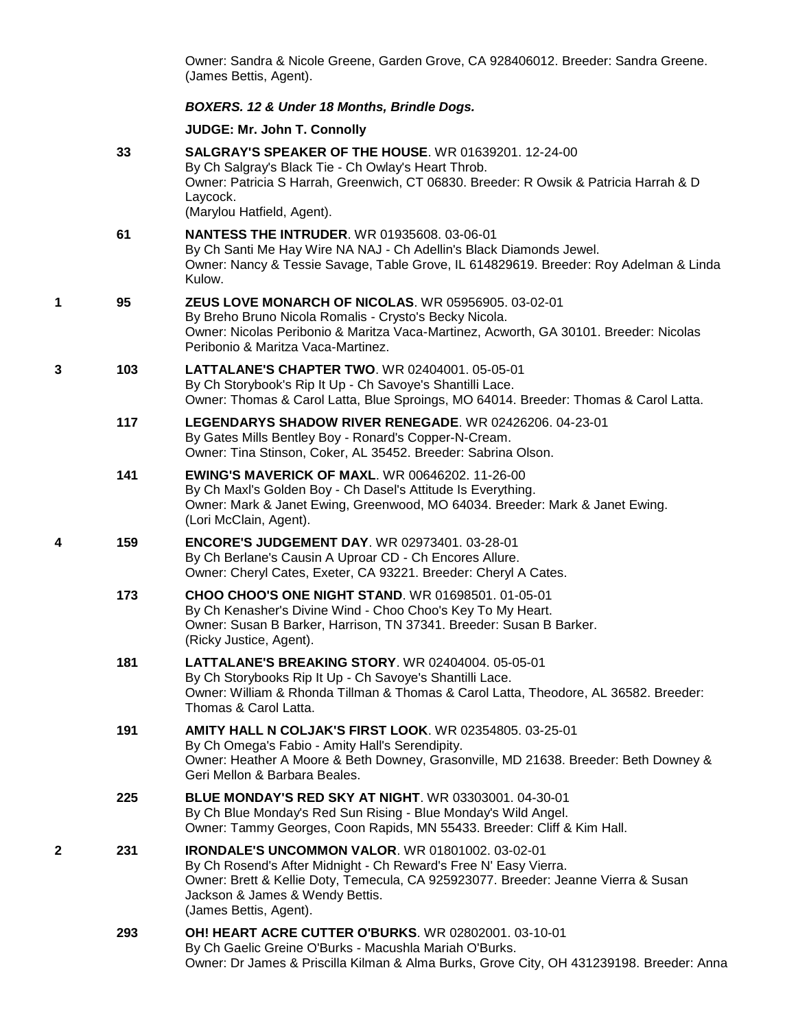Owner: Sandra & Nicole Greene, Garden Grove, CA 928406012. Breeder: Sandra Greene. (James Bettis, Agent).

## *BOXERS. 12 & Under 18 Months, Brindle Dogs.*

**JUDGE: [Mr. John T. Connolly](http://infodog.com/show/judge/jdgprofile.htm?jn=401)**

|   | 33  | <b>SALGRAY'S SPEAKER OF THE HOUSE. WR 01639201. 12-24-00</b><br>By Ch Salgray's Black Tie - Ch Owlay's Heart Throb.<br>Owner: Patricia S Harrah, Greenwich, CT 06830. Breeder: R Owsik & Patricia Harrah & D<br>Laycock.<br>(Marylou Hatfield, Agent).                         |
|---|-----|--------------------------------------------------------------------------------------------------------------------------------------------------------------------------------------------------------------------------------------------------------------------------------|
|   | 61  | <b>NANTESS THE INTRUDER.</b> WR 01935608. 03-06-01<br>By Ch Santi Me Hay Wire NA NAJ - Ch Adellin's Black Diamonds Jewel.<br>Owner: Nancy & Tessie Savage, Table Grove, IL 614829619. Breeder: Roy Adelman & Linda<br>Kulow.                                                   |
| 1 | 95  | <b>ZEUS LOVE MONARCH OF NICOLAS. WR 05956905. 03-02-01</b><br>By Breho Bruno Nicola Romalis - Crysto's Becky Nicola.<br>Owner: Nicolas Peribonio & Maritza Vaca-Martinez, Acworth, GA 30101. Breeder: Nicolas<br>Peribonio & Maritza Vaca-Martinez.                            |
| 3 | 103 | <b>LATTALANE'S CHAPTER TWO. WR 02404001. 05-05-01</b><br>By Ch Storybook's Rip It Up - Ch Savoye's Shantilli Lace.<br>Owner: Thomas & Carol Latta, Blue Sproings, MO 64014. Breeder: Thomas & Carol Latta.                                                                     |
|   | 117 | LEGENDARYS SHADOW RIVER RENEGADE. WR 02426206. 04-23-01<br>By Gates Mills Bentley Boy - Ronard's Copper-N-Cream.<br>Owner: Tina Stinson, Coker, AL 35452. Breeder: Sabrina Olson.                                                                                              |
|   | 141 | <b>EWING'S MAVERICK OF MAXL. WR 00646202. 11-26-00</b><br>By Ch Maxl's Golden Boy - Ch Dasel's Attitude Is Everything.<br>Owner: Mark & Janet Ewing, Greenwood, MO 64034. Breeder: Mark & Janet Ewing.<br>(Lori McClain, Agent).                                               |
| 4 | 159 | <b>ENCORE'S JUDGEMENT DAY. WR 02973401. 03-28-01</b><br>By Ch Berlane's Causin A Uproar CD - Ch Encores Allure.<br>Owner: Cheryl Cates, Exeter, CA 93221. Breeder: Cheryl A Cates.                                                                                             |
|   | 173 | CHOO CHOO'S ONE NIGHT STAND. WR 01698501. 01-05-01<br>By Ch Kenasher's Divine Wind - Choo Choo's Key To My Heart.<br>Owner: Susan B Barker, Harrison, TN 37341. Breeder: Susan B Barker.<br>(Ricky Justice, Agent).                                                            |
|   | 181 | LATTALANE'S BREAKING STORY, WR 02404004, 05-05-01<br>By Ch Storybooks Rip It Up - Ch Savoye's Shantilli Lace.<br>Owner: William & Rhonda Tillman & Thomas & Carol Latta, Theodore, AL 36582. Breeder:<br>Thomas & Carol Latta.                                                 |
|   | 191 | <b>AMITY HALL N COLJAK'S FIRST LOOK. WR 02354805. 03-25-01</b><br>By Ch Omega's Fabio - Amity Hall's Serendipity.<br>Owner: Heather A Moore & Beth Downey, Grasonville, MD 21638. Breeder: Beth Downey &<br>Geri Mellon & Barbara Beales.                                      |
|   | 225 | <b>BLUE MONDAY'S RED SKY AT NIGHT. WR 03303001. 04-30-01</b><br>By Ch Blue Monday's Red Sun Rising - Blue Monday's Wild Angel.<br>Owner: Tammy Georges, Coon Rapids, MN 55433. Breeder: Cliff & Kim Hall.                                                                      |
| 2 | 231 | <b>IRONDALE'S UNCOMMON VALOR. WR 01801002. 03-02-01</b><br>By Ch Rosend's After Midnight - Ch Reward's Free N' Easy Vierra.<br>Owner: Brett & Kellie Doty, Temecula, CA 925923077. Breeder: Jeanne Vierra & Susan<br>Jackson & James & Wendy Bettis.<br>(James Bettis, Agent). |
|   | 293 | OH! HEART ACRE CUTTER O'BURKS. WR 02802001. 03-10-01<br>By Ch Gaelic Greine O'Burks - Macushla Mariah O'Burks.<br>Owner: Dr James & Priscilla Kilman & Alma Burks, Grove City, OH 431239198. Breeder: Anna                                                                     |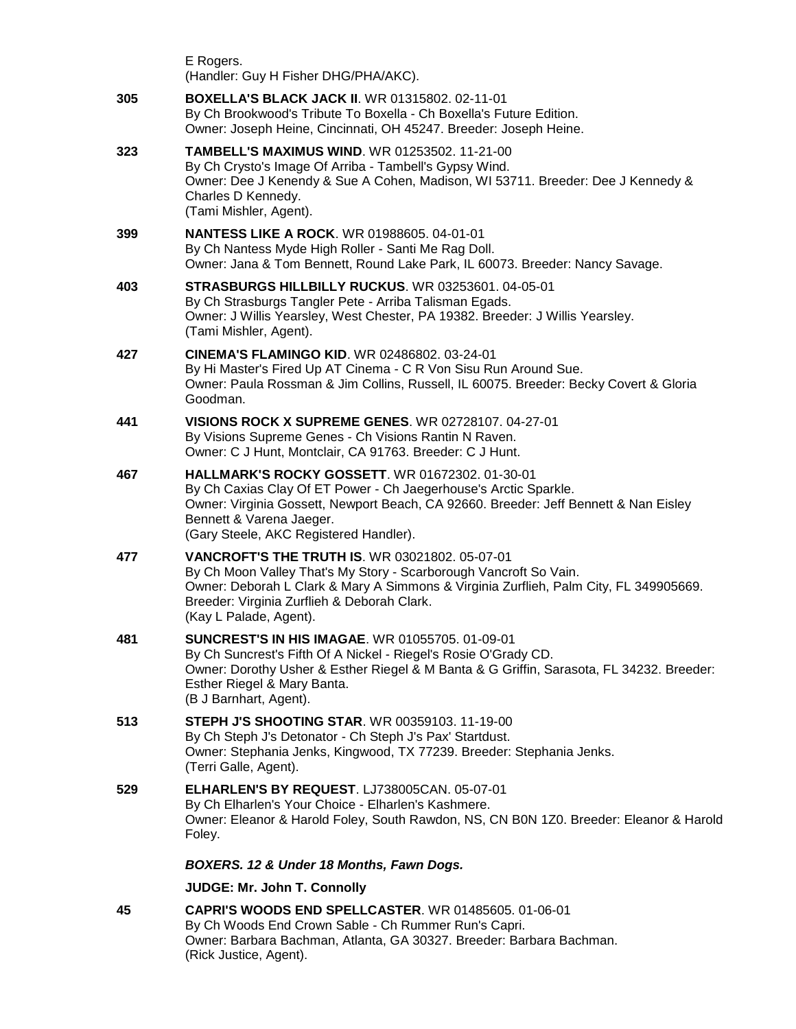|     | E Rogers.<br>(Handler: Guy H Fisher DHG/PHA/AKC).                                                                                                                                                                                                                                            |
|-----|----------------------------------------------------------------------------------------------------------------------------------------------------------------------------------------------------------------------------------------------------------------------------------------------|
| 305 | <b>BOXELLA'S BLACK JACK II. WR 01315802. 02-11-01</b><br>By Ch Brookwood's Tribute To Boxella - Ch Boxella's Future Edition.<br>Owner: Joseph Heine, Cincinnati, OH 45247. Breeder: Joseph Heine.                                                                                            |
| 323 | <b>TAMBELL'S MAXIMUS WIND. WR 01253502. 11-21-00</b><br>By Ch Crysto's Image Of Arriba - Tambell's Gypsy Wind.<br>Owner: Dee J Kenendy & Sue A Cohen, Madison, WI 53711. Breeder: Dee J Kennedy &<br>Charles D Kennedy.<br>(Tami Mishler, Agent).                                            |
| 399 | <b>NANTESS LIKE A ROCK. WR 01988605. 04-01-01</b><br>By Ch Nantess Myde High Roller - Santi Me Rag Doll.<br>Owner: Jana & Tom Bennett, Round Lake Park, IL 60073. Breeder: Nancy Savage.                                                                                                     |
| 403 | STRASBURGS HILLBILLY RUCKUS. WR 03253601. 04-05-01<br>By Ch Strasburgs Tangler Pete - Arriba Talisman Egads.<br>Owner: J Willis Yearsley, West Chester, PA 19382. Breeder: J Willis Yearsley.<br>(Tami Mishler, Agent).                                                                      |
| 427 | <b>CINEMA'S FLAMINGO KID. WR 02486802. 03-24-01</b><br>By Hi Master's Fired Up AT Cinema - C R Von Sisu Run Around Sue.<br>Owner: Paula Rossman & Jim Collins, Russell, IL 60075. Breeder: Becky Covert & Gloria<br>Goodman.                                                                 |
| 441 | <b>VISIONS ROCK X SUPREME GENES. WR 02728107, 04-27-01</b><br>By Visions Supreme Genes - Ch Visions Rantin N Raven.<br>Owner: C J Hunt, Montclair, CA 91763. Breeder: C J Hunt.                                                                                                              |
| 467 | <b>HALLMARK'S ROCKY GOSSETT. WR 01672302. 01-30-01</b><br>By Ch Caxias Clay Of ET Power - Ch Jaegerhouse's Arctic Sparkle.<br>Owner: Virginia Gossett, Newport Beach, CA 92660. Breeder: Jeff Bennett & Nan Eisley<br>Bennett & Varena Jaeger.<br>(Gary Steele, AKC Registered Handler).     |
| 477 | <b>VANCROFT'S THE TRUTH IS. WR 03021802. 05-07-01</b><br>By Ch Moon Valley That's My Story - Scarborough Vancroft So Vain.<br>Owner: Deborah L Clark & Mary A Simmons & Virginia Zurflieh, Palm City, FL 349905669.<br>Breeder: Virginia Zurflieh & Deborah Clark.<br>(Kay L Palade, Agent). |
| 481 | <b>SUNCREST'S IN HIS IMAGAE. WR 01055705. 01-09-01</b><br>By Ch Suncrest's Fifth Of A Nickel - Riegel's Rosie O'Grady CD.<br>Owner: Dorothy Usher & Esther Riegel & M Banta & G Griffin, Sarasota, FL 34232. Breeder:<br>Esther Riegel & Mary Banta.<br>(B J Barnhart, Agent).               |
| 513 | <b>STEPH J'S SHOOTING STAR. WR 00359103. 11-19-00</b><br>By Ch Steph J's Detonator - Ch Steph J's Pax' Startdust.<br>Owner: Stephania Jenks, Kingwood, TX 77239. Breeder: Stephania Jenks.<br>(Terri Galle, Agent).                                                                          |
| 529 | ELHARLEN'S BY REQUEST. LJ738005CAN. 05-07-01<br>By Ch Elharlen's Your Choice - Elharlen's Kashmere.<br>Owner: Eleanor & Harold Foley, South Rawdon, NS, CN B0N 1Z0. Breeder: Eleanor & Harold<br>Foley.                                                                                      |
|     | BOXERS. 12 & Under 18 Months, Fawn Dogs.                                                                                                                                                                                                                                                     |
|     | JUDGE: Mr. John T. Connolly                                                                                                                                                                                                                                                                  |
| 45  | CAPRI'S WOODS END SPELLCASTER. WR 01485605. 01-06-01<br>By Ch Woods End Crown Sable - Ch Rummer Run's Capri.<br>Owner: Barbara Bachman, Atlanta, GA 30327. Breeder: Barbara Bachman.<br>(Rick Justice, Agent).                                                                               |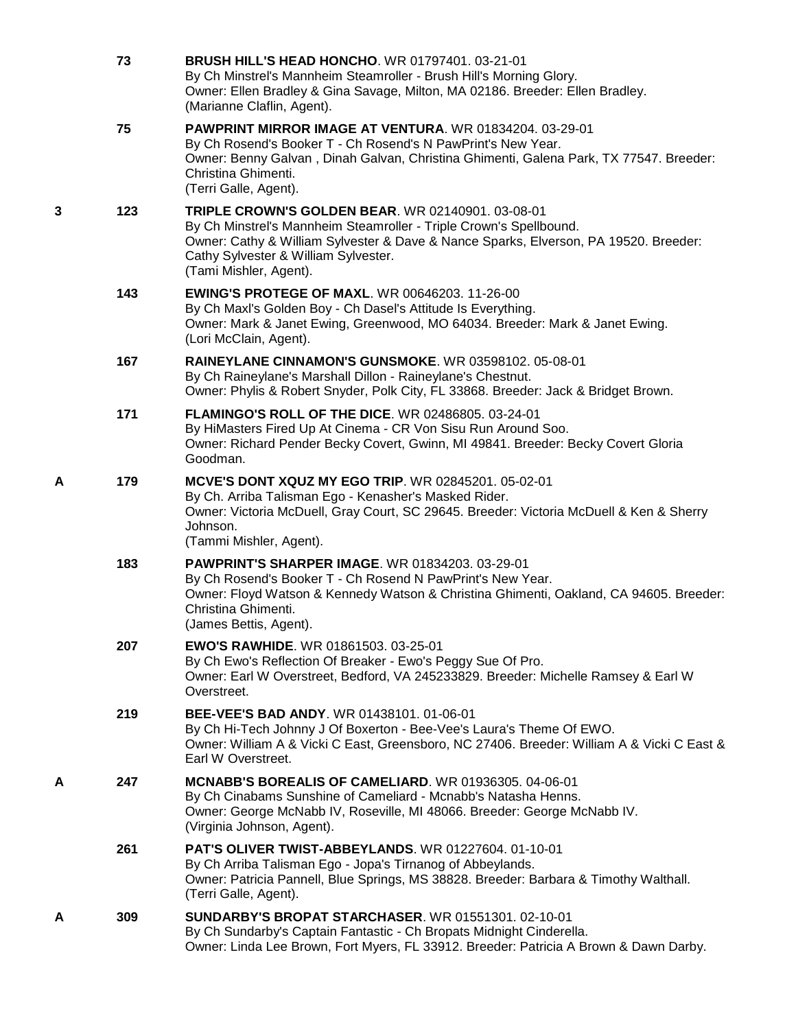|   | 73  | <b>BRUSH HILL'S HEAD HONCHO. WR 01797401. 03-21-01</b><br>By Ch Minstrel's Mannheim Steamroller - Brush Hill's Morning Glory.<br>Owner: Ellen Bradley & Gina Savage, Milton, MA 02186. Breeder: Ellen Bradley.<br>(Marianne Claflin, Agent).                                             |
|---|-----|------------------------------------------------------------------------------------------------------------------------------------------------------------------------------------------------------------------------------------------------------------------------------------------|
|   | 75  | PAWPRINT MIRROR IMAGE AT VENTURA. WR 01834204. 03-29-01<br>By Ch Rosend's Booker T - Ch Rosend's N PawPrint's New Year.<br>Owner: Benny Galvan, Dinah Galvan, Christina Ghimenti, Galena Park, TX 77547. Breeder:<br>Christina Ghimenti.<br>(Terri Galle, Agent).                        |
| 3 | 123 | <b>TRIPLE CROWN'S GOLDEN BEAR. WR 02140901. 03-08-01</b><br>By Ch Minstrel's Mannheim Steamroller - Triple Crown's Spellbound.<br>Owner: Cathy & William Sylvester & Dave & Nance Sparks, Elverson, PA 19520. Breeder:<br>Cathy Sylvester & William Sylvester.<br>(Tami Mishler, Agent). |
|   | 143 | <b>EWING'S PROTEGE OF MAXL. WR 00646203. 11-26-00</b><br>By Ch Maxl's Golden Boy - Ch Dasel's Attitude Is Everything.<br>Owner: Mark & Janet Ewing, Greenwood, MO 64034. Breeder: Mark & Janet Ewing.<br>(Lori McClain, Agent).                                                          |
|   | 167 | RAINEYLANE CINNAMON'S GUNSMOKE. WR 03598102. 05-08-01<br>By Ch Raineylane's Marshall Dillon - Raineylane's Chestnut.<br>Owner: Phylis & Robert Snyder, Polk City, FL 33868. Breeder: Jack & Bridget Brown.                                                                               |
|   | 171 | FLAMINGO'S ROLL OF THE DICE. WR 02486805. 03-24-01<br>By HiMasters Fired Up At Cinema - CR Von Sisu Run Around Soo.<br>Owner: Richard Pender Becky Covert, Gwinn, MI 49841. Breeder: Becky Covert Gloria<br>Goodman.                                                                     |
| Α | 179 | <b>MCVE'S DONT XQUZ MY EGO TRIP. WR 02845201. 05-02-01</b><br>By Ch. Arriba Talisman Ego - Kenasher's Masked Rider.<br>Owner: Victoria McDuell, Gray Court, SC 29645. Breeder: Victoria McDuell & Ken & Sherry<br>Johnson.<br>(Tammi Mishler, Agent).                                    |
|   | 183 | <b>PAWPRINT'S SHARPER IMAGE.</b> WR 01834203, 03-29-01<br>By Ch Rosend's Booker T - Ch Rosend N PawPrint's New Year.<br>Owner: Floyd Watson & Kennedy Watson & Christina Ghimenti, Oakland, CA 94605. Breeder:<br>Christina Ghimenti.<br>(James Bettis, Agent).                          |
|   | 207 | <b>EWO'S RAWHIDE. WR 01861503. 03-25-01</b><br>By Ch Ewo's Reflection Of Breaker - Ewo's Peggy Sue Of Pro.<br>Owner: Earl W Overstreet, Bedford, VA 245233829. Breeder: Michelle Ramsey & Earl W<br>Overstreet.                                                                          |
|   | 219 | <b>BEE-VEE'S BAD ANDY.</b> WR 01438101. 01-06-01<br>By Ch Hi-Tech Johnny J Of Boxerton - Bee-Vee's Laura's Theme Of EWO.<br>Owner: William A & Vicki C East, Greensboro, NC 27406. Breeder: William A & Vicki C East &<br>Earl W Overstreet.                                             |
| А | 247 | MCNABB'S BOREALIS OF CAMELIARD. WR 01936305, 04-06-01<br>By Ch Cinabams Sunshine of Cameliard - Mcnabb's Natasha Henns.<br>Owner: George McNabb IV, Roseville, MI 48066. Breeder: George McNabb IV.<br>(Virginia Johnson, Agent).                                                        |
|   | 261 | <b>PAT'S OLIVER TWIST-ABBEYLANDS. WR 01227604. 01-10-01</b><br>By Ch Arriba Talisman Ego - Jopa's Tirnanog of Abbeylands.<br>Owner: Patricia Pannell, Blue Springs, MS 38828. Breeder: Barbara & Timothy Walthall.<br>(Terri Galle, Agent).                                              |
| A | 309 | <b>SUNDARBY'S BROPAT STARCHASER. WR 01551301. 02-10-01</b><br>By Ch Sundarby's Captain Fantastic - Ch Bropats Midnight Cinderella.<br>Owner: Linda Lee Brown, Fort Myers, FL 33912. Breeder: Patricia A Brown & Dawn Darby.                                                              |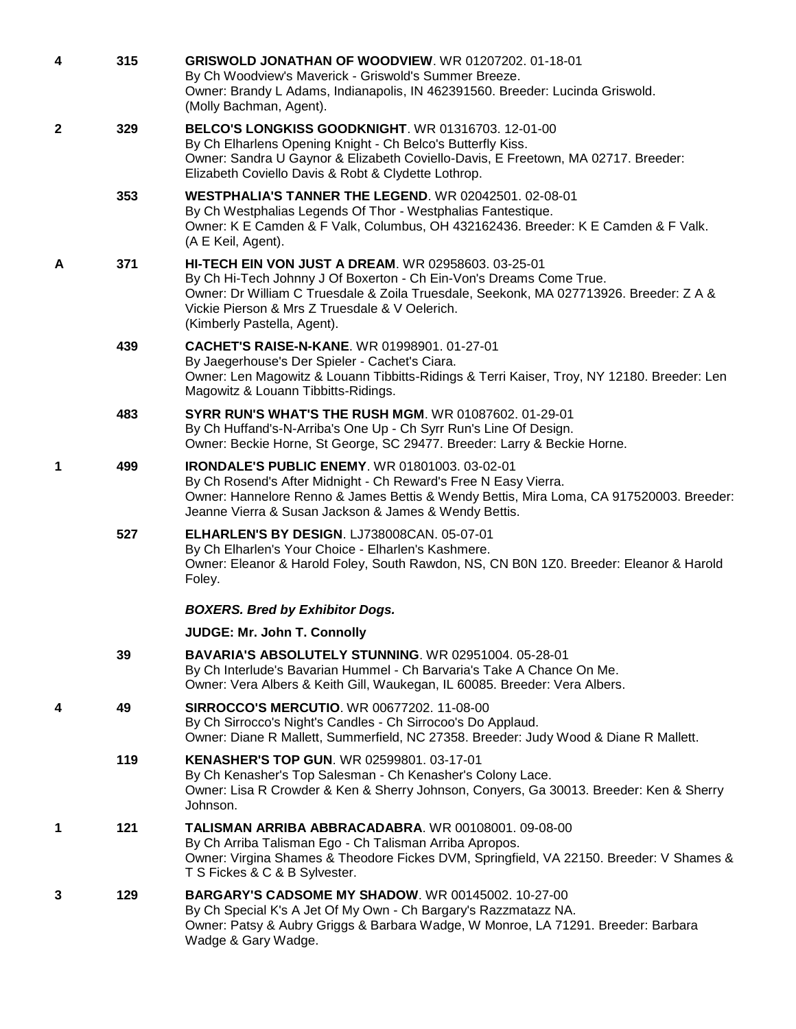| 4            | 315 | GRISWOLD JONATHAN OF WOODVIEW. WR 01207202. 01-18-01<br>By Ch Woodview's Maverick - Griswold's Summer Breeze.<br>Owner: Brandy L Adams, Indianapolis, IN 462391560. Breeder: Lucinda Griswold.<br>(Molly Bachman, Agent).                                                                                    |
|--------------|-----|--------------------------------------------------------------------------------------------------------------------------------------------------------------------------------------------------------------------------------------------------------------------------------------------------------------|
| $\mathbf{2}$ | 329 | <b>BELCO'S LONGKISS GOODKNIGHT. WR 01316703. 12-01-00</b><br>By Ch Elharlens Opening Knight - Ch Belco's Butterfly Kiss.<br>Owner: Sandra U Gaynor & Elizabeth Coviello-Davis, E Freetown, MA 02717. Breeder:<br>Elizabeth Coviello Davis & Robt & Clydette Lothrop.                                         |
|              | 353 | WESTPHALIA'S TANNER THE LEGEND. WR 02042501. 02-08-01<br>By Ch Westphalias Legends Of Thor - Westphalias Fantestique.<br>Owner: K E Camden & F Valk, Columbus, OH 432162436. Breeder: K E Camden & F Valk.<br>(A E Keil, Agent).                                                                             |
| A            | 371 | <b>HI-TECH EIN VON JUST A DREAM. WR 02958603. 03-25-01</b><br>By Ch Hi-Tech Johnny J Of Boxerton - Ch Ein-Von's Dreams Come True.<br>Owner: Dr William C Truesdale & Zoila Truesdale, Seekonk, MA 027713926. Breeder: Z A &<br>Vickie Pierson & Mrs Z Truesdale & V Oelerich.<br>(Kimberly Pastella, Agent). |
|              | 439 | <b>CACHET'S RAISE-N-KANE. WR 01998901. 01-27-01</b><br>By Jaegerhouse's Der Spieler - Cachet's Ciara.<br>Owner: Len Magowitz & Louann Tibbitts-Ridings & Terri Kaiser, Troy, NY 12180. Breeder: Len<br>Magowitz & Louann Tibbitts-Ridings.                                                                   |
|              | 483 | <b>SYRR RUN'S WHAT'S THE RUSH MGM. WR 01087602. 01-29-01</b><br>By Ch Huffand's-N-Arriba's One Up - Ch Syrr Run's Line Of Design.<br>Owner: Beckie Horne, St George, SC 29477. Breeder: Larry & Beckie Horne.                                                                                                |
| 1            | 499 | <b>IRONDALE'S PUBLIC ENEMY.</b> WR 01801003. 03-02-01<br>By Ch Rosend's After Midnight - Ch Reward's Free N Easy Vierra.<br>Owner: Hannelore Renno & James Bettis & Wendy Bettis, Mira Loma, CA 917520003. Breeder:<br>Jeanne Vierra & Susan Jackson & James & Wendy Bettis.                                 |
|              | 527 | ELHARLEN'S BY DESIGN. LJ738008CAN. 05-07-01<br>By Ch Elharlen's Your Choice - Elharlen's Kashmere.<br>Owner: Eleanor & Harold Foley, South Rawdon, NS, CN B0N 1Z0. Breeder: Eleanor & Harold<br>Foley.                                                                                                       |
|              |     | <b>BOXERS. Bred by Exhibitor Dogs.</b>                                                                                                                                                                                                                                                                       |
|              |     | JUDGE: Mr. John T. Connolly                                                                                                                                                                                                                                                                                  |
|              | 39  | BAVARIA'S ABSOLUTELY STUNNING. WR 02951004. 05-28-01<br>By Ch Interlude's Bavarian Hummel - Ch Barvaria's Take A Chance On Me.<br>Owner: Vera Albers & Keith Gill, Waukegan, IL 60085. Breeder: Vera Albers.                                                                                                 |
| 4            | 49  | <b>SIRROCCO'S MERCUTIO. WR 00677202. 11-08-00</b><br>By Ch Sirrocco's Night's Candles - Ch Sirrocoo's Do Applaud.<br>Owner: Diane R Mallett, Summerfield, NC 27358. Breeder: Judy Wood & Diane R Mallett.                                                                                                    |
|              | 119 | KENASHER'S TOP GUN. WR 02599801. 03-17-01<br>By Ch Kenasher's Top Salesman - Ch Kenasher's Colony Lace.<br>Owner: Lisa R Crowder & Ken & Sherry Johnson, Conyers, Ga 30013. Breeder: Ken & Sherry<br>Johnson.                                                                                                |
| 1            | 121 | TALISMAN ARRIBA ABBRACADABRA. WR 00108001. 09-08-00<br>By Ch Arriba Talisman Ego - Ch Talisman Arriba Apropos.<br>Owner: Virgina Shames & Theodore Fickes DVM, Springfield, VA 22150. Breeder: V Shames &<br>T S Fickes & C & B Sylvester.                                                                   |
| 3            | 129 | <b>BARGARY'S CADSOME MY SHADOW.</b> WR 00145002. 10-27-00<br>By Ch Special K's A Jet Of My Own - Ch Bargary's Razzmatazz NA.<br>Owner: Patsy & Aubry Griggs & Barbara Wadge, W Monroe, LA 71291. Breeder: Barbara<br>Wadge & Gary Wadge.                                                                     |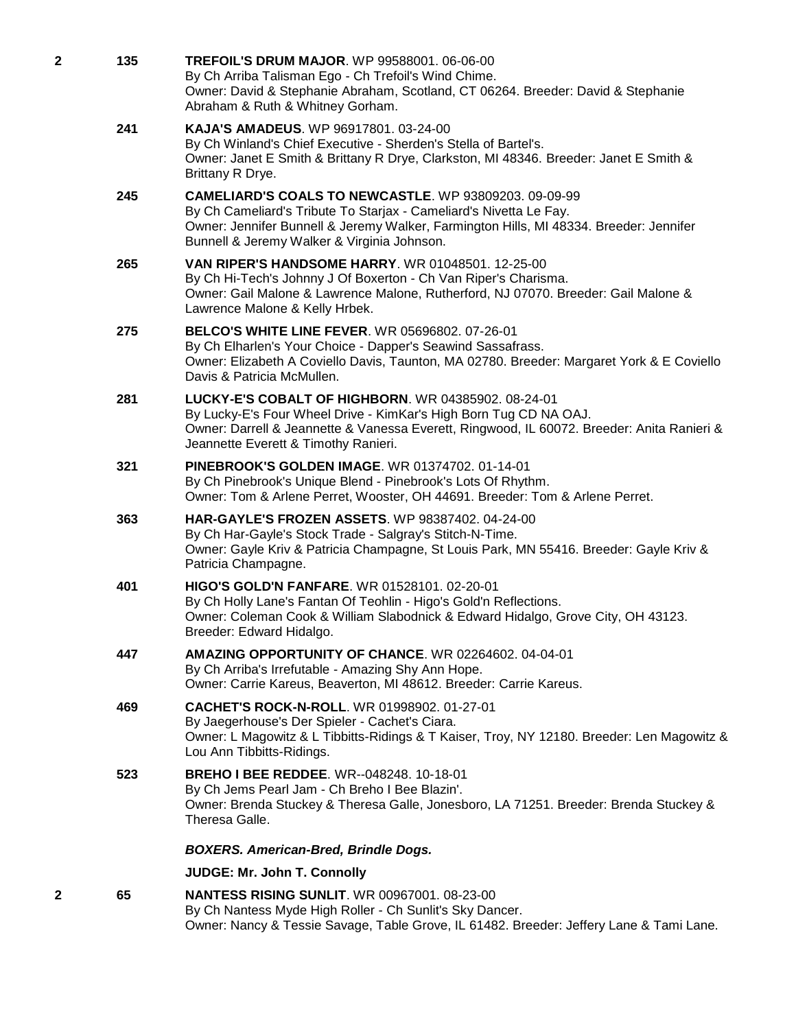| 2 | 135 | <b>TREFOIL'S DRUM MAJOR. WP 99588001. 06-06-00</b><br>By Ch Arriba Talisman Ego - Ch Trefoil's Wind Chime.<br>Owner: David & Stephanie Abraham, Scotland, CT 06264. Breeder: David & Stephanie<br>Abraham & Ruth & Whitney Gorham.                                          |
|---|-----|-----------------------------------------------------------------------------------------------------------------------------------------------------------------------------------------------------------------------------------------------------------------------------|
|   | 241 | <b>KAJA'S AMADEUS.</b> WP 96917801. 03-24-00<br>By Ch Winland's Chief Executive - Sherden's Stella of Bartel's.<br>Owner: Janet E Smith & Brittany R Drye, Clarkston, MI 48346. Breeder: Janet E Smith &<br>Brittany R Drye.                                                |
|   | 245 | <b>CAMELIARD'S COALS TO NEWCASTLE.</b> WP 93809203, 09-09-99<br>By Ch Cameliard's Tribute To Starjax - Cameliard's Nivetta Le Fay.<br>Owner: Jennifer Bunnell & Jeremy Walker, Farmington Hills, MI 48334. Breeder: Jennifer<br>Bunnell & Jeremy Walker & Virginia Johnson. |
|   | 265 | <b>VAN RIPER'S HANDSOME HARRY.</b> WR 01048501. 12-25-00<br>By Ch Hi-Tech's Johnny J Of Boxerton - Ch Van Riper's Charisma.<br>Owner: Gail Malone & Lawrence Malone, Rutherford, NJ 07070. Breeder: Gail Malone &<br>Lawrence Malone & Kelly Hrbek.                         |
|   | 275 | <b>BELCO'S WHITE LINE FEVER. WR 05696802. 07-26-01</b><br>By Ch Elharlen's Your Choice - Dapper's Seawind Sassafrass.<br>Owner: Elizabeth A Coviello Davis, Taunton, MA 02780. Breeder: Margaret York & E Coviello<br>Davis & Patricia McMullen.                            |
|   | 281 | LUCKY-E'S COBALT OF HIGHBORN. WR 04385902. 08-24-01<br>By Lucky-E's Four Wheel Drive - KimKar's High Born Tug CD NA OAJ.<br>Owner: Darrell & Jeannette & Vanessa Everett, Ringwood, IL 60072. Breeder: Anita Ranieri &<br>Jeannette Everett & Timothy Ranieri.              |
|   | 321 | <b>PINEBROOK'S GOLDEN IMAGE. WR 01374702. 01-14-01</b><br>By Ch Pinebrook's Unique Blend - Pinebrook's Lots Of Rhythm.<br>Owner: Tom & Arlene Perret, Wooster, OH 44691. Breeder: Tom & Arlene Perret.                                                                      |
|   | 363 | HAR-GAYLE'S FROZEN ASSETS. WP 98387402. 04-24-00<br>By Ch Har-Gayle's Stock Trade - Salgray's Stitch-N-Time.<br>Owner: Gayle Kriv & Patricia Champagne, St Louis Park, MN 55416. Breeder: Gayle Kriv &<br>Patricia Champagne.                                               |
|   | 401 | <b>HIGO'S GOLD'N FANFARE.</b> WR 01528101. 02-20-01<br>By Ch Holly Lane's Fantan Of Teohlin - Higo's Gold'n Reflections.<br>Owner: Coleman Cook & William Slabodnick & Edward Hidalgo, Grove City, OH 43123.<br>Breeder: Edward Hidalgo.                                    |
|   | 447 | AMAZING OPPORTUNITY OF CHANCE. WR 02264602. 04-04-01<br>By Ch Arriba's Irrefutable - Amazing Shy Ann Hope.<br>Owner: Carrie Kareus, Beaverton, MI 48612. Breeder: Carrie Kareus.                                                                                            |
|   | 469 | <b>CACHET'S ROCK-N-ROLL. WR 01998902. 01-27-01</b><br>By Jaegerhouse's Der Spieler - Cachet's Ciara.<br>Owner: L Magowitz & L Tibbitts-Ridings & T Kaiser, Troy, NY 12180. Breeder: Len Magowitz &<br>Lou Ann Tibbitts-Ridings.                                             |
|   | 523 | <b>BREHO I BEE REDDEE.</b> WR--048248. 10-18-01<br>By Ch Jems Pearl Jam - Ch Breho I Bee Blazin'.<br>Owner: Brenda Stuckey & Theresa Galle, Jonesboro, LA 71251. Breeder: Brenda Stuckey &<br>Theresa Galle.                                                                |
|   |     | <b>BOXERS. American-Bred, Brindle Dogs.</b>                                                                                                                                                                                                                                 |
|   |     | JUDGE: Mr. John T. Connolly                                                                                                                                                                                                                                                 |
| 2 | 65  | <b>NANTESS RISING SUNLIT. WR 00967001. 08-23-00</b><br>By Ch Nantess Myde High Roller - Ch Sunlit's Sky Dancer.<br>Owner: Nancy & Tessie Savage, Table Grove, IL 61482. Breeder: Jeffery Lane & Tami Lane.                                                                  |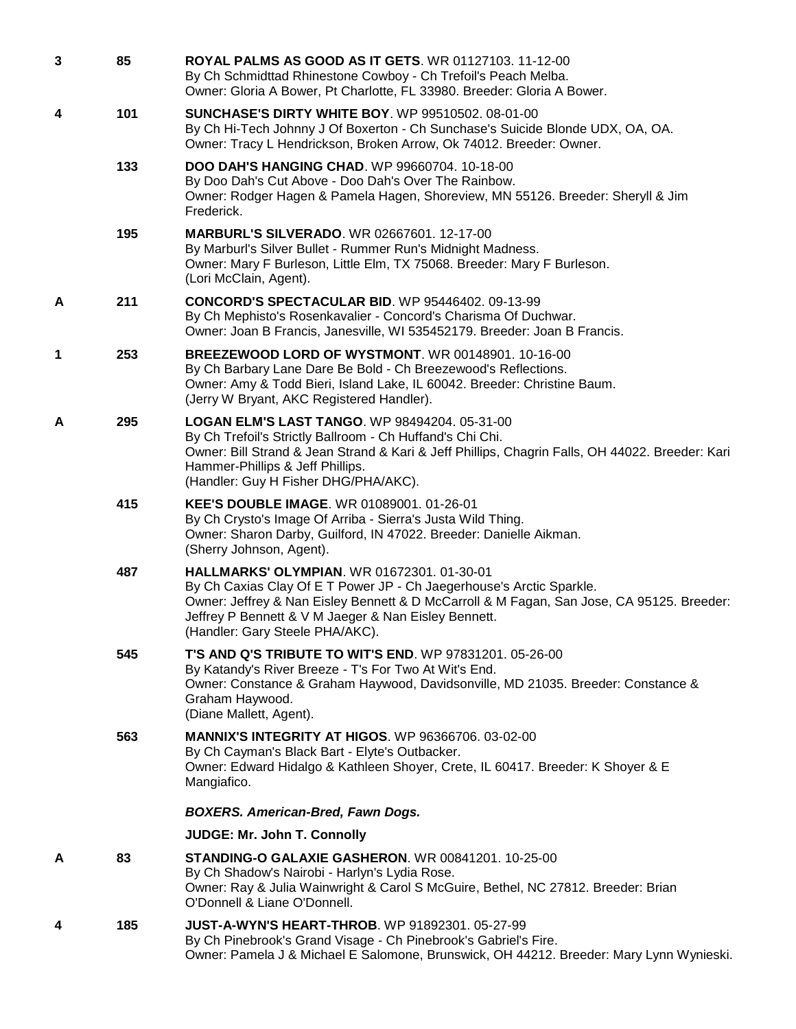| $\mathbf{3}$ | 85  | <b>ROYAL PALMS AS GOOD AS IT GETS. WR 01127103. 11-12-00</b><br>By Ch Schmidttad Rhinestone Cowboy - Ch Trefoil's Peach Melba.<br>Owner: Gloria A Bower, Pt Charlotte, FL 33980. Breeder: Gloria A Bower.                                                                                                  |
|--------------|-----|------------------------------------------------------------------------------------------------------------------------------------------------------------------------------------------------------------------------------------------------------------------------------------------------------------|
| 4            | 101 | <b>SUNCHASE'S DIRTY WHITE BOY.</b> WP 99510502. 08-01-00<br>By Ch Hi-Tech Johnny J Of Boxerton - Ch Sunchase's Suicide Blonde UDX, OA, OA.<br>Owner: Tracy L Hendrickson, Broken Arrow, Ok 74012. Breeder: Owner.                                                                                          |
|              | 133 | DOO DAH'S HANGING CHAD. WP 99660704. 10-18-00<br>By Doo Dah's Cut Above - Doo Dah's Over The Rainbow.<br>Owner: Rodger Hagen & Pamela Hagen, Shoreview, MN 55126. Breeder: Sheryll & Jim<br>Frederick.                                                                                                     |
|              | 195 | <b>MARBURL'S SILVERADO.</b> WR 02667601. 12-17-00<br>By Marburl's Silver Bullet - Rummer Run's Midnight Madness.<br>Owner: Mary F Burleson, Little Elm, TX 75068. Breeder: Mary F Burleson.<br>(Lori McClain, Agent).                                                                                      |
| A            | 211 | <b>CONCORD'S SPECTACULAR BID.</b> WP 95446402. 09-13-99<br>By Ch Mephisto's Rosenkavalier - Concord's Charisma Of Duchwar.<br>Owner: Joan B Francis, Janesville, WI 535452179. Breeder: Joan B Francis.                                                                                                    |
| 1            | 253 | BREEZEWOOD LORD OF WYSTMONT. WR 00148901. 10-16-00<br>By Ch Barbary Lane Dare Be Bold - Ch Breezewood's Reflections.<br>Owner: Amy & Todd Bieri, Island Lake, IL 60042. Breeder: Christine Baum.<br>(Jerry W Bryant, AKC Registered Handler).                                                              |
| A            | 295 | <b>LOGAN ELM'S LAST TANGO. WP 98494204. 05-31-00</b><br>By Ch Trefoil's Strictly Ballroom - Ch Huffand's Chi Chi.<br>Owner: Bill Strand & Jean Strand & Kari & Jeff Phillips, Chagrin Falls, OH 44022. Breeder: Kari<br>Hammer-Phillips & Jeff Phillips.<br>(Handler: Guy H Fisher DHG/PHA/AKC).           |
|              | 415 | KEE'S DOUBLE IMAGE. WR 01089001. 01-26-01<br>By Ch Crysto's Image Of Arriba - Sierra's Justa Wild Thing.<br>Owner: Sharon Darby, Guilford, IN 47022. Breeder: Danielle Aikman.<br>(Sherry Johnson, Agent).                                                                                                 |
|              | 487 | HALLMARKS' OLYMPIAN. WR 01672301. 01-30-01<br>By Ch Caxias Clay Of E T Power JP - Ch Jaegerhouse's Arctic Sparkle.<br>Owner: Jeffrey & Nan Eisley Bennett & D McCarroll & M Fagan, San Jose, CA 95125. Breeder:<br>Jeffrey P Bennett & V M Jaeger & Nan Eisley Bennett.<br>(Handler: Gary Steele PHA/AKC). |
|              | 545 | <b>T'S AND Q'S TRIBUTE TO WIT'S END.</b> WP 97831201, 05-26-00<br>By Katandy's River Breeze - T's For Two At Wit's End.<br>Owner: Constance & Graham Haywood, Davidsonville, MD 21035. Breeder: Constance &<br>Graham Haywood.<br>(Diane Mallett, Agent).                                                  |
|              | 563 | <b>MANNIX'S INTEGRITY AT HIGOS. WP 96366706. 03-02-00</b><br>By Ch Cayman's Black Bart - Elyte's Outbacker.<br>Owner: Edward Hidalgo & Kathleen Shoyer, Crete, IL 60417. Breeder: K Shoyer & E<br>Mangiafico.                                                                                              |
|              |     | <b>BOXERS. American-Bred, Fawn Dogs.</b>                                                                                                                                                                                                                                                                   |
|              |     | JUDGE: Mr. John T. Connolly                                                                                                                                                                                                                                                                                |
| A            | 83  | <b>STANDING-O GALAXIE GASHERON. WR 00841201. 10-25-00</b><br>By Ch Shadow's Nairobi - Harlyn's Lydia Rose.<br>Owner: Ray & Julia Wainwright & Carol S McGuire, Bethel, NC 27812. Breeder: Brian<br>O'Donnell & Liane O'Donnell.                                                                            |
| 4            | 185 | <b>JUST-A-WYN'S HEART-THROB.</b> WP 91892301. 05-27-99<br>By Ch Pinebrook's Grand Visage - Ch Pinebrook's Gabriel's Fire.<br>Owner: Pamela J & Michael E Salomone, Brunswick, OH 44212. Breeder: Mary Lynn Wynieski.                                                                                       |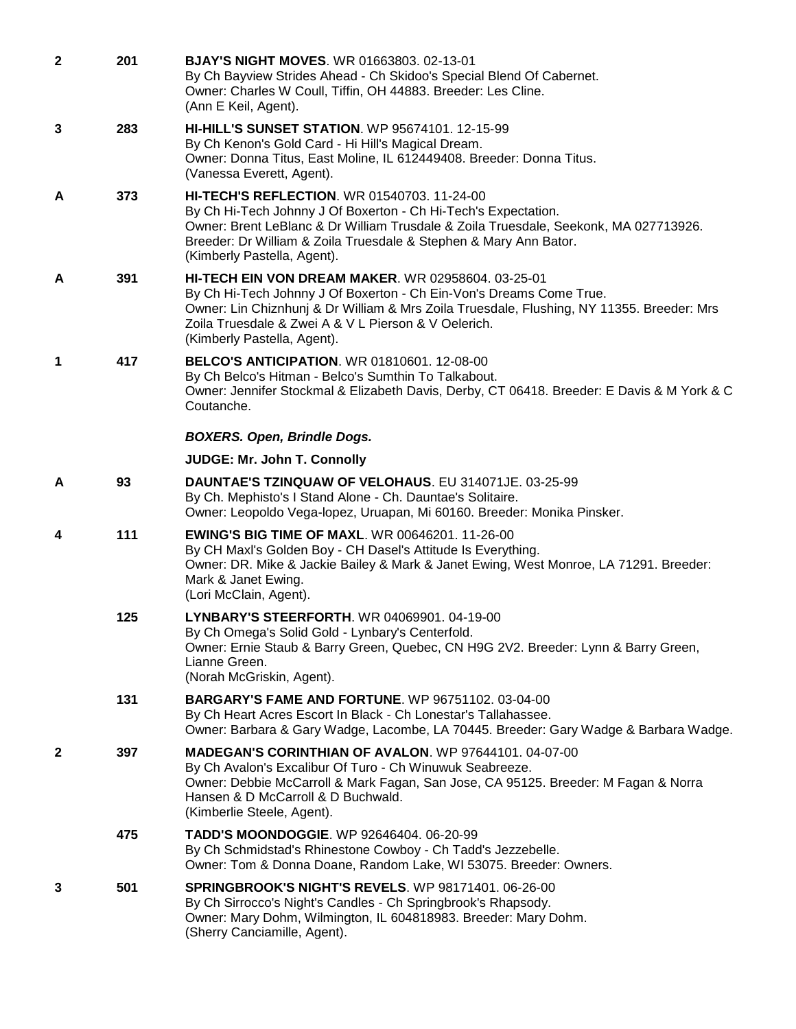| $\mathbf{2}$ | 201 | <b>BJAY'S NIGHT MOVES. WR 01663803. 02-13-01</b><br>By Ch Bayview Strides Ahead - Ch Skidoo's Special Blend Of Cabernet.<br>Owner: Charles W Coull, Tiffin, OH 44883. Breeder: Les Cline.<br>(Ann E Keil, Agent).                                                                                                    |
|--------------|-----|----------------------------------------------------------------------------------------------------------------------------------------------------------------------------------------------------------------------------------------------------------------------------------------------------------------------|
| 3            | 283 | <b>HI-HILL'S SUNSET STATION.</b> WP 95674101, 12-15-99<br>By Ch Kenon's Gold Card - Hi Hill's Magical Dream.<br>Owner: Donna Titus, East Moline, IL 612449408. Breeder: Donna Titus.<br>(Vanessa Everett, Agent).                                                                                                    |
| A            | 373 | <b>HI-TECH'S REFLECTION. WR 01540703. 11-24-00</b><br>By Ch Hi-Tech Johnny J Of Boxerton - Ch Hi-Tech's Expectation.<br>Owner: Brent LeBlanc & Dr William Trusdale & Zoila Truesdale, Seekonk, MA 027713926.<br>Breeder: Dr William & Zoila Truesdale & Stephen & Mary Ann Bator.<br>(Kimberly Pastella, Agent).     |
| A            | 391 | <b>HI-TECH EIN VON DREAM MAKER. WR 02958604. 03-25-01</b><br>By Ch Hi-Tech Johnny J Of Boxerton - Ch Ein-Von's Dreams Come True.<br>Owner: Lin Chiznhunj & Dr William & Mrs Zoila Truesdale, Flushing, NY 11355. Breeder: Mrs<br>Zoila Truesdale & Zwei A & V L Pierson & V Oelerich.<br>(Kimberly Pastella, Agent). |
| 1            | 417 | <b>BELCO'S ANTICIPATION.</b> WR 01810601. 12-08-00<br>By Ch Belco's Hitman - Belco's Sumthin To Talkabout.<br>Owner: Jennifer Stockmal & Elizabeth Davis, Derby, CT 06418. Breeder: E Davis & M York & C<br>Coutanche.                                                                                               |
|              |     | <b>BOXERS. Open, Brindle Dogs.</b>                                                                                                                                                                                                                                                                                   |
|              |     | <b>JUDGE: Mr. John T. Connolly</b>                                                                                                                                                                                                                                                                                   |
| A            | 93  | DAUNTAE'S TZINQUAW OF VELOHAUS. EU 314071JE. 03-25-99<br>By Ch. Mephisto's I Stand Alone - Ch. Dauntae's Solitaire.<br>Owner: Leopoldo Vega-lopez, Uruapan, Mi 60160. Breeder: Monika Pinsker.                                                                                                                       |
| 4            | 111 | <b>EWING'S BIG TIME OF MAXL. WR 00646201. 11-26-00</b><br>By CH Maxl's Golden Boy - CH Dasel's Attitude Is Everything.<br>Owner: DR. Mike & Jackie Bailey & Mark & Janet Ewing, West Monroe, LA 71291. Breeder:<br>Mark & Janet Ewing.<br>(Lori McClain, Agent).                                                     |
|              | 125 | LYNBARY'S STEERFORTH. WR 04069901. 04-19-00<br>By Ch Omega's Solid Gold - Lynbary's Centerfold.<br>Owner: Ernie Staub & Barry Green, Quebec, CN H9G 2V2. Breeder: Lynn & Barry Green,<br>Lianne Green.<br>(Norah McGriskin, Agent).                                                                                  |
|              | 131 | <b>BARGARY'S FAME AND FORTUNE.</b> WP 96751102, 03-04-00<br>By Ch Heart Acres Escort In Black - Ch Lonestar's Tallahassee.<br>Owner: Barbara & Gary Wadge, Lacombe, LA 70445. Breeder: Gary Wadge & Barbara Wadge.                                                                                                   |
| $\mathbf{2}$ | 397 | MADEGAN'S CORINTHIAN OF AVALON. WP 97644101. 04-07-00<br>By Ch Avalon's Excalibur Of Turo - Ch Winuwuk Seabreeze.<br>Owner: Debbie McCarroll & Mark Fagan, San Jose, CA 95125. Breeder: M Fagan & Norra<br>Hansen & D McCarroll & D Buchwald.<br>(Kimberlie Steele, Agent).                                          |
|              | 475 | TADD'S MOONDOGGIE. WP 92646404. 06-20-99<br>By Ch Schmidstad's Rhinestone Cowboy - Ch Tadd's Jezzebelle.<br>Owner: Tom & Donna Doane, Random Lake, WI 53075. Breeder: Owners.                                                                                                                                        |
| 3            | 501 | <b>SPRINGBROOK'S NIGHT'S REVELS. WP 98171401. 06-26-00</b><br>By Ch Sirrocco's Night's Candles - Ch Springbrook's Rhapsody.<br>Owner: Mary Dohm, Wilmington, IL 604818983. Breeder: Mary Dohm.<br>(Sherry Canciamille, Agent).                                                                                       |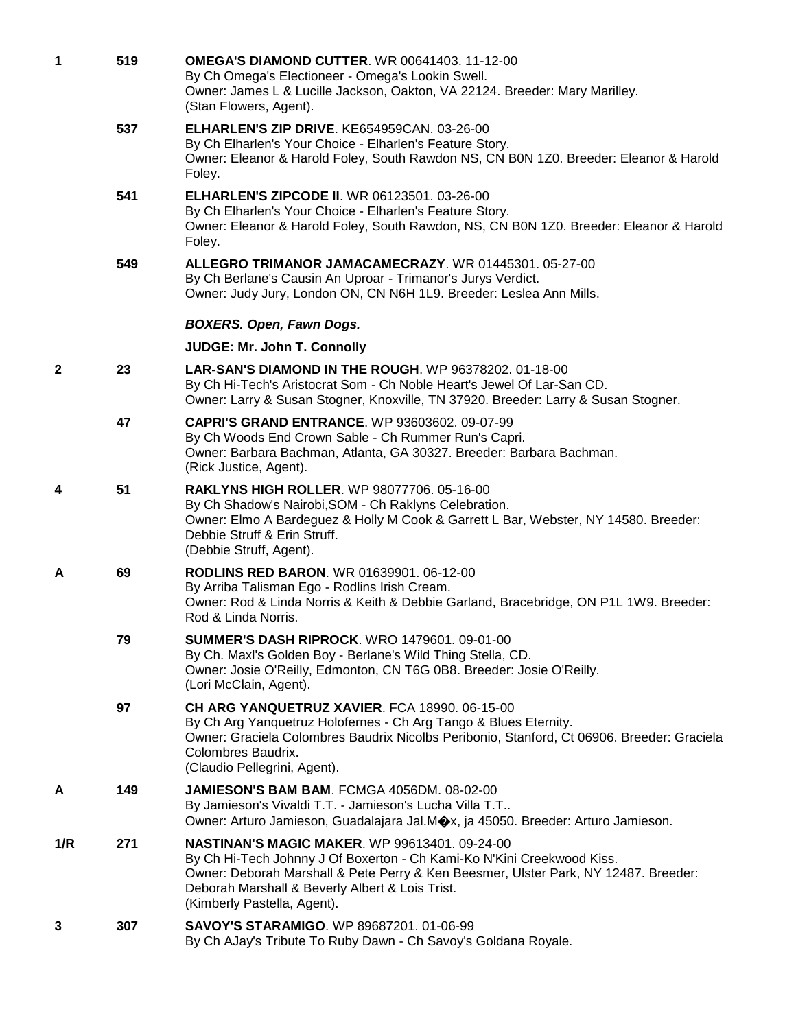| 1            | 519 | <b>OMEGA'S DIAMOND CUTTER. WR 00641403. 11-12-00</b><br>By Ch Omega's Electioneer - Omega's Lookin Swell.<br>Owner: James L & Lucille Jackson, Oakton, VA 22124. Breeder: Mary Marilley.<br>(Stan Flowers, Agent).                                                                                      |
|--------------|-----|---------------------------------------------------------------------------------------------------------------------------------------------------------------------------------------------------------------------------------------------------------------------------------------------------------|
|              | 537 | ELHARLEN'S ZIP DRIVE. KE654959CAN. 03-26-00<br>By Ch Elharlen's Your Choice - Elharlen's Feature Story.<br>Owner: Eleanor & Harold Foley, South Rawdon NS, CN B0N 1Z0. Breeder: Eleanor & Harold<br>Foley.                                                                                              |
|              | 541 | <b>ELHARLEN'S ZIPCODE II. WR 06123501. 03-26-00</b><br>By Ch Elharlen's Your Choice - Elharlen's Feature Story.<br>Owner: Eleanor & Harold Foley, South Rawdon, NS, CN B0N 1Z0. Breeder: Eleanor & Harold<br>Foley.                                                                                     |
|              | 549 | ALLEGRO TRIMANOR JAMACAMECRAZY. WR 01445301. 05-27-00<br>By Ch Berlane's Causin An Uproar - Trimanor's Jurys Verdict.<br>Owner: Judy Jury, London ON, CN N6H 1L9. Breeder: Leslea Ann Mills.                                                                                                            |
|              |     | <b>BOXERS. Open, Fawn Dogs.</b>                                                                                                                                                                                                                                                                         |
|              |     | <b>JUDGE: Mr. John T. Connolly</b>                                                                                                                                                                                                                                                                      |
| $\mathbf{2}$ | 23  | <b>LAR-SAN'S DIAMOND IN THE ROUGH. WP 96378202. 01-18-00</b><br>By Ch Hi-Tech's Aristocrat Som - Ch Noble Heart's Jewel Of Lar-San CD.<br>Owner: Larry & Susan Stogner, Knoxville, TN 37920. Breeder: Larry & Susan Stogner.                                                                            |
|              | 47  | <b>CAPRI'S GRAND ENTRANCE.</b> WP 93603602. 09-07-99<br>By Ch Woods End Crown Sable - Ch Rummer Run's Capri.<br>Owner: Barbara Bachman, Atlanta, GA 30327. Breeder: Barbara Bachman.<br>(Rick Justice, Agent).                                                                                          |
| 4            | 51  | <b>RAKLYNS HIGH ROLLER. WP 98077706. 05-16-00</b><br>By Ch Shadow's Nairobi, SOM - Ch Raklyns Celebration.<br>Owner: Elmo A Bardeguez & Holly M Cook & Garrett L Bar, Webster, NY 14580. Breeder:<br>Debbie Struff & Erin Struff.<br>(Debbie Struff, Agent).                                            |
| A            | 69  | <b>RODLINS RED BARON.</b> WR 01639901. 06-12-00<br>By Arriba Talisman Ego - Rodlins Irish Cream.<br>Owner: Rod & Linda Norris & Keith & Debbie Garland, Bracebridge, ON P1L 1W9. Breeder:<br>Rod & Linda Norris.                                                                                        |
|              | 79  | <b>SUMMER'S DASH RIPROCK. WRO 1479601. 09-01-00</b><br>By Ch. Maxl's Golden Boy - Berlane's Wild Thing Stella, CD.<br>Owner: Josie O'Reilly, Edmonton, CN T6G 0B8. Breeder: Josie O'Reilly.<br>(Lori McClain, Agent).                                                                                   |
|              | 97  | <b>CH ARG YANQUETRUZ XAVIER. FCA 18990. 06-15-00</b><br>By Ch Arg Yanquetruz Holofernes - Ch Arg Tango & Blues Eternity.<br>Owner: Graciela Colombres Baudrix Nicolbs Peribonio, Stanford, Ct 06906. Breeder: Graciela<br>Colombres Baudrix.<br>(Claudio Pellegrini, Agent).                            |
| A            | 149 | JAMIESON'S BAM BAM. FCMGA 4056DM. 08-02-00<br>By Jamieson's Vivaldi T.T. - Jamieson's Lucha Villa T.T<br>Owner: Arturo Jamieson, Guadalajara Jal.M $\bigcirc x$ , ja 45050. Breeder: Arturo Jamieson.                                                                                                   |
| 1/R          | 271 | <b>NASTINAN'S MAGIC MAKER. WP 99613401. 09-24-00</b><br>By Ch Hi-Tech Johnny J Of Boxerton - Ch Kami-Ko N'Kini Creekwood Kiss.<br>Owner: Deborah Marshall & Pete Perry & Ken Beesmer, Ulster Park, NY 12487. Breeder:<br>Deborah Marshall & Beverly Albert & Lois Trist.<br>(Kimberly Pastella, Agent). |
| 3            | 307 | <b>SAVOY'S STARAMIGO. WP 89687201. 01-06-99</b><br>By Ch AJay's Tribute To Ruby Dawn - Ch Savoy's Goldana Royale.                                                                                                                                                                                       |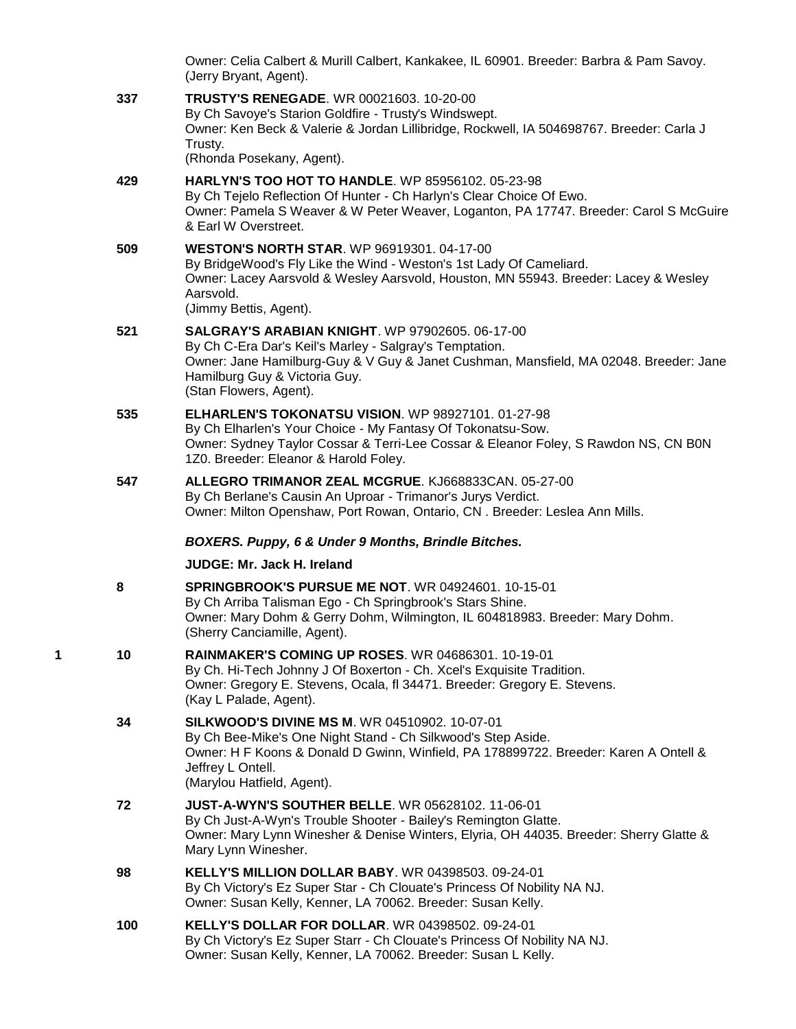Owner: Celia Calbert & Murill Calbert, Kankakee, IL 60901. Breeder: Barbra & Pam Savoy. (Jerry Bryant, Agent).

**337 [TRUSTY'S RENEGADE](http://infodog.com/my/drlookup2.htm?makc=WR%2000021603&mdog=Trusty%27s+Renegade&wins=all)**. WR 00021603. 10-20-00 By Ch Savoye's Starion Goldfire - Trusty's Windswept. Owner: Ken Beck & Valerie & Jordan Lillibridge, Rockwell, IA 504698767. Breeder: Carla J Trusty. (Rhonda Posekany, Agent).

## **429 [HARLYN'S TOO HOT TO HANDLE](http://infodog.com/my/drlookup2.htm?makc=WP%2085956102&mdog=Harlyn%27s+Too+Hot+To+Handle&wins=all)**. WP 85956102. 05-23-98 By Ch Tejelo Reflection Of Hunter - Ch Harlyn's Clear Choice Of Ewo. Owner: Pamela S Weaver & W Peter Weaver, Loganton, PA 17747. Breeder: Carol S McGuire & Earl W Overstreet.

**509 [WESTON'S NORTH STAR](http://infodog.com/my/drlookup2.htm?makc=WP%2096919301&mdog=Weston%27s+North+Star&wins=all)**. WP 96919301. 04-17-00 By BridgeWood's Fly Like the Wind - Weston's 1st Lady Of Cameliard. Owner: Lacey Aarsvold & Wesley Aarsvold, Houston, MN 55943. Breeder: Lacey & Wesley Aarsvold. (Jimmy Bettis, Agent).

## **521 [SALGRAY'S ARABIAN KNIGHT](http://infodog.com/my/drlookup2.htm?makc=WP%2097902605&mdog=Salgray%27s+Arabian+Knight&wins=all)**. WP 97902605. 06-17-00 By Ch C-Era Dar's Keil's Marley - Salgray's Temptation. Owner: Jane Hamilburg-Guy & V Guy & Janet Cushman, Mansfield, MA 02048. Breeder: Jane Hamilburg Guy & Victoria Guy. (Stan Flowers, Agent).

## **535 [ELHARLEN'S TOKONATSU VISION](http://infodog.com/my/drlookup2.htm?makc=WP%2098927101&mdog=Elharlen%27s+Tokonatsu+Vision&wins=all)**. WP 98927101. 01-27-98 By Ch Elharlen's Your Choice - My Fantasy Of Tokonatsu-Sow. Owner: Sydney Taylor Cossar & Terri-Lee Cossar & Eleanor Foley, S Rawdon NS, CN B0N 1Z0. Breeder: Eleanor & Harold Foley.

#### **547 [ALLEGRO TRIMANOR ZEAL MCGRUE](http://infodog.com/my/drlookup2.htm?makc=KJ668833CAN&mdog=Allegro+Trimanor+Zeal+McGrue&wins=all)**. KJ668833CAN. 05-27-00 By Ch Berlane's Causin An Uproar - Trimanor's Jurys Verdict. Owner: Milton Openshaw, Port Rowan, Ontario, CN . Breeder: Leslea Ann Mills.

## *BOXERS. Puppy, 6 & Under 9 Months, Brindle Bitches.*

# **JUDGE: [Mr. Jack H. Ireland](http://infodog.com/show/judge/jdgprofile.htm?jn=5923)**

- **8 [SPRINGBROOK'S PURSUE ME NOT](http://infodog.com/my/drlookup2.htm?makc=WR%2004924601&mdog=Springbrook%27s+Pursue+Me+Not&wins=all)**. WR 04924601. 10-15-01 By Ch Arriba Talisman Ego - Ch Springbrook's Stars Shine. Owner: Mary Dohm & Gerry Dohm, Wilmington, IL 604818983. Breeder: Mary Dohm. (Sherry Canciamille, Agent).
- **1 10 [RAINMAKER'S COMING UP ROSES](http://infodog.com/my/drlookup2.htm?makc=WR%2004686301&mdog=Rainmaker%27s+Coming+Up+Roses&wins=all)**. WR 04686301. 10-19-01 By Ch. Hi-Tech Johnny J Of Boxerton - Ch. Xcel's Exquisite Tradition. Owner: Gregory E. Stevens, Ocala, fl 34471. Breeder: Gregory E. Stevens. (Kay L Palade, Agent).
	- **34 [SILKWOOD'S DIVINE MS M](http://infodog.com/my/drlookup2.htm?makc=WR%2004510902&mdog=Silkwood%27s+Divine+Ms+M&wins=all)**. WR 04510902. 10-07-01 By Ch Bee-Mike's One Night Stand - Ch Silkwood's Step Aside. Owner: H F Koons & Donald D Gwinn, Winfield, PA 178899722. Breeder: Karen A Ontell & Jeffrey L Ontell. (Marylou Hatfield, Agent).
	- **72 [JUST-A-WYN'S SOUTHER BELLE](http://infodog.com/my/drlookup2.htm?makc=WR%2005628102&mdog=Just-A-Wyn%27s+Souther+Belle&wins=all)**. WR 05628102. 11-06-01 By Ch Just-A-Wyn's Trouble Shooter - Bailey's Remington Glatte. Owner: Mary Lynn Winesher & Denise Winters, Elyria, OH 44035. Breeder: Sherry Glatte & Mary Lynn Winesher.
	- **98 [KELLY'S MILLION DOLLAR BABY](http://infodog.com/my/drlookup2.htm?makc=WR%2004398503&mdog=Kelly%27s+Million+Dollar+Baby&wins=all)**. WR 04398503. 09-24-01 By Ch Victory's Ez Super Star - Ch Clouate's Princess Of Nobility NA NJ. Owner: Susan Kelly, Kenner, LA 70062. Breeder: Susan Kelly.
	- **100 [KELLY'S DOLLAR FOR DOLLAR](http://infodog.com/my/drlookup2.htm?makc=WR%2004398502&mdog=Kelly%27s+Dollar+For+Dollar&wins=all)**. WR 04398502. 09-24-01 By Ch Victory's Ez Super Starr - Ch Clouate's Princess Of Nobility NA NJ. Owner: Susan Kelly, Kenner, LA 70062. Breeder: Susan L Kelly.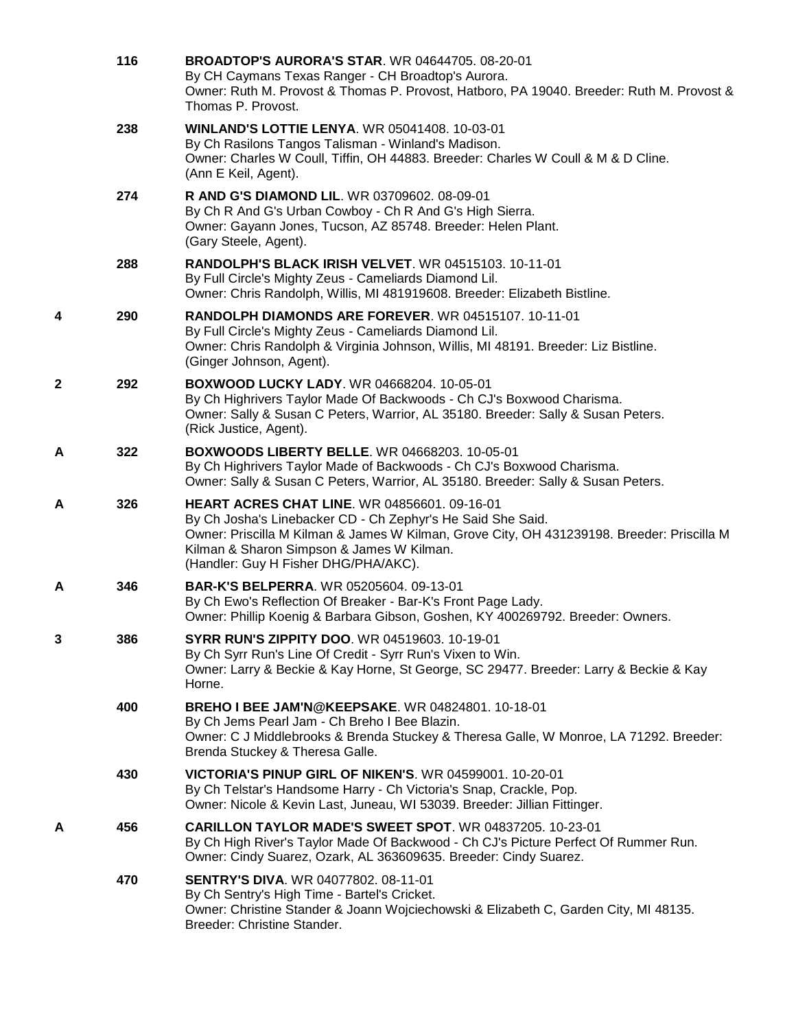|   | 116 | <b>BROADTOP'S AURORA'S STAR. WR 04644705. 08-20-01</b><br>By CH Caymans Texas Ranger - CH Broadtop's Aurora.<br>Owner: Ruth M. Provost & Thomas P. Provost, Hatboro, PA 19040. Breeder: Ruth M. Provost &<br>Thomas P. Provost.                                                                       |
|---|-----|-------------------------------------------------------------------------------------------------------------------------------------------------------------------------------------------------------------------------------------------------------------------------------------------------------|
|   | 238 | <b>WINLAND'S LOTTIE LENYA. WR 05041408. 10-03-01</b><br>By Ch Rasilons Tangos Talisman - Winland's Madison.<br>Owner: Charles W Coull, Tiffin, OH 44883. Breeder: Charles W Coull & M & D Cline.<br>(Ann E Keil, Agent).                                                                              |
|   | 274 | R AND G'S DIAMOND LIL. WR 03709602. 08-09-01<br>By Ch R And G's Urban Cowboy - Ch R And G's High Sierra.<br>Owner: Gayann Jones, Tucson, AZ 85748. Breeder: Helen Plant.<br>(Gary Steele, Agent).                                                                                                     |
|   | 288 | <b>RANDOLPH'S BLACK IRISH VELVET. WR 04515103. 10-11-01</b><br>By Full Circle's Mighty Zeus - Cameliards Diamond Lil.<br>Owner: Chris Randolph, Willis, MI 481919608. Breeder: Elizabeth Bistline.                                                                                                    |
| 4 | 290 | RANDOLPH DIAMONDS ARE FOREVER. WR 04515107. 10-11-01<br>By Full Circle's Mighty Zeus - Cameliards Diamond Lil.<br>Owner: Chris Randolph & Virginia Johnson, Willis, MI 48191. Breeder: Liz Bistline.<br>(Ginger Johnson, Agent).                                                                      |
| 2 | 292 | <b>BOXWOOD LUCKY LADY. WR 04668204. 10-05-01</b><br>By Ch Highrivers Taylor Made Of Backwoods - Ch CJ's Boxwood Charisma.<br>Owner: Sally & Susan C Peters, Warrior, AL 35180. Breeder: Sally & Susan Peters.<br>(Rick Justice, Agent).                                                               |
| Α | 322 | <b>BOXWOODS LIBERTY BELLE. WR 04668203. 10-05-01</b><br>By Ch Highrivers Taylor Made of Backwoods - Ch CJ's Boxwood Charisma.<br>Owner: Sally & Susan C Peters, Warrior, AL 35180. Breeder: Sally & Susan Peters.                                                                                     |
| А | 326 | <b>HEART ACRES CHAT LINE. WR 04856601. 09-16-01</b><br>By Ch Josha's Linebacker CD - Ch Zephyr's He Said She Said.<br>Owner: Priscilla M Kilman & James W Kilman, Grove City, OH 431239198. Breeder: Priscilla M<br>Kilman & Sharon Simpson & James W Kilman.<br>(Handler: Guy H Fisher DHG/PHA/AKC). |
| A | 346 | BAR-K'S BELPERRA. WR 05205604. 09-13-01<br>By Ch Ewo's Reflection Of Breaker - Bar-K's Front Page Lady.<br>Owner: Phillip Koenig & Barbara Gibson, Goshen, KY 400269792. Breeder: Owners.                                                                                                             |
| 3 | 386 | <b>SYRR RUN'S ZIPPITY DOO. WR 04519603. 10-19-01</b><br>By Ch Syrr Run's Line Of Credit - Syrr Run's Vixen to Win.<br>Owner: Larry & Beckie & Kay Horne, St George, SC 29477. Breeder: Larry & Beckie & Kay<br>Horne.                                                                                 |
|   | 400 | <b>BREHO I BEE JAM'N@KEEPSAKE.</b> WR 04824801, 10-18-01<br>By Ch Jems Pearl Jam - Ch Breho I Bee Blazin.<br>Owner: C J Middlebrooks & Brenda Stuckey & Theresa Galle, W Monroe, LA 71292. Breeder:<br>Brenda Stuckey & Theresa Galle.                                                                |
|   | 430 | VICTORIA'S PINUP GIRL OF NIKEN'S, WR 04599001, 10-20-01<br>By Ch Telstar's Handsome Harry - Ch Victoria's Snap, Crackle, Pop.<br>Owner: Nicole & Kevin Last, Juneau, WI 53039. Breeder: Jillian Fittinger.                                                                                            |
| А | 456 | CARILLON TAYLOR MADE'S SWEET SPOT. WR 04837205. 10-23-01<br>By Ch High River's Taylor Made Of Backwood - Ch CJ's Picture Perfect Of Rummer Run.<br>Owner: Cindy Suarez, Ozark, AL 363609635. Breeder: Cindy Suarez.                                                                                   |
|   | 470 | <b>SENTRY'S DIVA. WR 04077802. 08-11-01</b><br>By Ch Sentry's High Time - Bartel's Cricket.<br>Owner: Christine Stander & Joann Wojciechowski & Elizabeth C, Garden City, MI 48135.<br>Breeder: Christine Stander.                                                                                    |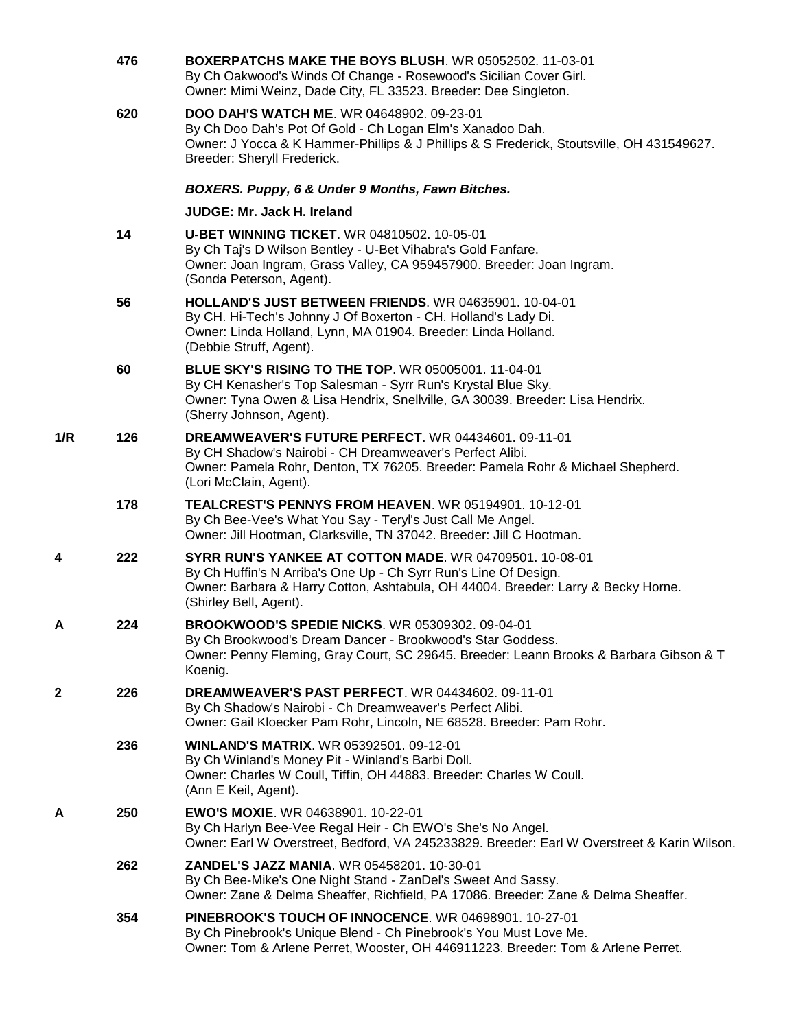|     | 476 | BOXERPATCHS MAKE THE BOYS BLUSH. WR 05052502. 11-03-01<br>By Ch Oakwood's Winds Of Change - Rosewood's Sicilian Cover Girl.<br>Owner: Mimi Weinz, Dade City, FL 33523. Breeder: Dee Singleton.                                             |
|-----|-----|--------------------------------------------------------------------------------------------------------------------------------------------------------------------------------------------------------------------------------------------|
|     | 620 | <b>DOO DAH'S WATCH ME. WR 04648902. 09-23-01</b><br>By Ch Doo Dah's Pot Of Gold - Ch Logan Elm's Xanadoo Dah.<br>Owner: J Yocca & K Hammer-Phillips & J Phillips & S Frederick, Stoutsville, OH 431549627.<br>Breeder: Sheryll Frederick.  |
|     |     | BOXERS. Puppy, 6 & Under 9 Months, Fawn Bitches.                                                                                                                                                                                           |
|     |     | JUDGE: Mr. Jack H. Ireland                                                                                                                                                                                                                 |
|     | 14  | <b>U-BET WINNING TICKET. WR 04810502. 10-05-01</b><br>By Ch Taj's D Wilson Bentley - U-Bet Vihabra's Gold Fanfare.<br>Owner: Joan Ingram, Grass Valley, CA 959457900. Breeder: Joan Ingram.<br>(Sonda Peterson, Agent).                    |
|     | 56  | <b>HOLLAND'S JUST BETWEEN FRIENDS. WR 04635901. 10-04-01</b><br>By CH. Hi-Tech's Johnny J Of Boxerton - CH. Holland's Lady Di.<br>Owner: Linda Holland, Lynn, MA 01904. Breeder: Linda Holland.<br>(Debbie Struff, Agent).                 |
|     | 60  | <b>BLUE SKY'S RISING TO THE TOP. WR 05005001. 11-04-01</b><br>By CH Kenasher's Top Salesman - Syrr Run's Krystal Blue Sky.<br>Owner: Tyna Owen & Lisa Hendrix, Snellville, GA 30039. Breeder: Lisa Hendrix.<br>(Sherry Johnson, Agent).    |
| 1/R | 126 | DREAMWEAVER'S FUTURE PERFECT. WR 04434601. 09-11-01<br>By CH Shadow's Nairobi - CH Dreamweaver's Perfect Alibi.<br>Owner: Pamela Rohr, Denton, TX 76205. Breeder: Pamela Rohr & Michael Shepherd.<br>(Lori McClain, Agent).                |
|     | 178 | <b>TEALCREST'S PENNYS FROM HEAVEN.</b> WR 05194901, 10-12-01<br>By Ch Bee-Vee's What You Say - Teryl's Just Call Me Angel.<br>Owner: Jill Hootman, Clarksville, TN 37042. Breeder: Jill C Hootman.                                         |
| 4   | 222 | SYRR RUN'S YANKEE AT COTTON MADE. WR 04709501. 10-08-01<br>By Ch Huffin's N Arriba's One Up - Ch Syrr Run's Line Of Design.<br>Owner: Barbara & Harry Cotton, Ashtabula, OH 44004. Breeder: Larry & Becky Horne.<br>(Shirley Bell, Agent). |
| A   | 224 | <b>BROOKWOOD'S SPEDIE NICKS. WR 05309302. 09-04-01</b><br>By Ch Brookwood's Dream Dancer - Brookwood's Star Goddess.<br>Owner: Penny Fleming, Gray Court, SC 29645. Breeder: Leann Brooks & Barbara Gibson & T<br>Koenig.                  |
| 2   | 226 | <b>DREAMWEAVER'S PAST PERFECT. WR 04434602. 09-11-01</b><br>By Ch Shadow's Nairobi - Ch Dreamweaver's Perfect Alibi.<br>Owner: Gail Kloecker Pam Rohr, Lincoln, NE 68528. Breeder: Pam Rohr.                                               |
|     | 236 | <b>WINLAND'S MATRIX. WR 05392501. 09-12-01</b><br>By Ch Winland's Money Pit - Winland's Barbi Doll.<br>Owner: Charles W Coull, Tiffin, OH 44883. Breeder: Charles W Coull.<br>(Ann E Keil, Agent).                                         |
| Α   | 250 | EWO'S MOXIE. WR 04638901. 10-22-01<br>By Ch Harlyn Bee-Vee Regal Heir - Ch EWO's She's No Angel.<br>Owner: Earl W Overstreet, Bedford, VA 245233829. Breeder: Earl W Overstreet & Karin Wilson.                                            |
|     | 262 | <b>ZANDEL'S JAZZ MANIA. WR 05458201. 10-30-01</b><br>By Ch Bee-Mike's One Night Stand - ZanDel's Sweet And Sassy.<br>Owner: Zane & Delma Sheaffer, Richfield, PA 17086. Breeder: Zane & Delma Sheaffer.                                    |
|     | 354 | PINEBROOK'S TOUCH OF INNOCENCE. WR 04698901. 10-27-01<br>By Ch Pinebrook's Unique Blend - Ch Pinebrook's You Must Love Me.<br>Owner: Tom & Arlene Perret, Wooster, OH 446911223. Breeder: Tom & Arlene Perret.                             |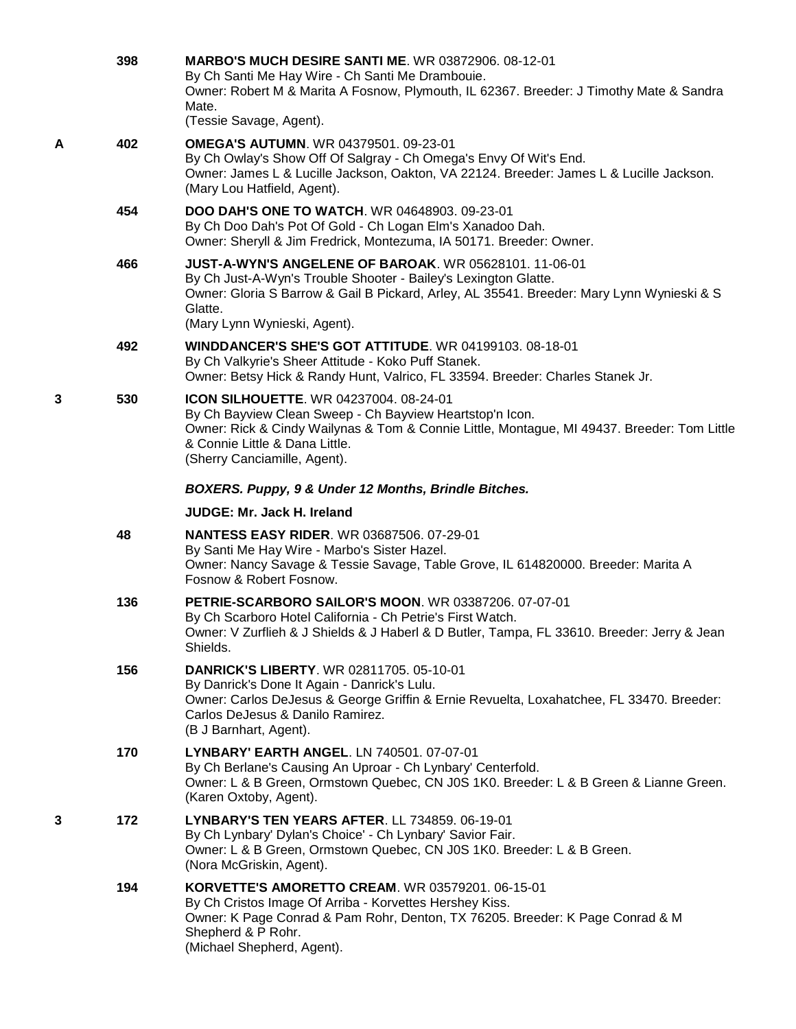|   | 398 | <b>MARBO'S MUCH DESIRE SANTI ME. WR 03872906. 08-12-01</b><br>By Ch Santi Me Hay Wire - Ch Santi Me Drambouie.<br>Owner: Robert M & Marita A Fosnow, Plymouth, IL 62367. Breeder: J Timothy Mate & Sandra<br>Mate.<br>(Tessie Savage, Agent).                            |
|---|-----|--------------------------------------------------------------------------------------------------------------------------------------------------------------------------------------------------------------------------------------------------------------------------|
| A | 402 | <b>OMEGA'S AUTUMN. WR 04379501. 09-23-01</b><br>By Ch Owlay's Show Off Of Salgray - Ch Omega's Envy Of Wit's End.<br>Owner: James L & Lucille Jackson, Oakton, VA 22124. Breeder: James L & Lucille Jackson.<br>(Mary Lou Hatfield, Agent).                              |
|   | 454 | <b>DOO DAH'S ONE TO WATCH.</b> WR 04648903, 09-23-01<br>By Ch Doo Dah's Pot Of Gold - Ch Logan Elm's Xanadoo Dah.<br>Owner: Sheryll & Jim Fredrick, Montezuma, IA 50171. Breeder: Owner.                                                                                 |
|   | 466 | <b>JUST-A-WYN'S ANGELENE OF BAROAK. WR 05628101. 11-06-01</b><br>By Ch Just-A-Wyn's Trouble Shooter - Bailey's Lexington Glatte.<br>Owner: Gloria S Barrow & Gail B Pickard, Arley, AL 35541. Breeder: Mary Lynn Wynieski & S<br>Glatte.<br>(Mary Lynn Wynieski, Agent). |
|   | 492 | <b>WINDDANCER'S SHE'S GOT ATTITUDE. WR 04199103. 08-18-01</b><br>By Ch Valkyrie's Sheer Attitude - Koko Puff Stanek.<br>Owner: Betsy Hick & Randy Hunt, Valrico, FL 33594. Breeder: Charles Stanek Jr.                                                                   |
| 3 | 530 | ICON SILHOUETTE. WR 04237004. 08-24-01<br>By Ch Bayview Clean Sweep - Ch Bayview Heartstop'n Icon.<br>Owner: Rick & Cindy Wailynas & Tom & Connie Little, Montague, MI 49437. Breeder: Tom Little<br>& Connie Little & Dana Little.<br>(Sherry Canciamille, Agent).      |
|   |     | BOXERS. Puppy, 9 & Under 12 Months, Brindle Bitches.                                                                                                                                                                                                                     |
|   |     | <b>JUDGE: Mr. Jack H. Ireland</b>                                                                                                                                                                                                                                        |
|   | 48  | <b>NANTESS EASY RIDER. WR 03687506. 07-29-01</b><br>By Santi Me Hay Wire - Marbo's Sister Hazel.<br>Owner: Nancy Savage & Tessie Savage, Table Grove, IL 614820000. Breeder: Marita A<br>Fosnow & Robert Fosnow.                                                         |
|   | 136 | PETRIE-SCARBORO SAILOR'S MOON. WR 03387206. 07-07-01<br>By Ch Scarboro Hotel California - Ch Petrie's First Watch.<br>Owner: V Zurflieh & J Shields & J Haberl & D Butler, Tampa, FL 33610. Breeder: Jerry & Jean<br>Shields.                                            |
|   | 156 | <b>DANRICK'S LIBERTY. WR 02811705. 05-10-01</b><br>By Danrick's Done It Again - Danrick's Lulu.<br>Owner: Carlos DeJesus & George Griffin & Ernie Revuelta, Loxahatchee, FL 33470. Breeder:<br>Carlos DeJesus & Danilo Ramirez.<br>(B J Barnhart, Agent).                |
|   | 170 | LYNBARY' EARTH ANGEL. LN 740501. 07-07-01<br>By Ch Berlane's Causing An Uproar - Ch Lynbary' Centerfold.<br>Owner: L & B Green, Ormstown Quebec, CN J0S 1K0. Breeder: L & B Green & Lianne Green.<br>(Karen Oxtoby, Agent).                                              |
| 3 | 172 | LYNBARY'S TEN YEARS AFTER. LL 734859. 06-19-01<br>By Ch Lynbary' Dylan's Choice' - Ch Lynbary' Savior Fair.<br>Owner: L & B Green, Ormstown Quebec, CN J0S 1K0. Breeder: L & B Green.<br>(Nora McGriskin, Agent).                                                        |
|   | 194 | <b>KORVETTE'S AMORETTO CREAM.</b> WR 03579201. 06-15-01<br>By Ch Cristos Image Of Arriba - Korvettes Hershey Kiss.<br>Owner: K Page Conrad & Pam Rohr, Denton, TX 76205. Breeder: K Page Conrad & M<br>Shepherd & P Rohr.<br>(Michael Shepherd, Agent).                  |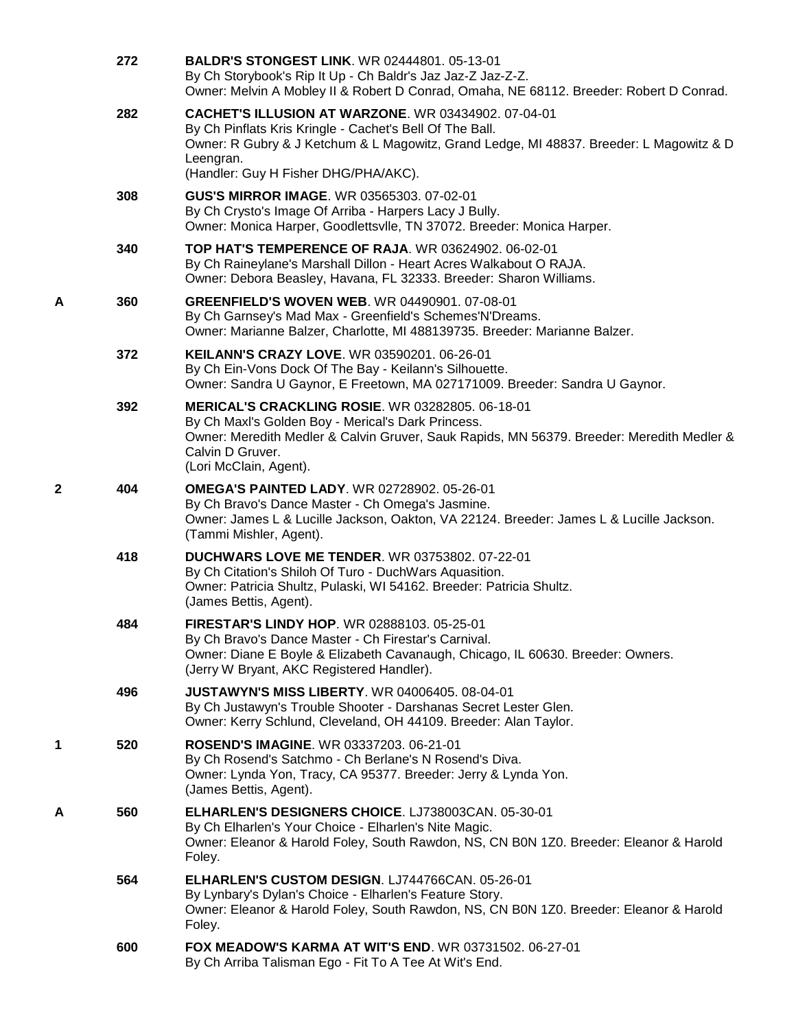|   | 272 | <b>BALDR'S STONGEST LINK. WR 02444801. 05-13-01</b><br>By Ch Storybook's Rip It Up - Ch Baldr's Jaz Jaz-Z Jaz-Z-Z.<br>Owner: Melvin A Mobley II & Robert D Conrad, Omaha, NE 68112. Breeder: Robert D Conrad.                                                          |
|---|-----|------------------------------------------------------------------------------------------------------------------------------------------------------------------------------------------------------------------------------------------------------------------------|
|   | 282 | <b>CACHET'S ILLUSION AT WARZONE. WR 03434902. 07-04-01</b><br>By Ch Pinflats Kris Kringle - Cachet's Bell Of The Ball.<br>Owner: R Gubry & J Ketchum & L Magowitz, Grand Ledge, MI 48837. Breeder: L Magowitz & D<br>Leengran.<br>(Handler: Guy H Fisher DHG/PHA/AKC). |
|   | 308 | GUS'S MIRROR IMAGE. WR 03565303. 07-02-01<br>By Ch Crysto's Image Of Arriba - Harpers Lacy J Bully.<br>Owner: Monica Harper, Goodlettsvlle, TN 37072. Breeder: Monica Harper.                                                                                          |
|   | 340 | <b>TOP HAT'S TEMPERENCE OF RAJA. WR 03624902. 06-02-01</b><br>By Ch Raineylane's Marshall Dillon - Heart Acres Walkabout O RAJA.<br>Owner: Debora Beasley, Havana, FL 32333. Breeder: Sharon Williams.                                                                 |
| A | 360 | <b>GREENFIELD'S WOVEN WEB. WR 04490901. 07-08-01</b><br>By Ch Garnsey's Mad Max - Greenfield's Schemes'N'Dreams.<br>Owner: Marianne Balzer, Charlotte, MI 488139735. Breeder: Marianne Balzer.                                                                         |
|   | 372 | KEILANN'S CRAZY LOVE, WR 03590201, 06-26-01<br>By Ch Ein-Vons Dock Of The Bay - Keilann's Silhouette.<br>Owner: Sandra U Gaynor, E Freetown, MA 027171009. Breeder: Sandra U Gaynor.                                                                                   |
|   | 392 | <b>MERICAL'S CRACKLING ROSIE. WR 03282805. 06-18-01</b><br>By Ch Maxl's Golden Boy - Merical's Dark Princess.<br>Owner: Meredith Medler & Calvin Gruver, Sauk Rapids, MN 56379. Breeder: Meredith Medler &<br>Calvin D Gruver.<br>(Lori McClain, Agent).               |
| 2 | 404 | <b>OMEGA'S PAINTED LADY.</b> WR 02728902. 05-26-01<br>By Ch Bravo's Dance Master - Ch Omega's Jasmine.<br>Owner: James L & Lucille Jackson, Oakton, VA 22124. Breeder: James L & Lucille Jackson.<br>(Tammi Mishler, Agent).                                           |
|   | 418 | <b>DUCHWARS LOVE ME TENDER. WR 03753802. 07-22-01</b><br>By Ch Citation's Shiloh Of Turo - DuchWars Aquasition.<br>Owner: Patricia Shultz, Pulaski, WI 54162. Breeder: Patricia Shultz.<br>(James Bettis, Agent).                                                      |
|   | 484 | <b>FIRESTAR'S LINDY HOP. WR 02888103, 05-25-01</b><br>By Ch Bravo's Dance Master - Ch Firestar's Carnival.<br>Owner: Diane E Boyle & Elizabeth Cavanaugh, Chicago, IL 60630. Breeder: Owners.<br>(Jerry W Bryant, AKC Registered Handler).                             |
|   | 496 | <b>JUSTAWYN'S MISS LIBERTY. WR 04006405. 08-04-01</b><br>By Ch Justawyn's Trouble Shooter - Darshanas Secret Lester Glen.<br>Owner: Kerry Schlund, Cleveland, OH 44109. Breeder: Alan Taylor.                                                                          |
| 1 | 520 | <b>ROSEND'S IMAGINE.</b> WR 03337203. 06-21-01<br>By Ch Rosend's Satchmo - Ch Berlane's N Rosend's Diva.<br>Owner: Lynda Yon, Tracy, CA 95377. Breeder: Jerry & Lynda Yon.<br>(James Bettis, Agent).                                                                   |
| Α | 560 | <b>ELHARLEN'S DESIGNERS CHOICE. LJ738003CAN. 05-30-01</b><br>By Ch Elharlen's Your Choice - Elharlen's Nite Magic.<br>Owner: Eleanor & Harold Foley, South Rawdon, NS, CN B0N 1Z0. Breeder: Eleanor & Harold<br>Foley.                                                 |
|   | 564 | ELHARLEN'S CUSTOM DESIGN. LJ744766CAN. 05-26-01<br>By Lynbary's Dylan's Choice - Elharlen's Feature Story.<br>Owner: Eleanor & Harold Foley, South Rawdon, NS, CN B0N 1Z0. Breeder: Eleanor & Harold<br>Foley.                                                         |
|   | 600 | FOX MEADOW'S KARMA AT WIT'S END. WR 03731502. 06-27-01<br>By Ch Arriba Talisman Ego - Fit To A Tee At Wit's End.                                                                                                                                                       |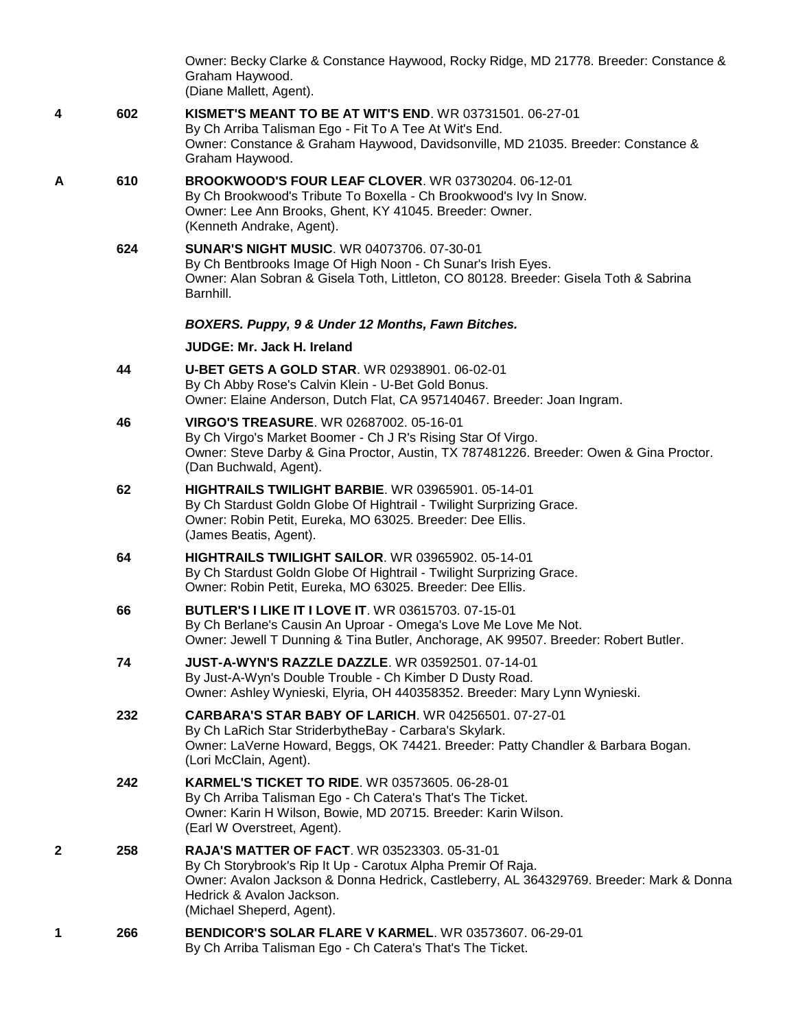|   |     | Owner: Becky Clarke & Constance Haywood, Rocky Ridge, MD 21778. Breeder: Constance &<br>Graham Haywood.<br>(Diane Mallett, Agent).                                                                                                                                       |
|---|-----|--------------------------------------------------------------------------------------------------------------------------------------------------------------------------------------------------------------------------------------------------------------------------|
| 4 | 602 | <b>KISMET'S MEANT TO BE AT WIT'S END. WR 03731501. 06-27-01</b><br>By Ch Arriba Talisman Ego - Fit To A Tee At Wit's End.<br>Owner: Constance & Graham Haywood, Davidsonville, MD 21035. Breeder: Constance &<br>Graham Haywood.                                         |
| A | 610 | BROOKWOOD'S FOUR LEAF CLOVER. WR 03730204. 06-12-01<br>By Ch Brookwood's Tribute To Boxella - Ch Brookwood's Ivy In Snow.<br>Owner: Lee Ann Brooks, Ghent, KY 41045. Breeder: Owner.<br>(Kenneth Andrake, Agent).                                                        |
|   | 624 | <b>SUNAR'S NIGHT MUSIC. WR 04073706. 07-30-01</b><br>By Ch Bentbrooks Image Of High Noon - Ch Sunar's Irish Eyes.<br>Owner: Alan Sobran & Gisela Toth, Littleton, CO 80128. Breeder: Gisela Toth & Sabrina<br>Barnhill.                                                  |
|   |     | BOXERS. Puppy, 9 & Under 12 Months, Fawn Bitches.                                                                                                                                                                                                                        |
|   |     | <b>JUDGE: Mr. Jack H. Ireland</b>                                                                                                                                                                                                                                        |
|   | 44  | <b>U-BET GETS A GOLD STAR. WR 02938901. 06-02-01</b><br>By Ch Abby Rose's Calvin Klein - U-Bet Gold Bonus.<br>Owner: Elaine Anderson, Dutch Flat, CA 957140467. Breeder: Joan Ingram.                                                                                    |
|   | 46  | <b>VIRGO'S TREASURE. WR 02687002. 05-16-01</b><br>By Ch Virgo's Market Boomer - Ch J R's Rising Star Of Virgo.<br>Owner: Steve Darby & Gina Proctor, Austin, TX 787481226. Breeder: Owen & Gina Proctor.<br>(Dan Buchwald, Agent).                                       |
|   | 62  | HIGHTRAILS TWILIGHT BARBIE. WR 03965901. 05-14-01<br>By Ch Stardust Goldn Globe Of Hightrail - Twilight Surprizing Grace.<br>Owner: Robin Petit, Eureka, MO 63025. Breeder: Dee Ellis.<br>(James Beatis, Agent).                                                         |
|   | 64  | <b>HIGHTRAILS TWILIGHT SAILOR. WR 03965902. 05-14-01</b><br>By Ch Stardust Goldn Globe Of Hightrail - Twilight Surprizing Grace.<br>Owner: Robin Petit, Eureka, MO 63025. Breeder: Dee Ellis.                                                                            |
|   | 66  | <b>BUTLER'S I LIKE IT I LOVE IT. WR 03615703. 07-15-01</b><br>By Ch Berlane's Causin An Uproar - Omega's Love Me Love Me Not.<br>Owner: Jewell T Dunning & Tina Butler, Anchorage, AK 99507. Breeder: Robert Butler.                                                     |
|   | 74  | <b>JUST-A-WYN'S RAZZLE DAZZLE.</b> WR 03592501. 07-14-01<br>By Just-A-Wyn's Double Trouble - Ch Kimber D Dusty Road.<br>Owner: Ashley Wynieski, Elyria, OH 440358352. Breeder: Mary Lynn Wynieski.                                                                       |
|   | 232 | <b>CARBARA'S STAR BABY OF LARICH. WR 04256501. 07-27-01</b><br>By Ch LaRich Star StriderbytheBay - Carbara's Skylark.<br>Owner: LaVerne Howard, Beggs, OK 74421. Breeder: Patty Chandler & Barbara Bogan.<br>(Lori McClain, Agent).                                      |
|   | 242 | KARMEL'S TICKET TO RIDE. WR 03573605. 06-28-01<br>By Ch Arriba Talisman Ego - Ch Catera's That's The Ticket.<br>Owner: Karin H Wilson, Bowie, MD 20715. Breeder: Karin Wilson.<br>(Earl W Overstreet, Agent).                                                            |
| 2 | 258 | <b>RAJA'S MATTER OF FACT. WR 03523303. 05-31-01</b><br>By Ch Storybrook's Rip It Up - Carotux Alpha Premir Of Raja.<br>Owner: Avalon Jackson & Donna Hedrick, Castleberry, AL 364329769. Breeder: Mark & Donna<br>Hedrick & Avalon Jackson.<br>(Michael Sheperd, Agent). |
| 1 | 266 | <b>BENDICOR'S SOLAR FLARE V KARMEL. WR 03573607. 06-29-01</b><br>By Ch Arriba Talisman Ego - Ch Catera's That's The Ticket.                                                                                                                                              |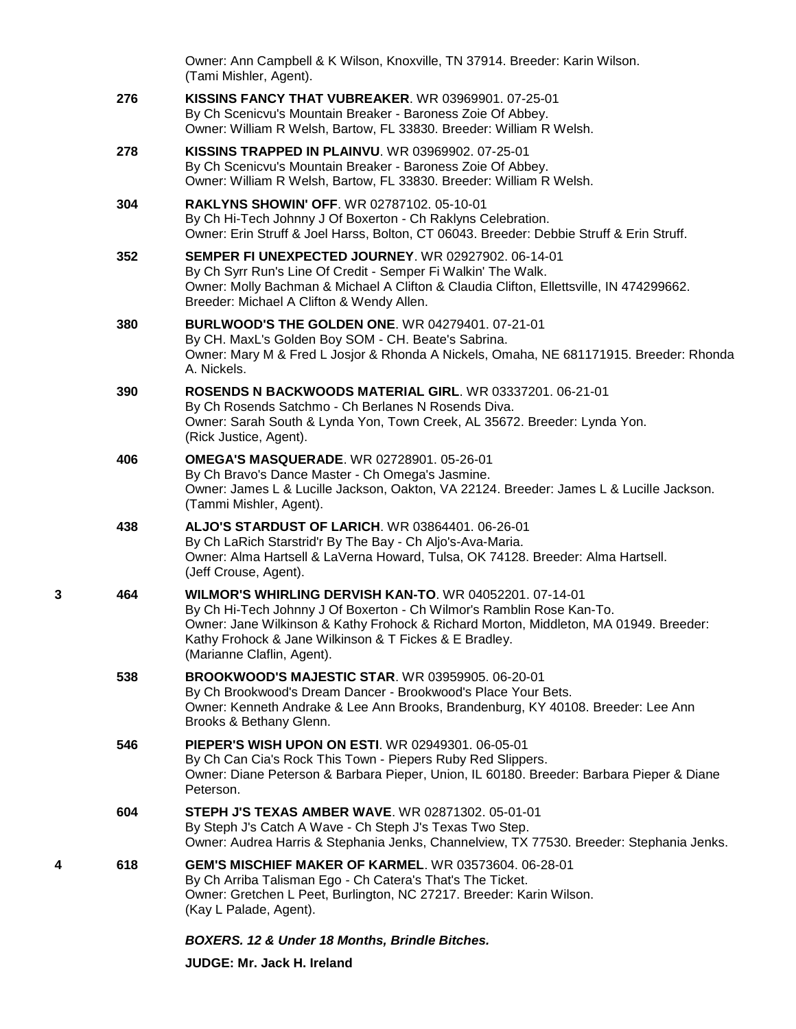|   |     | Owner: Ann Campbell & K Wilson, Knoxville, TN 37914. Breeder: Karin Wilson.<br>(Tami Mishler, Agent).                                                                                                                                                                                                                    |
|---|-----|--------------------------------------------------------------------------------------------------------------------------------------------------------------------------------------------------------------------------------------------------------------------------------------------------------------------------|
|   | 276 | <b>KISSINS FANCY THAT VUBREAKER. WR 03969901, 07-25-01</b><br>By Ch Scenicvu's Mountain Breaker - Baroness Zoie Of Abbey.<br>Owner: William R Welsh, Bartow, FL 33830. Breeder: William R Welsh.                                                                                                                         |
|   | 278 | KISSINS TRAPPED IN PLAINVU. WR 03969902. 07-25-01<br>By Ch Scenicvu's Mountain Breaker - Baroness Zoie Of Abbey.<br>Owner: William R Welsh, Bartow, FL 33830. Breeder: William R Welsh.                                                                                                                                  |
|   | 304 | <b>RAKLYNS SHOWIN' OFF. WR 02787102. 05-10-01</b><br>By Ch Hi-Tech Johnny J Of Boxerton - Ch Raklyns Celebration.<br>Owner: Erin Struff & Joel Harss, Bolton, CT 06043. Breeder: Debbie Struff & Erin Struff.                                                                                                            |
|   | 352 | SEMPER FI UNEXPECTED JOURNEY. WR 02927902. 06-14-01<br>By Ch Syrr Run's Line Of Credit - Semper Fi Walkin' The Walk.<br>Owner: Molly Bachman & Michael A Clifton & Claudia Clifton, Ellettsville, IN 474299662.<br>Breeder: Michael A Clifton & Wendy Allen.                                                             |
|   | 380 | <b>BURLWOOD'S THE GOLDEN ONE. WR 04279401. 07-21-01</b><br>By CH. MaxL's Golden Boy SOM - CH. Beate's Sabrina.<br>Owner: Mary M & Fred L Josjor & Rhonda A Nickels, Omaha, NE 681171915. Breeder: Rhonda<br>A. Nickels.                                                                                                  |
|   | 390 | ROSENDS N BACKWOODS MATERIAL GIRL. WR 03337201. 06-21-01<br>By Ch Rosends Satchmo - Ch Berlanes N Rosends Diva.<br>Owner: Sarah South & Lynda Yon, Town Creek, AL 35672. Breeder: Lynda Yon.<br>(Rick Justice, Agent).                                                                                                   |
|   | 406 | <b>OMEGA'S MASQUERADE. WR 02728901. 05-26-01</b><br>By Ch Bravo's Dance Master - Ch Omega's Jasmine.<br>Owner: James L & Lucille Jackson, Oakton, VA 22124. Breeder: James L & Lucille Jackson.<br>(Tammi Mishler, Agent).                                                                                               |
|   | 438 | <b>ALJO'S STARDUST OF LARICH. WR 03864401. 06-26-01</b><br>By Ch LaRich Starstrid'r By The Bay - Ch Aljo's-Ava-Maria.<br>Owner: Alma Hartsell & LaVerna Howard, Tulsa, OK 74128. Breeder: Alma Hartsell.<br>(Jeff Crouse, Agent).                                                                                        |
| 3 | 464 | <b>WILMOR'S WHIRLING DERVISH KAN-TO. WR 04052201, 07-14-01</b><br>By Ch Hi-Tech Johnny J Of Boxerton - Ch Wilmor's Ramblin Rose Kan-To.<br>Owner: Jane Wilkinson & Kathy Frohock & Richard Morton, Middleton, MA 01949. Breeder:<br>Kathy Frohock & Jane Wilkinson & T Fickes & E Bradley.<br>(Marianne Claflin, Agent). |
|   | 538 | <b>BROOKWOOD'S MAJESTIC STAR. WR 03959905. 06-20-01</b><br>By Ch Brookwood's Dream Dancer - Brookwood's Place Your Bets.<br>Owner: Kenneth Andrake & Lee Ann Brooks, Brandenburg, KY 40108. Breeder: Lee Ann<br>Brooks & Bethany Glenn.                                                                                  |
|   | 546 | PIEPER'S WISH UPON ON ESTI. WR 02949301. 06-05-01<br>By Ch Can Cia's Rock This Town - Piepers Ruby Red Slippers.<br>Owner: Diane Peterson & Barbara Pieper, Union, IL 60180. Breeder: Barbara Pieper & Diane<br>Peterson.                                                                                                |
|   | 604 | <b>STEPH J'S TEXAS AMBER WAVE.</b> WR 02871302. 05-01-01<br>By Steph J's Catch A Wave - Ch Steph J's Texas Two Step.<br>Owner: Audrea Harris & Stephania Jenks, Channelview, TX 77530. Breeder: Stephania Jenks.                                                                                                         |
| 4 | 618 | <b>GEM'S MISCHIEF MAKER OF KARMEL. WR 03573604. 06-28-01</b><br>By Ch Arriba Talisman Ego - Ch Catera's That's The Ticket.<br>Owner: Gretchen L Peet, Burlington, NC 27217. Breeder: Karin Wilson.<br>(Kay L Palade, Agent).                                                                                             |
|   |     | BOXERS. 12 & Under 18 Months, Brindle Bitches.                                                                                                                                                                                                                                                                           |

**JUDGE: [Mr. Jack H. Ireland](http://infodog.com/show/judge/jdgprofile.htm?jn=5923)**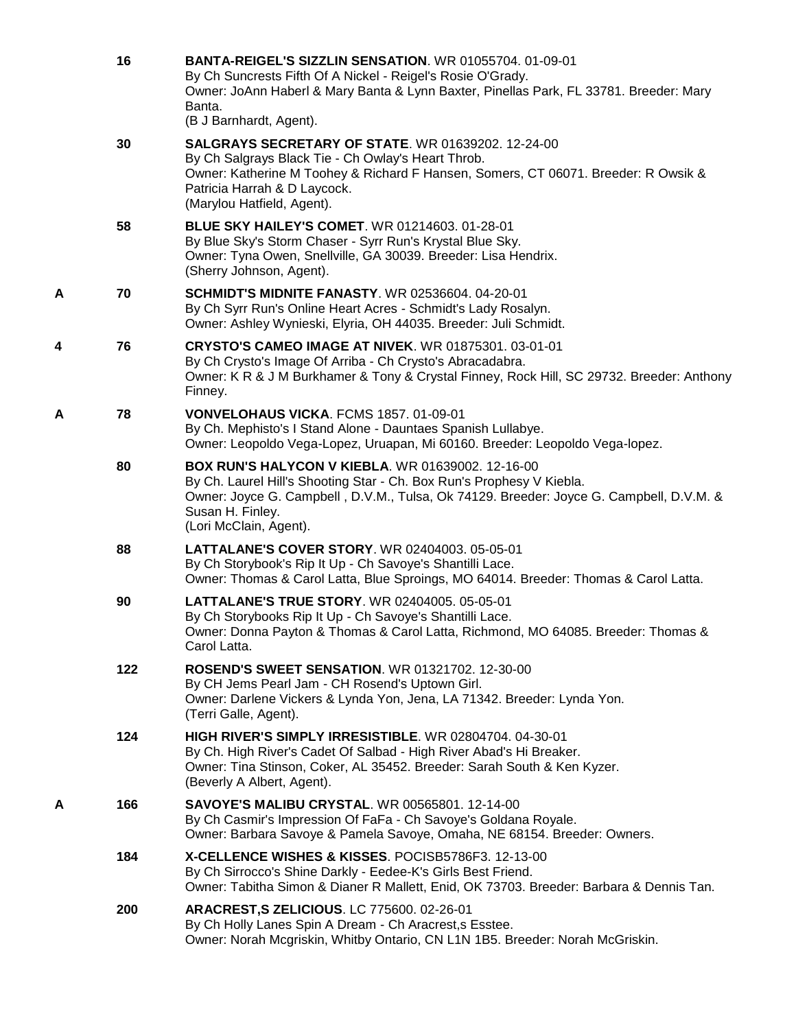|   | 16  | BANTA-REIGEL'S SIZZLIN SENSATION. WR 01055704. 01-09-01<br>By Ch Suncrests Fifth Of A Nickel - Reigel's Rosie O'Grady.<br>Owner: JoAnn Haberl & Mary Banta & Lynn Baxter, Pinellas Park, FL 33781. Breeder: Mary<br>Banta.<br>(B J Barnhardt, Agent).                      |
|---|-----|----------------------------------------------------------------------------------------------------------------------------------------------------------------------------------------------------------------------------------------------------------------------------|
|   | 30  | <b>SALGRAYS SECRETARY OF STATE. WR 01639202. 12-24-00</b><br>By Ch Salgrays Black Tie - Ch Owlay's Heart Throb.<br>Owner: Katherine M Toohey & Richard F Hansen, Somers, CT 06071. Breeder: R Owsik &<br>Patricia Harrah & D Laycock.<br>(Marylou Hatfield, Agent).        |
|   | 58  | <b>BLUE SKY HAILEY'S COMET. WR 01214603. 01-28-01</b><br>By Blue Sky's Storm Chaser - Syrr Run's Krystal Blue Sky.<br>Owner: Tyna Owen, Snellville, GA 30039. Breeder: Lisa Hendrix.<br>(Sherry Johnson, Agent).                                                           |
| Α | 70  | <b>SCHMIDT'S MIDNITE FANASTY. WR 02536604. 04-20-01</b><br>By Ch Syrr Run's Online Heart Acres - Schmidt's Lady Rosalyn.<br>Owner: Ashley Wynieski, Elyria, OH 44035. Breeder: Juli Schmidt.                                                                               |
| 4 | 76  | <b>CRYSTO'S CAMEO IMAGE AT NIVEK.</b> WR 01875301, 03-01-01<br>By Ch Crysto's Image Of Arriba - Ch Crysto's Abracadabra.<br>Owner: K R & J M Burkhamer & Tony & Crystal Finney, Rock Hill, SC 29732. Breeder: Anthony<br>Finney.                                           |
| A | 78  | VONVELOHAUS VICKA. FCMS 1857. 01-09-01<br>By Ch. Mephisto's I Stand Alone - Dauntaes Spanish Lullabye.<br>Owner: Leopoldo Vega-Lopez, Uruapan, Mi 60160. Breeder: Leopoldo Vega-lopez.                                                                                     |
|   | 80  | <b>BOX RUN'S HALYCON V KIEBLA. WR 01639002. 12-16-00</b><br>By Ch. Laurel Hill's Shooting Star - Ch. Box Run's Prophesy V Kiebla.<br>Owner: Joyce G. Campbell, D.V.M., Tulsa, Ok 74129. Breeder: Joyce G. Campbell, D.V.M. &<br>Susan H. Finley.<br>(Lori McClain, Agent). |
|   | 88  | LATTALANE'S COVER STORY. WR 02404003. 05-05-01<br>By Ch Storybook's Rip It Up - Ch Savoye's Shantilli Lace.<br>Owner: Thomas & Carol Latta, Blue Sproings, MO 64014. Breeder: Thomas & Carol Latta.                                                                        |
|   | 90  | <b>LATTALANE'S TRUE STORY. WR 02404005. 05-05-01</b><br>By Ch Storybooks Rip It Up - Ch Savoye's Shantilli Lace.<br>Owner: Donna Payton & Thomas & Carol Latta, Richmond, MO 64085. Breeder: Thomas &<br>Carol Latta.                                                      |
|   | 122 | <b>ROSEND'S SWEET SENSATION. WR 01321702. 12-30-00</b><br>By CH Jems Pearl Jam - CH Rosend's Uptown Girl.<br>Owner: Darlene Vickers & Lynda Yon, Jena, LA 71342. Breeder: Lynda Yon.<br>(Terri Galle, Agent).                                                              |
|   | 124 | HIGH RIVER'S SIMPLY IRRESISTIBLE. WR 02804704. 04-30-01<br>By Ch. High River's Cadet Of Salbad - High River Abad's Hi Breaker.<br>Owner: Tina Stinson, Coker, AL 35452. Breeder: Sarah South & Ken Kyzer.<br>(Beverly A Albert, Agent).                                    |
| Α | 166 | <b>SAVOYE'S MALIBU CRYSTAL. WR 00565801. 12-14-00</b><br>By Ch Casmir's Impression Of FaFa - Ch Savoye's Goldana Royale.<br>Owner: Barbara Savoye & Pamela Savoye, Omaha, NE 68154. Breeder: Owners.                                                                       |
|   | 184 | X-CELLENCE WISHES & KISSES. POCISB5786F3. 12-13-00<br>By Ch Sirrocco's Shine Darkly - Eedee-K's Girls Best Friend.<br>Owner: Tabitha Simon & Dianer R Mallett, Enid, OK 73703. Breeder: Barbara & Dennis Tan.                                                              |
|   | 200 | ARACREST, S ZELICIOUS. LC 775600. 02-26-01<br>By Ch Holly Lanes Spin A Dream - Ch Aracrest, s Esstee.<br>Owner: Norah Mcgriskin, Whitby Ontario, CN L1N 1B5. Breeder: Norah McGriskin.                                                                                     |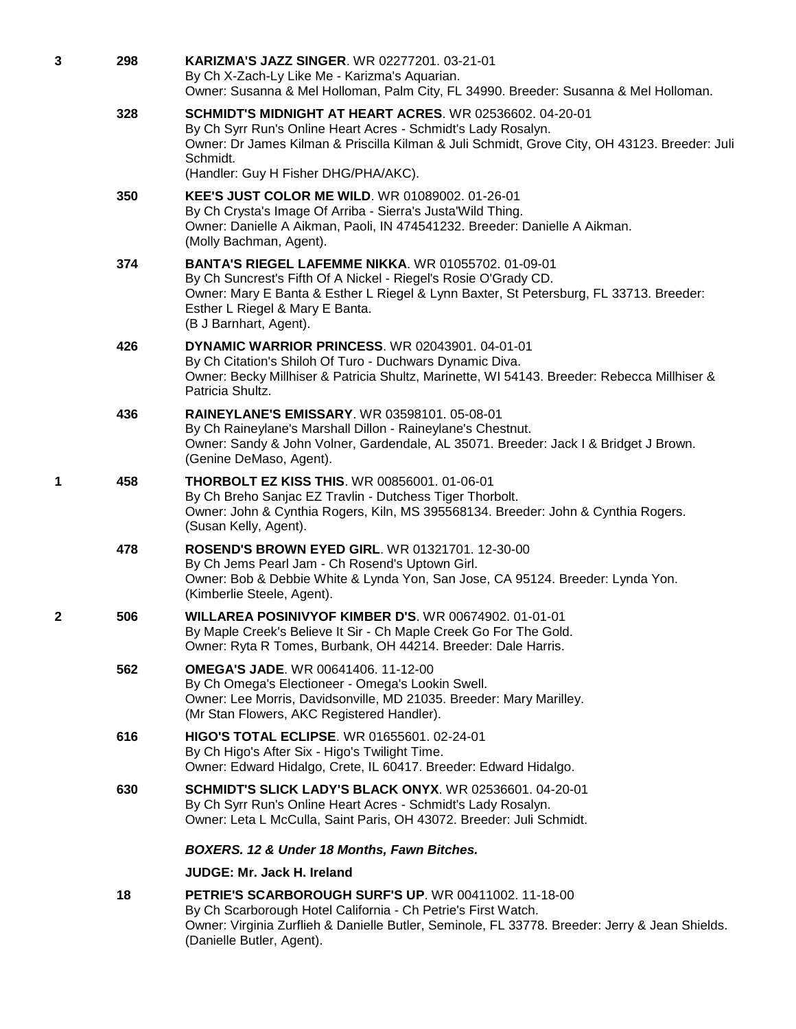| 3 | 298 | <b>KARIZMA'S JAZZ SINGER. WR 02277201. 03-21-01</b><br>By Ch X-Zach-Ly Like Me - Karizma's Aquarian.<br>Owner: Susanna & Mel Holloman, Palm City, FL 34990. Breeder: Susanna & Mel Holloman.                                                                                         |
|---|-----|--------------------------------------------------------------------------------------------------------------------------------------------------------------------------------------------------------------------------------------------------------------------------------------|
|   | 328 | SCHMIDT'S MIDNIGHT AT HEART ACRES. WR 02536602. 04-20-01<br>By Ch Syrr Run's Online Heart Acres - Schmidt's Lady Rosalyn.<br>Owner: Dr James Kilman & Priscilla Kilman & Juli Schmidt, Grove City, OH 43123. Breeder: Juli<br>Schmidt.<br>(Handler: Guy H Fisher DHG/PHA/AKC).       |
|   | 350 | KEE'S JUST COLOR ME WILD. WR 01089002. 01-26-01<br>By Ch Crysta's Image Of Arriba - Sierra's Justa'Wild Thing.<br>Owner: Danielle A Aikman, Paoli, IN 474541232. Breeder: Danielle A Aikman.<br>(Molly Bachman, Agent).                                                              |
|   | 374 | <b>BANTA'S RIEGEL LAFEMME NIKKA. WR 01055702. 01-09-01</b><br>By Ch Suncrest's Fifth Of A Nickel - Riegel's Rosie O'Grady CD.<br>Owner: Mary E Banta & Esther L Riegel & Lynn Baxter, St Petersburg, FL 33713. Breeder:<br>Esther L Riegel & Mary E Banta.<br>(B J Barnhart, Agent). |
|   | 426 | <b>DYNAMIC WARRIOR PRINCESS. WR 02043901, 04-01-01</b><br>By Ch Citation's Shiloh Of Turo - Duchwars Dynamic Diva.<br>Owner: Becky Millhiser & Patricia Shultz, Marinette, WI 54143. Breeder: Rebecca Millhiser &<br>Patricia Shultz.                                                |
|   | 436 | <b>RAINEYLANE'S EMISSARY. WR 03598101. 05-08-01</b><br>By Ch Raineylane's Marshall Dillon - Raineylane's Chestnut.<br>Owner: Sandy & John Volner, Gardendale, AL 35071. Breeder: Jack I & Bridget J Brown.<br>(Genine DeMaso, Agent).                                                |
| 1 | 458 | <b>THORBOLT EZ KISS THIS. WR 00856001. 01-06-01</b><br>By Ch Breho Sanjac EZ Travlin - Dutchess Tiger Thorbolt.<br>Owner: John & Cynthia Rogers, Kiln, MS 395568134. Breeder: John & Cynthia Rogers.<br>(Susan Kelly, Agent).                                                        |
|   | 478 | <b>ROSEND'S BROWN EYED GIRL. WR 01321701. 12-30-00</b><br>By Ch Jems Pearl Jam - Ch Rosend's Uptown Girl.<br>Owner: Bob & Debbie White & Lynda Yon, San Jose, CA 95124. Breeder: Lynda Yon.<br>(Kimberlie Steele, Agent).                                                            |
| 2 | 506 | WILLAREA POSINIVYOF KIMBER D'S. WR 00674902. 01-01-01<br>By Maple Creek's Believe It Sir - Ch Maple Creek Go For The Gold.<br>Owner: Ryta R Tomes, Burbank, OH 44214. Breeder: Dale Harris.                                                                                          |
|   | 562 | <b>OMEGA'S JADE.</b> WR 00641406. 11-12-00<br>By Ch Omega's Electioneer - Omega's Lookin Swell.<br>Owner: Lee Morris, Davidsonville, MD 21035. Breeder: Mary Marilley.<br>(Mr Stan Flowers, AKC Registered Handler).                                                                 |
|   | 616 | HIGO'S TOTAL ECLIPSE. WR 01655601. 02-24-01<br>By Ch Higo's After Six - Higo's Twilight Time.<br>Owner: Edward Hidalgo, Crete, IL 60417. Breeder: Edward Hidalgo.                                                                                                                    |
|   | 630 | SCHMIDT'S SLICK LADY'S BLACK ONYX. WR 02536601. 04-20-01<br>By Ch Syrr Run's Online Heart Acres - Schmidt's Lady Rosalyn.<br>Owner: Leta L McCulla, Saint Paris, OH 43072. Breeder: Juli Schmidt.                                                                                    |
|   |     | BOXERS. 12 & Under 18 Months, Fawn Bitches.                                                                                                                                                                                                                                          |
|   |     | JUDGE: Mr. Jack H. Ireland                                                                                                                                                                                                                                                           |
|   | 18  | <b>PETRIE'S SCARBOROUGH SURF'S UP. WR 00411002. 11-18-00</b><br>By Ch Scarborough Hotel California - Ch Petrie's First Watch.<br>Owner: Virginia Zurflieh & Danielle Butler, Seminole, FL 33778. Breeder: Jerry & Jean Shields.<br>(Danielle Butler, Agent).                         |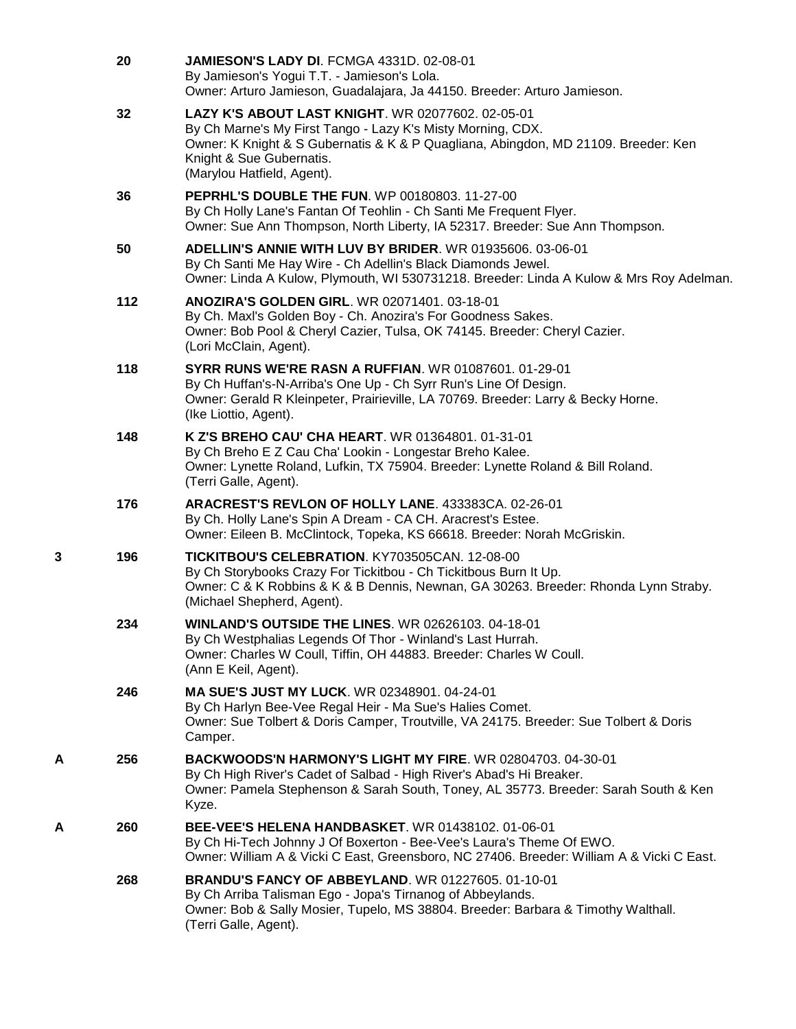|   | 20  | JAMIESON'S LADY DI. FCMGA 4331D. 02-08-01<br>By Jamieson's Yogui T.T. - Jamieson's Lola.<br>Owner: Arturo Jamieson, Guadalajara, Ja 44150. Breeder: Arturo Jamieson.                                                                                             |
|---|-----|------------------------------------------------------------------------------------------------------------------------------------------------------------------------------------------------------------------------------------------------------------------|
|   | 32  | LAZY K'S ABOUT LAST KNIGHT. WR 02077602. 02-05-01<br>By Ch Marne's My First Tango - Lazy K's Misty Morning, CDX.<br>Owner: K Knight & S Gubernatis & K & P Quagliana, Abingdon, MD 21109. Breeder: Ken<br>Knight & Sue Gubernatis.<br>(Marylou Hatfield, Agent). |
|   | 36  | PEPRHL'S DOUBLE THE FUN. WP 00180803. 11-27-00<br>By Ch Holly Lane's Fantan Of Teohlin - Ch Santi Me Frequent Flyer.<br>Owner: Sue Ann Thompson, North Liberty, IA 52317. Breeder: Sue Ann Thompson.                                                             |
|   | 50  | ADELLIN'S ANNIE WITH LUV BY BRIDER. WR 01935606. 03-06-01<br>By Ch Santi Me Hay Wire - Ch Adellin's Black Diamonds Jewel.<br>Owner: Linda A Kulow, Plymouth, WI 530731218. Breeder: Linda A Kulow & Mrs Roy Adelman.                                             |
|   | 112 | ANOZIRA'S GOLDEN GIRL. WR 02071401. 03-18-01<br>By Ch. Maxl's Golden Boy - Ch. Anozira's For Goodness Sakes.<br>Owner: Bob Pool & Cheryl Cazier, Tulsa, OK 74145. Breeder: Cheryl Cazier.<br>(Lori McClain, Agent).                                              |
|   | 118 | <b>SYRR RUNS WE'RE RASN A RUFFIAN. WR 01087601, 01-29-01</b><br>By Ch Huffan's-N-Arriba's One Up - Ch Syrr Run's Line Of Design.<br>Owner: Gerald R Kleinpeter, Prairieville, LA 70769. Breeder: Larry & Becky Horne.<br>(Ike Liottio, Agent).                   |
|   | 148 | K Z'S BREHO CAU' CHA HEART. WR 01364801. 01-31-01<br>By Ch Breho E Z Cau Cha' Lookin - Longestar Breho Kalee.<br>Owner: Lynette Roland, Lufkin, TX 75904. Breeder: Lynette Roland & Bill Roland.<br>(Terri Galle, Agent).                                        |
|   | 176 | ARACREST'S REVLON OF HOLLY LANE. 433383CA. 02-26-01<br>By Ch. Holly Lane's Spin A Dream - CA CH. Aracrest's Estee.<br>Owner: Eileen B. McClintock, Topeka, KS 66618. Breeder: Norah McGriskin.                                                                   |
| 3 | 196 | TICKITBOU'S CELEBRATION. KY703505CAN. 12-08-00<br>By Ch Storybooks Crazy For Tickitbou - Ch Tickitbous Burn It Up.<br>Owner: C & K Robbins & K & B Dennis, Newnan, GA 30263. Breeder: Rhonda Lynn Straby.<br>(Michael Shepherd, Agent).                          |
|   | 234 | <b>WINLAND'S OUTSIDE THE LINES. WR 02626103. 04-18-01</b><br>By Ch Westphalias Legends Of Thor - Winland's Last Hurrah.<br>Owner: Charles W Coull, Tiffin, OH 44883. Breeder: Charles W Coull.<br>(Ann E Keil, Agent).                                           |
|   | 246 | <b>MA SUE'S JUST MY LUCK.</b> WR 02348901, 04-24-01<br>By Ch Harlyn Bee-Vee Regal Heir - Ma Sue's Halies Comet.<br>Owner: Sue Tolbert & Doris Camper, Troutville, VA 24175. Breeder: Sue Tolbert & Doris<br>Camper.                                              |
| A | 256 | BACKWOODS'N HARMONY'S LIGHT MY FIRE. WR 02804703. 04-30-01<br>By Ch High River's Cadet of Salbad - High River's Abad's Hi Breaker.<br>Owner: Pamela Stephenson & Sarah South, Toney, AL 35773. Breeder: Sarah South & Ken<br>Kyze.                               |
| Α | 260 | <b>BEE-VEE'S HELENA HANDBASKET.</b> WR 01438102, 01-06-01<br>By Ch Hi-Tech Johnny J Of Boxerton - Bee-Vee's Laura's Theme Of EWO.<br>Owner: William A & Vicki C East, Greensboro, NC 27406. Breeder: William A & Vicki C East.                                   |
|   | 268 | <b>BRANDU'S FANCY OF ABBEYLAND. WR 01227605. 01-10-01</b><br>By Ch Arriba Talisman Ego - Jopa's Tirnanog of Abbeylands.<br>Owner: Bob & Sally Mosier, Tupelo, MS 38804. Breeder: Barbara & Timothy Walthall.<br>(Terri Galle, Agent).                            |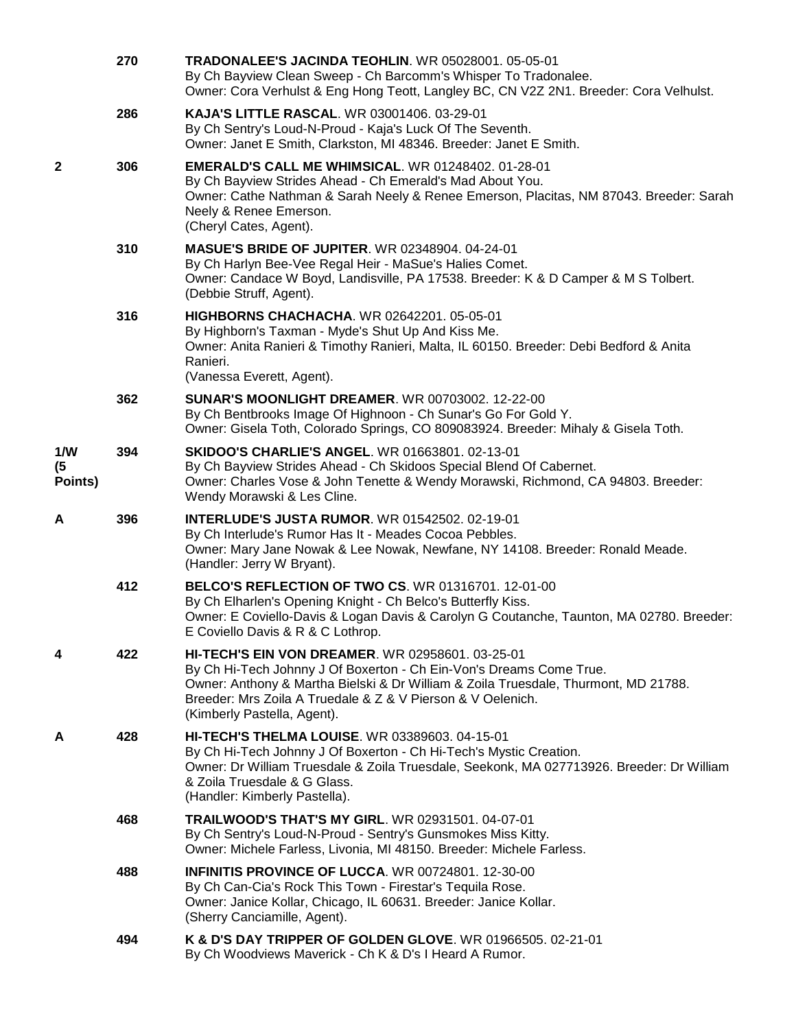|                      | 270 | <b>TRADONALEE'S JACINDA TEOHLIN. WR 05028001, 05-05-01</b><br>By Ch Bayview Clean Sweep - Ch Barcomm's Whisper To Tradonalee.<br>Owner: Cora Verhulst & Eng Hong Teott, Langley BC, CN V2Z 2N1. Breeder: Cora Velhulst.                                                                                             |
|----------------------|-----|---------------------------------------------------------------------------------------------------------------------------------------------------------------------------------------------------------------------------------------------------------------------------------------------------------------------|
|                      | 286 | <b>KAJA'S LITTLE RASCAL. WR 03001406. 03-29-01</b><br>By Ch Sentry's Loud-N-Proud - Kaja's Luck Of The Seventh.<br>Owner: Janet E Smith, Clarkston, MI 48346. Breeder: Janet E Smith.                                                                                                                               |
| 2                    | 306 | <b>EMERALD'S CALL ME WHIMSICAL. WR 01248402. 01-28-01</b><br>By Ch Bayview Strides Ahead - Ch Emerald's Mad About You.<br>Owner: Cathe Nathman & Sarah Neely & Renee Emerson, Placitas, NM 87043. Breeder: Sarah<br>Neely & Renee Emerson.<br>(Cheryl Cates, Agent).                                                |
|                      | 310 | <b>MASUE'S BRIDE OF JUPITER. WR 02348904. 04-24-01</b><br>By Ch Harlyn Bee-Vee Regal Heir - MaSue's Halies Comet.<br>Owner: Candace W Boyd, Landisville, PA 17538. Breeder: K & D Camper & M S Tolbert.<br>(Debbie Struff, Agent).                                                                                  |
|                      | 316 | <b>HIGHBORNS CHACHACHA. WR 02642201. 05-05-01</b><br>By Highborn's Taxman - Myde's Shut Up And Kiss Me.<br>Owner: Anita Ranieri & Timothy Ranieri, Malta, IL 60150. Breeder: Debi Bedford & Anita<br>Ranieri.<br>(Vanessa Everett, Agent).                                                                          |
|                      | 362 | <b>SUNAR'S MOONLIGHT DREAMER.</b> WR 00703002. 12-22-00<br>By Ch Bentbrooks Image Of Highnoon - Ch Sunar's Go For Gold Y.<br>Owner: Gisela Toth, Colorado Springs, CO 809083924. Breeder: Mihaly & Gisela Toth.                                                                                                     |
| 1/W<br>(5<br>Points) | 394 | <b>SKIDOO'S CHARLIE'S ANGEL. WR 01663801. 02-13-01</b><br>By Ch Bayview Strides Ahead - Ch Skidoos Special Blend Of Cabernet.<br>Owner: Charles Vose & John Tenette & Wendy Morawski, Richmond, CA 94803. Breeder:<br>Wendy Morawski & Les Cline.                                                                   |
| A                    | 396 | <b>INTERLUDE'S JUSTA RUMOR. WR 01542502. 02-19-01</b><br>By Ch Interlude's Rumor Has It - Meades Cocoa Pebbles.<br>Owner: Mary Jane Nowak & Lee Nowak, Newfane, NY 14108. Breeder: Ronald Meade.<br>(Handler: Jerry W Bryant).                                                                                      |
|                      | 412 | BELCO'S REFLECTION OF TWO CS. WR 01316701. 12-01-00<br>By Ch Elharlen's Opening Knight - Ch Belco's Butterfly Kiss.<br>Owner: E Coviello-Davis & Logan Davis & Carolyn G Coutanche, Taunton, MA 02780. Breeder:<br>E Coviello Davis & R & C Lothrop.                                                                |
| 4                    | 422 | <b>HI-TECH'S EIN VON DREAMER. WR 02958601. 03-25-01</b><br>By Ch Hi-Tech Johnny J Of Boxerton - Ch Ein-Von's Dreams Come True.<br>Owner: Anthony & Martha Bielski & Dr William & Zoila Truesdale, Thurmont, MD 21788.<br>Breeder: Mrs Zoila A Truedale & Z & V Pierson & V Oelenich.<br>(Kimberly Pastella, Agent). |
| Α                    | 428 | <b>HI-TECH'S THELMA LOUISE. WR 03389603. 04-15-01</b><br>By Ch Hi-Tech Johnny J Of Boxerton - Ch Hi-Tech's Mystic Creation.<br>Owner: Dr William Truesdale & Zoila Truesdale, Seekonk, MA 027713926. Breeder: Dr William<br>& Zoila Truesdale & G Glass.<br>(Handler: Kimberly Pastella).                           |
|                      | 468 | <b>TRAILWOOD'S THAT'S MY GIRL. WR 02931501. 04-07-01</b><br>By Ch Sentry's Loud-N-Proud - Sentry's Gunsmokes Miss Kitty.<br>Owner: Michele Farless, Livonia, MI 48150. Breeder: Michele Farless.                                                                                                                    |
|                      | 488 | <b>INFINITIS PROVINCE OF LUCCA.</b> WR 00724801, 12-30-00<br>By Ch Can-Cia's Rock This Town - Firestar's Tequila Rose.<br>Owner: Janice Kollar, Chicago, IL 60631. Breeder: Janice Kollar.<br>(Sherry Canciamille, Agent).                                                                                          |
|                      | 494 | K & D'S DAY TRIPPER OF GOLDEN GLOVE. WR 01966505. 02-21-01<br>By Ch Woodviews Maverick - Ch K & D's I Heard A Rumor.                                                                                                                                                                                                |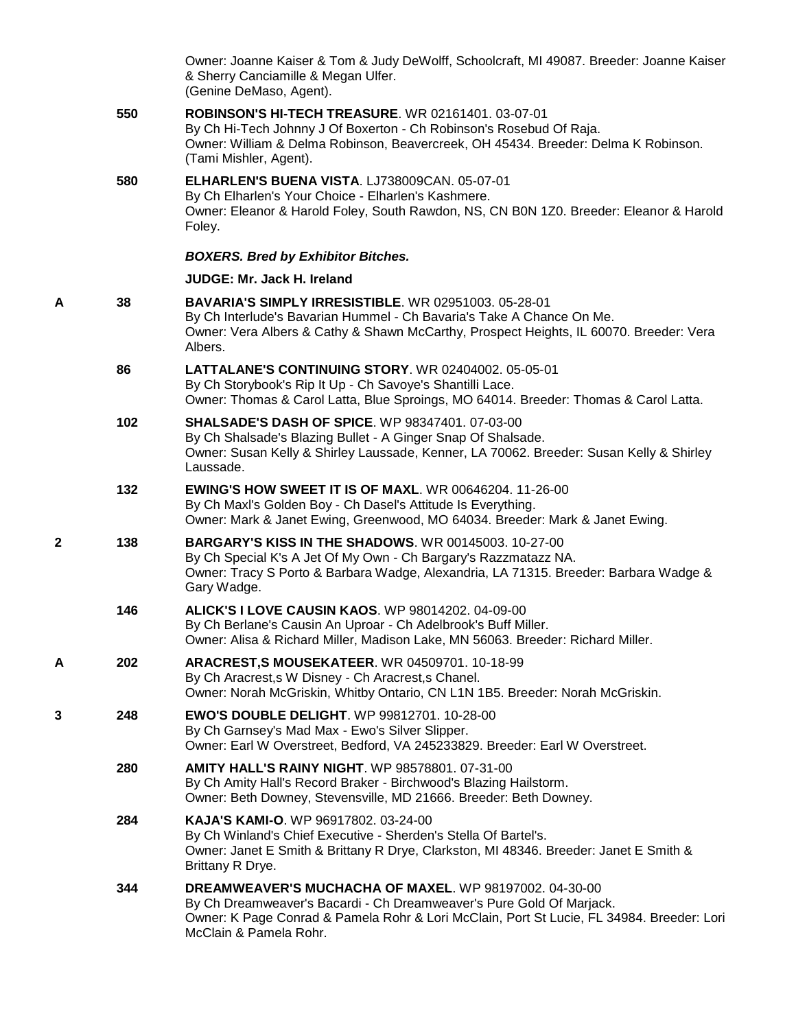|   |     | Owner: Joanne Kaiser & Tom & Judy DeWolff, Schoolcraft, MI 49087. Breeder: Joanne Kaiser<br>& Sherry Canciamille & Megan Ulfer.<br>(Genine DeMaso, Agent).                                                                                            |
|---|-----|-------------------------------------------------------------------------------------------------------------------------------------------------------------------------------------------------------------------------------------------------------|
|   | 550 | <b>ROBINSON'S HI-TECH TREASURE. WR 02161401. 03-07-01</b><br>By Ch Hi-Tech Johnny J Of Boxerton - Ch Robinson's Rosebud Of Raja.<br>Owner: William & Delma Robinson, Beavercreek, OH 45434. Breeder: Delma K Robinson.<br>(Tami Mishler, Agent).      |
|   | 580 | ELHARLEN'S BUENA VISTA. LJ738009CAN. 05-07-01<br>By Ch Elharlen's Your Choice - Elharlen's Kashmere.<br>Owner: Eleanor & Harold Foley, South Rawdon, NS, CN B0N 1Z0. Breeder: Eleanor & Harold<br>Foley.                                              |
|   |     | <b>BOXERS. Bred by Exhibitor Bitches.</b>                                                                                                                                                                                                             |
|   |     | <b>JUDGE: Mr. Jack H. Ireland</b>                                                                                                                                                                                                                     |
| A | 38  | BAVARIA'S SIMPLY IRRESISTIBLE. WR 02951003. 05-28-01<br>By Ch Interlude's Bavarian Hummel - Ch Bavaria's Take A Chance On Me.<br>Owner: Vera Albers & Cathy & Shawn McCarthy, Prospect Heights, IL 60070. Breeder: Vera<br>Albers.                    |
|   | 86  | <b>LATTALANE'S CONTINUING STORY. WR 02404002. 05-05-01</b><br>By Ch Storybook's Rip It Up - Ch Savoye's Shantilli Lace.<br>Owner: Thomas & Carol Latta, Blue Sproings, MO 64014. Breeder: Thomas & Carol Latta.                                       |
|   | 102 | <b>SHALSADE'S DASH OF SPICE. WP 98347401. 07-03-00</b><br>By Ch Shalsade's Blazing Bullet - A Ginger Snap Of Shalsade.<br>Owner: Susan Kelly & Shirley Laussade, Kenner, LA 70062. Breeder: Susan Kelly & Shirley<br>Laussade.                        |
|   | 132 | <b>EWING'S HOW SWEET IT IS OF MAXL. WR 00646204. 11-26-00</b><br>By Ch Maxl's Golden Boy - Ch Dasel's Attitude Is Everything.<br>Owner: Mark & Janet Ewing, Greenwood, MO 64034. Breeder: Mark & Janet Ewing.                                         |
| 2 | 138 | <b>BARGARY'S KISS IN THE SHADOWS. WR 00145003. 10-27-00</b><br>By Ch Special K's A Jet Of My Own - Ch Bargary's Razzmatazz NA.<br>Owner: Tracy S Porto & Barbara Wadge, Alexandria, LA 71315. Breeder: Barbara Wadge &<br>Gary Wadge.                 |
|   | 146 | <b>ALICK'S I LOVE CAUSIN KAOS. WP 98014202. 04-09-00</b><br>By Ch Berlane's Causin An Uproar - Ch Adelbrook's Buff Miller.<br>Owner: Alisa & Richard Miller, Madison Lake, MN 56063. Breeder: Richard Miller.                                         |
| A | 202 | ARACREST, S MOUSEKATEER. WR 04509701. 10-18-99<br>By Ch Aracrest, s W Disney - Ch Aracrest, s Chanel.<br>Owner: Norah McGriskin, Whitby Ontario, CN L1N 1B5. Breeder: Norah McGriskin.                                                                |
| 3 | 248 | <b>EWO'S DOUBLE DELIGHT. WP 99812701. 10-28-00</b><br>By Ch Garnsey's Mad Max - Ewo's Silver Slipper.<br>Owner: Earl W Overstreet, Bedford, VA 245233829. Breeder: Earl W Overstreet.                                                                 |
|   | 280 | <b>AMITY HALL'S RAINY NIGHT. WP 98578801. 07-31-00</b><br>By Ch Amity Hall's Record Braker - Birchwood's Blazing Hailstorm.<br>Owner: Beth Downey, Stevensville, MD 21666. Breeder: Beth Downey.                                                      |
|   | 284 | <b>KAJA'S KAMI-O. WP 96917802. 03-24-00</b><br>By Ch Winland's Chief Executive - Sherden's Stella Of Bartel's.<br>Owner: Janet E Smith & Brittany R Drye, Clarkston, MI 48346. Breeder: Janet E Smith &<br>Brittany R Drye.                           |
|   | 344 | DREAMWEAVER'S MUCHACHA OF MAXEL. WP 98197002. 04-30-00<br>By Ch Dreamweaver's Bacardi - Ch Dreamweaver's Pure Gold Of Marjack.<br>Owner: K Page Conrad & Pamela Rohr & Lori McClain, Port St Lucie, FL 34984. Breeder: Lori<br>McClain & Pamela Rohr. |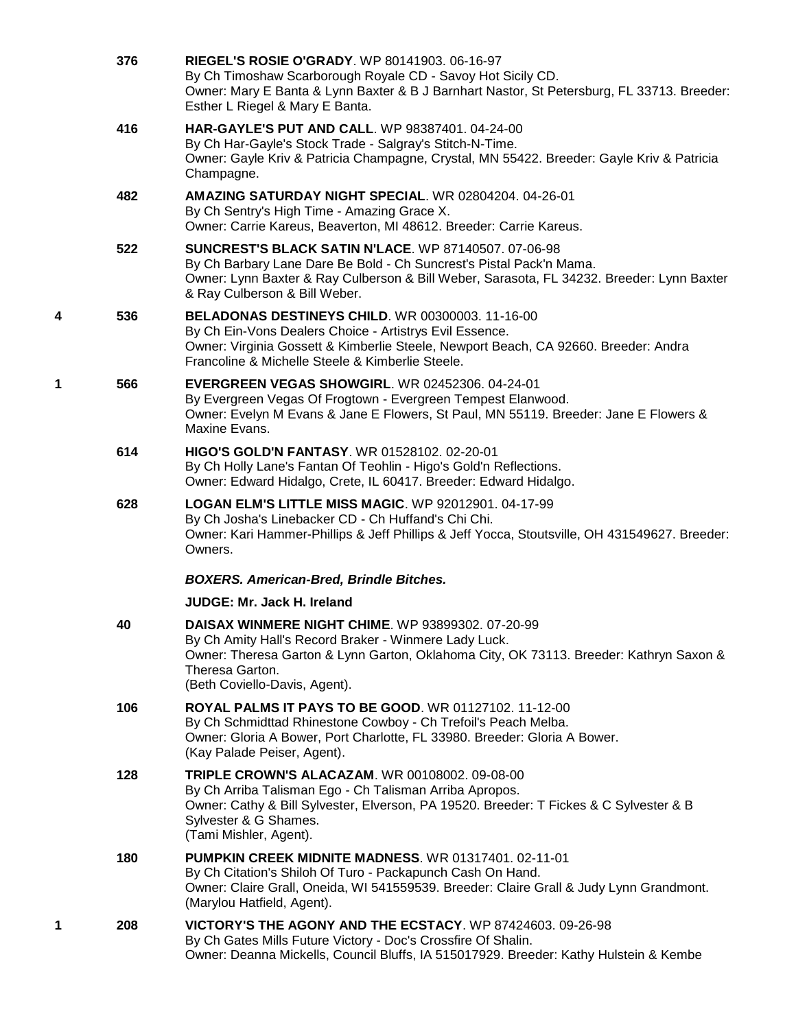|   | 376 | <b>RIEGEL'S ROSIE O'GRADY.</b> WP 80141903, 06-16-97<br>By Ch Timoshaw Scarborough Royale CD - Savoy Hot Sicily CD.<br>Owner: Mary E Banta & Lynn Baxter & B J Barnhart Nastor, St Petersburg, FL 33713. Breeder:<br>Esther L Riegel & Mary E Banta.             |
|---|-----|------------------------------------------------------------------------------------------------------------------------------------------------------------------------------------------------------------------------------------------------------------------|
|   | 416 | HAR-GAYLE'S PUT AND CALL. WP 98387401. 04-24-00<br>By Ch Har-Gayle's Stock Trade - Salgray's Stitch-N-Time.<br>Owner: Gayle Kriv & Patricia Champagne, Crystal, MN 55422. Breeder: Gayle Kriv & Patricia<br>Champagne.                                           |
|   | 482 | AMAZING SATURDAY NIGHT SPECIAL. WR 02804204. 04-26-01<br>By Ch Sentry's High Time - Amazing Grace X.<br>Owner: Carrie Kareus, Beaverton, MI 48612. Breeder: Carrie Kareus.                                                                                       |
|   | 522 | <b>SUNCREST'S BLACK SATIN N'LACE.</b> WP 87140507. 07-06-98<br>By Ch Barbary Lane Dare Be Bold - Ch Suncrest's Pistal Pack'n Mama.<br>Owner: Lynn Baxter & Ray Culberson & Bill Weber, Sarasota, FL 34232. Breeder: Lynn Baxter<br>& Ray Culberson & Bill Weber. |
| 4 | 536 | <b>BELADONAS DESTINEYS CHILD. WR 00300003. 11-16-00</b><br>By Ch Ein-Vons Dealers Choice - Artistrys Evil Essence.<br>Owner: Virginia Gossett & Kimberlie Steele, Newport Beach, CA 92660. Breeder: Andra<br>Francoline & Michelle Steele & Kimberlie Steele.    |
| 1 | 566 | EVERGREEN VEGAS SHOWGIRL. WR 02452306. 04-24-01<br>By Evergreen Vegas Of Frogtown - Evergreen Tempest Elanwood.<br>Owner: Evelyn M Evans & Jane E Flowers, St Paul, MN 55119. Breeder: Jane E Flowers &<br>Maxine Evans.                                         |
|   | 614 | <b>HIGO'S GOLD'N FANTASY.</b> WR 01528102. 02-20-01<br>By Ch Holly Lane's Fantan Of Teohlin - Higo's Gold'n Reflections.<br>Owner: Edward Hidalgo, Crete, IL 60417. Breeder: Edward Hidalgo.                                                                     |
|   | 628 | <b>LOGAN ELM'S LITTLE MISS MAGIC. WP 92012901. 04-17-99</b><br>By Ch Josha's Linebacker CD - Ch Huffand's Chi Chi.<br>Owner: Kari Hammer-Phillips & Jeff Phillips & Jeff Yocca, Stoutsville, OH 431549627. Breeder:<br>Owners.                                   |
|   |     | <b>BOXERS. American-Bred, Brindle Bitches.</b>                                                                                                                                                                                                                   |
|   |     | JUDGE: Mr. Jack H. Ireland                                                                                                                                                                                                                                       |
|   | 40  | <b>DAISAX WINMERE NIGHT CHIME.</b> WP 93899302. 07-20-99<br>By Ch Amity Hall's Record Braker - Winmere Lady Luck.<br>Owner: Theresa Garton & Lynn Garton, Oklahoma City, OK 73113. Breeder: Kathryn Saxon &<br>Theresa Garton.<br>(Beth Coviello-Davis, Agent).  |
|   | 106 | ROYAL PALMS IT PAYS TO BE GOOD. WR 01127102. 11-12-00<br>By Ch Schmidttad Rhinestone Cowboy - Ch Trefoil's Peach Melba.<br>Owner: Gloria A Bower, Port Charlotte, FL 33980. Breeder: Gloria A Bower.<br>(Kay Palade Peiser, Agent).                              |
|   | 128 | <b>TRIPLE CROWN'S ALACAZAM. WR 00108002. 09-08-00</b><br>By Ch Arriba Talisman Ego - Ch Talisman Arriba Apropos.<br>Owner: Cathy & Bill Sylvester, Elverson, PA 19520. Breeder: T Fickes & C Sylvester & B<br>Sylvester & G Shames.<br>(Tami Mishler, Agent).    |
|   | 180 | <b>PUMPKIN CREEK MIDNITE MADNESS. WR 01317401. 02-11-01</b><br>By Ch Citation's Shiloh Of Turo - Packapunch Cash On Hand.<br>Owner: Claire Grall, Oneida, WI 541559539. Breeder: Claire Grall & Judy Lynn Grandmont.<br>(Marylou Hatfield, Agent).               |
| 1 | 208 | VICTORY'S THE AGONY AND THE ECSTACY. WP 87424603. 09-26-98<br>By Ch Gates Mills Future Victory - Doc's Crossfire Of Shalin.<br>Owner: Deanna Mickells, Council Bluffs, IA 515017929. Breeder: Kathy Hulstein & Kembe                                             |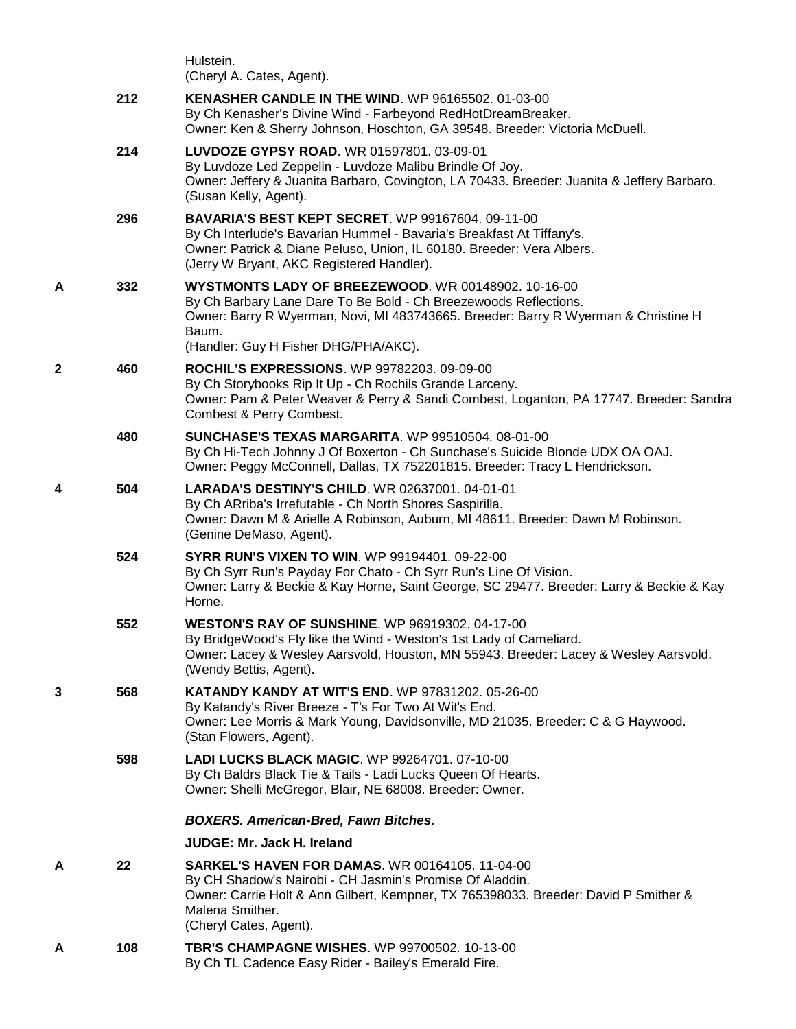|   |     | Hulstein.<br>(Cheryl A. Cates, Agent).                                                                                                                                                                                                                         |
|---|-----|----------------------------------------------------------------------------------------------------------------------------------------------------------------------------------------------------------------------------------------------------------------|
|   | 212 | <b>KENASHER CANDLE IN THE WIND. WP 96165502. 01-03-00</b><br>By Ch Kenasher's Divine Wind - Farbeyond RedHotDreamBreaker.<br>Owner: Ken & Sherry Johnson, Hoschton, GA 39548. Breeder: Victoria McDuell.                                                       |
|   | 214 | LUVDOZE GYPSY ROAD. WR 01597801. 03-09-01<br>By Luvdoze Led Zeppelin - Luvdoze Malibu Brindle Of Joy.<br>Owner: Jeffery & Juanita Barbaro, Covington, LA 70433. Breeder: Juanita & Jeffery Barbaro.<br>(Susan Kelly, Agent).                                   |
|   | 296 | <b>BAVARIA'S BEST KEPT SECRET.</b> WP 99167604. 09-11-00<br>By Ch Interlude's Bavarian Hummel - Bavaria's Breakfast At Tiffany's.<br>Owner: Patrick & Diane Peluso, Union, IL 60180. Breeder: Vera Albers.<br>(Jerry W Bryant, AKC Registered Handler).        |
| A | 332 | WYSTMONTS LADY OF BREEZEWOOD. WR 00148902. 10-16-00<br>By Ch Barbary Lane Dare To Be Bold - Ch Breezewoods Reflections.<br>Owner: Barry R Wyerman, Novi, MI 483743665. Breeder: Barry R Wyerman & Christine H<br>Baum.<br>(Handler: Guy H Fisher DHG/PHA/AKC). |
| 2 | 460 | ROCHIL'S EXPRESSIONS. WP 99782203. 09-09-00<br>By Ch Storybooks Rip It Up - Ch Rochils Grande Larceny.<br>Owner: Pam & Peter Weaver & Perry & Sandi Combest, Loganton, PA 17747. Breeder: Sandra<br>Combest & Perry Combest.                                   |
|   | 480 | <b>SUNCHASE'S TEXAS MARGARITA. WP 99510504. 08-01-00</b><br>By Ch Hi-Tech Johnny J Of Boxerton - Ch Sunchase's Suicide Blonde UDX OA OAJ.<br>Owner: Peggy McConnell, Dallas, TX 752201815. Breeder: Tracy L Hendrickson.                                       |
| 4 | 504 | <b>LARADA'S DESTINY'S CHILD. WR 02637001. 04-01-01</b><br>By Ch ARriba's Irrefutable - Ch North Shores Saspirilla.<br>Owner: Dawn M & Arielle A Robinson, Auburn, MI 48611. Breeder: Dawn M Robinson.<br>(Genine DeMaso, Agent).                               |
|   | 524 | <b>SYRR RUN'S VIXEN TO WIN. WP 99194401. 09-22-00</b><br>By Ch Syrr Run's Payday For Chato - Ch Syrr Run's Line Of Vision.<br>Owner: Larry & Beckie & Kay Horne, Saint George, SC 29477. Breeder: Larry & Beckie & Kay<br>Horne.                               |
|   | 552 | <b>WESTON'S RAY OF SUNSHINE.</b> WP 96919302. 04-17-00<br>By BridgeWood's Fly like the Wind - Weston's 1st Lady of Cameliard.<br>Owner: Lacey & Wesley Aarsvold, Houston, MN 55943. Breeder: Lacey & Wesley Aarsvold.<br>(Wendy Bettis, Agent).                |
| 3 | 568 | <b>KATANDY KANDY AT WIT'S END. WP 97831202. 05-26-00</b><br>By Katandy's River Breeze - T's For Two At Wit's End.<br>Owner: Lee Morris & Mark Young, Davidsonville, MD 21035. Breeder: C & G Haywood.<br>(Stan Flowers, Agent).                                |
|   | 598 | <b>LADI LUCKS BLACK MAGIC. WP 99264701, 07-10-00</b><br>By Ch Baldrs Black Tie & Tails - Ladi Lucks Queen Of Hearts.<br>Owner: Shelli McGregor, Blair, NE 68008. Breeder: Owner.                                                                               |
|   |     | <b>BOXERS. American-Bred, Fawn Bitches.</b>                                                                                                                                                                                                                    |
|   |     | <b>JUDGE: Mr. Jack H. Ireland</b>                                                                                                                                                                                                                              |
| A | 22  | <b>SARKEL'S HAVEN FOR DAMAS. WR 00164105, 11-04-00</b><br>By CH Shadow's Nairobi - CH Jasmin's Promise Of Aladdin.<br>Owner: Carrie Holt & Ann Gilbert, Kempner, TX 765398033. Breeder: David P Smither &<br>Malena Smither.<br>(Cheryl Cates, Agent).         |
| A | 108 | <b>TBR'S CHAMPAGNE WISHES. WP 99700502. 10-13-00</b><br>By Ch TL Cadence Easy Rider - Bailey's Emerald Fire.                                                                                                                                                   |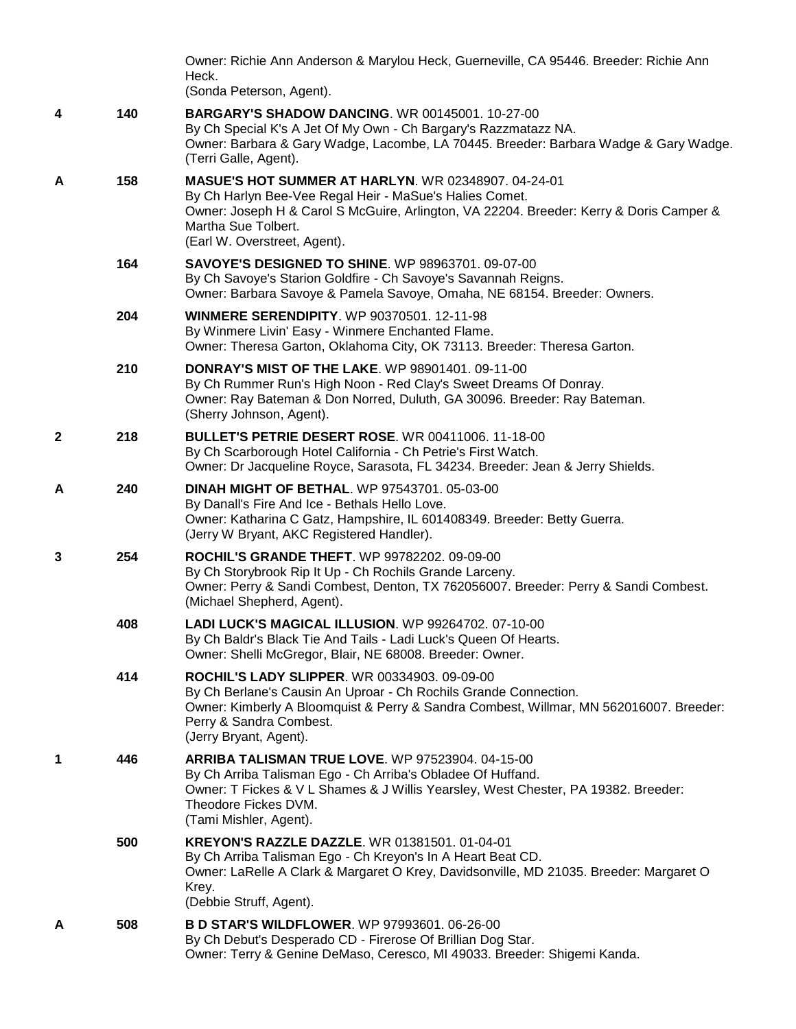|              |     | Owner: Richie Ann Anderson & Marylou Heck, Guerneville, CA 95446. Breeder: Richie Ann<br>Heck.<br>(Sonda Peterson, Agent).                                                                                                                                              |
|--------------|-----|-------------------------------------------------------------------------------------------------------------------------------------------------------------------------------------------------------------------------------------------------------------------------|
| 4            | 140 | <b>BARGARY'S SHADOW DANCING.</b> WR 00145001. 10-27-00<br>By Ch Special K's A Jet Of My Own - Ch Bargary's Razzmatazz NA.<br>Owner: Barbara & Gary Wadge, Lacombe, LA 70445. Breeder: Barbara Wadge & Gary Wadge.<br>(Terri Galle, Agent).                              |
| A            | 158 | <b>MASUE'S HOT SUMMER AT HARLYN. WR 02348907. 04-24-01</b><br>By Ch Harlyn Bee-Vee Regal Heir - MaSue's Halies Comet.<br>Owner: Joseph H & Carol S McGuire, Arlington, VA 22204. Breeder: Kerry & Doris Camper &<br>Martha Sue Tolbert.<br>(Earl W. Overstreet, Agent). |
|              | 164 | <b>SAVOYE'S DESIGNED TO SHINE. WP 98963701. 09-07-00</b><br>By Ch Savoye's Starion Goldfire - Ch Savoye's Savannah Reigns.<br>Owner: Barbara Savoye & Pamela Savoye, Omaha, NE 68154. Breeder: Owners.                                                                  |
|              | 204 | <b>WINMERE SERENDIPITY.</b> WP 90370501. 12-11-98<br>By Winmere Livin' Easy - Winmere Enchanted Flame.<br>Owner: Theresa Garton, Oklahoma City, OK 73113. Breeder: Theresa Garton.                                                                                      |
|              | 210 | <b>DONRAY'S MIST OF THE LAKE. WP 98901401. 09-11-00</b><br>By Ch Rummer Run's High Noon - Red Clay's Sweet Dreams Of Donray.<br>Owner: Ray Bateman & Don Norred, Duluth, GA 30096. Breeder: Ray Bateman.<br>(Sherry Johnson, Agent).                                    |
| $\mathbf{2}$ | 218 | <b>BULLET'S PETRIE DESERT ROSE. WR 00411006. 11-18-00</b><br>By Ch Scarborough Hotel California - Ch Petrie's First Watch.<br>Owner: Dr Jacqueline Royce, Sarasota, FL 34234. Breeder: Jean & Jerry Shields.                                                            |
| A            | 240 | <b>DINAH MIGHT OF BETHAL. WP 97543701. 05-03-00</b><br>By Danall's Fire And Ice - Bethals Hello Love.<br>Owner: Katharina C Gatz, Hampshire, IL 601408349. Breeder: Betty Guerra.<br>(Jerry W Bryant, AKC Registered Handler).                                          |
| 3            | 254 | ROCHIL'S GRANDE THEFT. WP 99782202. 09-09-00<br>By Ch Storybrook Rip It Up - Ch Rochils Grande Larceny.<br>Owner: Perry & Sandi Combest, Denton, TX 762056007. Breeder: Perry & Sandi Combest.<br>(Michael Shepherd, Agent).                                            |
|              | 408 | LADI LUCK'S MAGICAL ILLUSION. WP 99264702, 07-10-00<br>By Ch Baldr's Black Tie And Tails - Ladi Luck's Queen Of Hearts.<br>Owner: Shelli McGregor, Blair, NE 68008. Breeder: Owner.                                                                                     |
|              | 414 | <b>ROCHIL'S LADY SLIPPER. WR 00334903. 09-09-00</b><br>By Ch Berlane's Causin An Uproar - Ch Rochils Grande Connection.<br>Owner: Kimberly A Bloomquist & Perry & Sandra Combest, Willmar, MN 562016007. Breeder:<br>Perry & Sandra Combest.<br>(Jerry Bryant, Agent).  |
| 1            | 446 | <b>ARRIBA TALISMAN TRUE LOVE.</b> WP 97523904. 04-15-00<br>By Ch Arriba Talisman Ego - Ch Arriba's Obladee Of Huffand.<br>Owner: T Fickes & V L Shames & J Willis Yearsley, West Chester, PA 19382. Breeder:<br>Theodore Fickes DVM.<br>(Tami Mishler, Agent).          |
|              | 500 | <b>KREYON'S RAZZLE DAZZLE. WR 01381501. 01-04-01</b><br>By Ch Arriba Talisman Ego - Ch Kreyon's In A Heart Beat CD.<br>Owner: LaRelle A Clark & Margaret O Krey, Davidsonville, MD 21035. Breeder: Margaret O<br>Krey.<br>(Debbie Struff, Agent).                       |
| A            | 508 | <b>B D STAR'S WILDFLOWER.</b> WP 97993601. 06-26-00<br>By Ch Debut's Desperado CD - Firerose Of Brillian Dog Star.<br>Owner: Terry & Genine DeMaso, Ceresco, MI 49033. Breeder: Shigemi Kanda.                                                                          |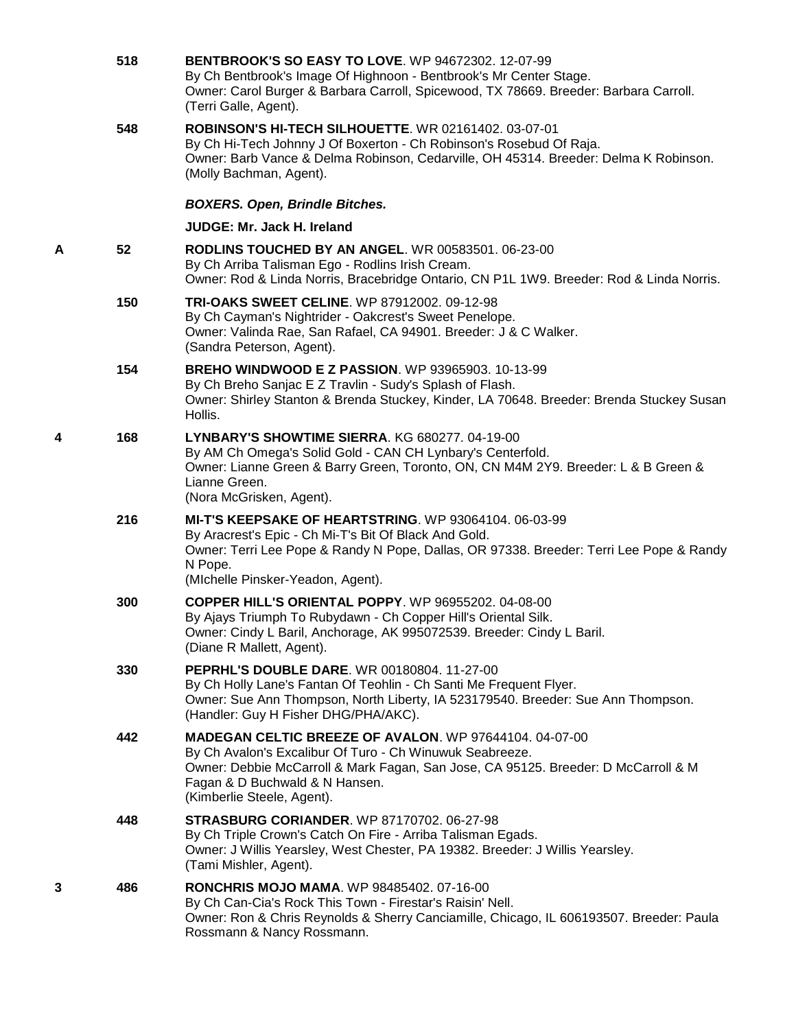|   | 518 | <b>BENTBROOK'S SO EASY TO LOVE. WP 94672302. 12-07-99</b><br>By Ch Bentbrook's Image Of Highnoon - Bentbrook's Mr Center Stage.<br>Owner: Carol Burger & Barbara Carroll, Spicewood, TX 78669. Breeder: Barbara Carroll.<br>(Terri Galle, Agent).                               |
|---|-----|---------------------------------------------------------------------------------------------------------------------------------------------------------------------------------------------------------------------------------------------------------------------------------|
|   | 548 | ROBINSON'S HI-TECH SILHOUETTE, WR 02161402, 03-07-01<br>By Ch Hi-Tech Johnny J Of Boxerton - Ch Robinson's Rosebud Of Raja.<br>Owner: Barb Vance & Delma Robinson, Cedarville, OH 45314. Breeder: Delma K Robinson.<br>(Molly Bachman, Agent).                                  |
|   |     | <b>BOXERS. Open, Brindle Bitches.</b>                                                                                                                                                                                                                                           |
|   |     | <b>JUDGE: Mr. Jack H. Ireland</b>                                                                                                                                                                                                                                               |
| Α | 52  | <b>RODLINS TOUCHED BY AN ANGEL. WR 00583501. 06-23-00</b><br>By Ch Arriba Talisman Ego - Rodlins Irish Cream.<br>Owner: Rod & Linda Norris, Bracebridge Ontario, CN P1L 1W9. Breeder: Rod & Linda Norris.                                                                       |
|   | 150 | <b>TRI-OAKS SWEET CELINE. WP 87912002. 09-12-98</b><br>By Ch Cayman's Nightrider - Oakcrest's Sweet Penelope.<br>Owner: Valinda Rae, San Rafael, CA 94901. Breeder: J & C Walker.<br>(Sandra Peterson, Agent).                                                                  |
|   | 154 | <b>BREHO WINDWOOD E Z PASSION. WP 93965903. 10-13-99</b><br>By Ch Breho Sanjac E Z Travlin - Sudy's Splash of Flash.<br>Owner: Shirley Stanton & Brenda Stuckey, Kinder, LA 70648. Breeder: Brenda Stuckey Susan<br>Hollis.                                                     |
| 4 | 168 | LYNBARY'S SHOWTIME SIERRA. KG 680277. 04-19-00<br>By AM Ch Omega's Solid Gold - CAN CH Lynbary's Centerfold.<br>Owner: Lianne Green & Barry Green, Toronto, ON, CN M4M 2Y9. Breeder: L & B Green &<br>Lianne Green.<br>(Nora McGrisken, Agent).                                 |
|   | 216 | <b>MI-T'S KEEPSAKE OF HEARTSTRING. WP 93064104. 06-03-99</b><br>By Aracrest's Epic - Ch Mi-T's Bit Of Black And Gold.<br>Owner: Terri Lee Pope & Randy N Pope, Dallas, OR 97338. Breeder: Terri Lee Pope & Randy<br>N Pope.<br>(Michelle Pinsker-Yeadon, Agent).                |
|   | 300 | <b>COPPER HILL'S ORIENTAL POPPY.</b> WP 96955202. 04-08-00<br>By Ajays Triumph To Rubydawn - Ch Copper Hill's Oriental Silk.<br>Owner: Cindy L Baril, Anchorage, AK 995072539. Breeder: Cindy L Baril.<br>(Diane R Mallett, Agent).                                             |
|   | 330 | <b>PEPRHL'S DOUBLE DARE.</b> WR 00180804. 11-27-00<br>By Ch Holly Lane's Fantan Of Teohlin - Ch Santi Me Frequent Flyer.<br>Owner: Sue Ann Thompson, North Liberty, IA 523179540. Breeder: Sue Ann Thompson.<br>(Handler: Guy H Fisher DHG/PHA/AKC).                            |
|   | 442 | <b>MADEGAN CELTIC BREEZE OF AVALON. WP 97644104. 04-07-00</b><br>By Ch Avalon's Excalibur Of Turo - Ch Winuwuk Seabreeze.<br>Owner: Debbie McCarroll & Mark Fagan, San Jose, CA 95125. Breeder: D McCarroll & M<br>Fagan & D Buchwald & N Hansen.<br>(Kimberlie Steele, Agent). |
|   | 448 | <b>STRASBURG CORIANDER.</b> WP 87170702. 06-27-98<br>By Ch Triple Crown's Catch On Fire - Arriba Talisman Egads.<br>Owner: J Willis Yearsley, West Chester, PA 19382. Breeder: J Willis Yearsley.<br>(Tami Mishler, Agent).                                                     |
| 3 | 486 | <b>RONCHRIS MOJO MAMA. WP 98485402. 07-16-00</b><br>By Ch Can-Cia's Rock This Town - Firestar's Raisin' Nell.<br>Owner: Ron & Chris Reynolds & Sherry Canciamille, Chicago, IL 606193507. Breeder: Paula<br>Rossmann & Nancy Rossmann.                                          |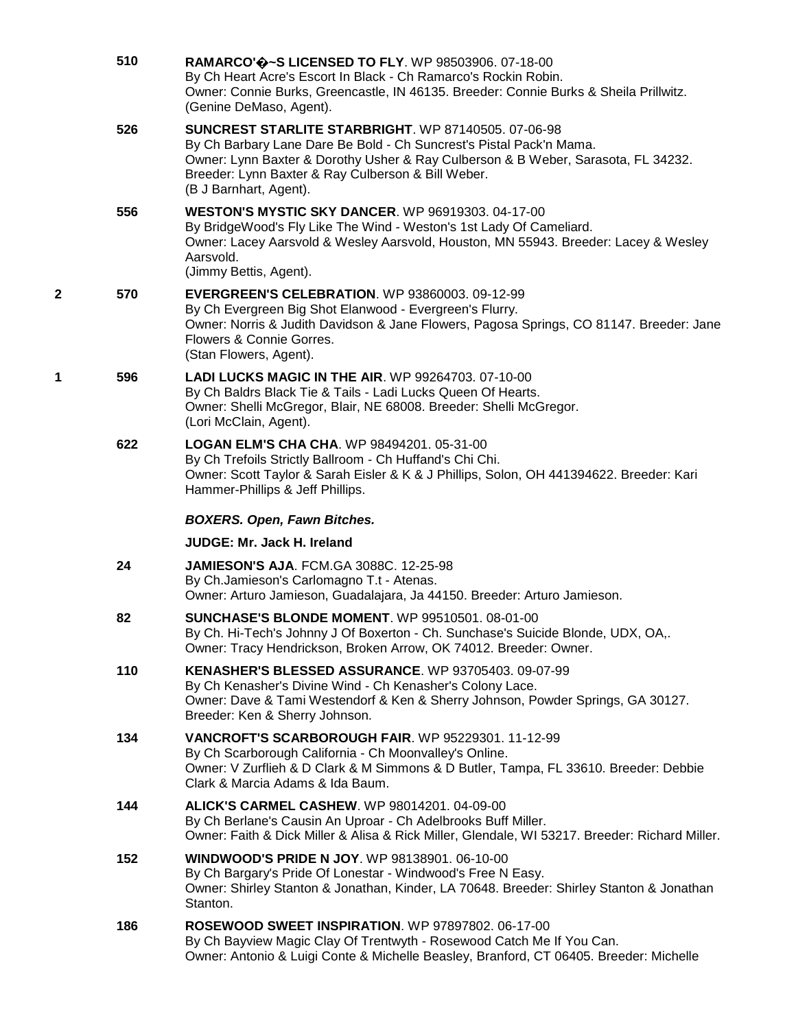|   | 510 | RAMARCO' $\bigcirc$ ~S LICENSED TO FLY. WP 98503906. 07-18-00<br>By Ch Heart Acre's Escort In Black - Ch Ramarco's Rockin Robin.<br>Owner: Connie Burks, Greencastle, IN 46135. Breeder: Connie Burks & Sheila Prillwitz.<br>(Genine DeMaso, Agent).                                                   |
|---|-----|--------------------------------------------------------------------------------------------------------------------------------------------------------------------------------------------------------------------------------------------------------------------------------------------------------|
|   | 526 | <b>SUNCREST STARLITE STARBRIGHT.</b> WP 87140505. 07-06-98<br>By Ch Barbary Lane Dare Be Bold - Ch Suncrest's Pistal Pack'n Mama.<br>Owner: Lynn Baxter & Dorothy Usher & Ray Culberson & B Weber, Sarasota, FL 34232.<br>Breeder: Lynn Baxter & Ray Culberson & Bill Weber.<br>(B J Barnhart, Agent). |
|   | 556 | <b>WESTON'S MYSTIC SKY DANCER.</b> WP 96919303. 04-17-00<br>By BridgeWood's Fly Like The Wind - Weston's 1st Lady Of Cameliard.<br>Owner: Lacey Aarsvold & Wesley Aarsvold, Houston, MN 55943. Breeder: Lacey & Wesley<br>Aarsvold.<br>(Jimmy Bettis, Agent).                                          |
| 2 | 570 | <b>EVERGREEN'S CELEBRATION.</b> WP 93860003. 09-12-99<br>By Ch Evergreen Big Shot Elanwood - Evergreen's Flurry.<br>Owner: Norris & Judith Davidson & Jane Flowers, Pagosa Springs, CO 81147. Breeder: Jane<br>Flowers & Connie Gorres.<br>(Stan Flowers, Agent).                                      |
| 1 | 596 | <b>LADI LUCKS MAGIC IN THE AIR. WP 99264703. 07-10-00</b><br>By Ch Baldrs Black Tie & Tails - Ladi Lucks Queen Of Hearts.<br>Owner: Shelli McGregor, Blair, NE 68008. Breeder: Shelli McGregor.<br>(Lori McClain, Agent).                                                                              |
|   | 622 | LOGAN ELM'S CHA CHA. WP 98494201. 05-31-00<br>By Ch Trefoils Strictly Ballroom - Ch Huffand's Chi Chi.<br>Owner: Scott Taylor & Sarah Eisler & K & J Phillips, Solon, OH 441394622. Breeder: Kari<br>Hammer-Phillips & Jeff Phillips.                                                                  |
|   |     | <b>BOXERS. Open, Fawn Bitches.</b>                                                                                                                                                                                                                                                                     |
|   |     | <b>JUDGE: Mr. Jack H. Ireland</b>                                                                                                                                                                                                                                                                      |
|   |     |                                                                                                                                                                                                                                                                                                        |
|   | 24  | <b>JAMIESON'S AJA. FCM.GA 3088C. 12-25-98</b><br>By Ch.Jamieson's Carlomagno T.t - Atenas.<br>Owner: Arturo Jamieson, Guadalajara, Ja 44150. Breeder: Arturo Jamieson.                                                                                                                                 |
|   | 82  | <b>SUNCHASE'S BLONDE MOMENT. WP 99510501. 08-01-00</b><br>By Ch. Hi-Tech's Johnny J Of Boxerton - Ch. Sunchase's Suicide Blonde, UDX. OA.<br>Owner: Tracy Hendrickson, Broken Arrow, OK 74012. Breeder: Owner.                                                                                         |
|   | 110 | KENASHER'S BLESSED ASSURANCE. WP 93705403. 09-07-99<br>By Ch Kenasher's Divine Wind - Ch Kenasher's Colony Lace.<br>Owner: Dave & Tami Westendorf & Ken & Sherry Johnson, Powder Springs, GA 30127.<br>Breeder: Ken & Sherry Johnson.                                                                  |
|   | 134 | VANCROFT'S SCARBOROUGH FAIR. WP 95229301. 11-12-99<br>By Ch Scarborough California - Ch Moonvalley's Online.<br>Owner: V Zurflieh & D Clark & M Simmons & D Butler, Tampa, FL 33610. Breeder: Debbie<br>Clark & Marcia Adams & Ida Baum.                                                               |
|   | 144 | <b>ALICK'S CARMEL CASHEW. WP 98014201.04-09-00</b><br>By Ch Berlane's Causin An Uproar - Ch Adelbrooks Buff Miller.<br>Owner: Faith & Dick Miller & Alisa & Rick Miller, Glendale, WI 53217. Breeder: Richard Miller.                                                                                  |
|   | 152 | <b>WINDWOOD'S PRIDE N JOY.</b> WP 98138901. 06-10-00<br>By Ch Bargary's Pride Of Lonestar - Windwood's Free N Easy.<br>Owner: Shirley Stanton & Jonathan, Kinder, LA 70648. Breeder: Shirley Stanton & Jonathan<br>Stanton.                                                                            |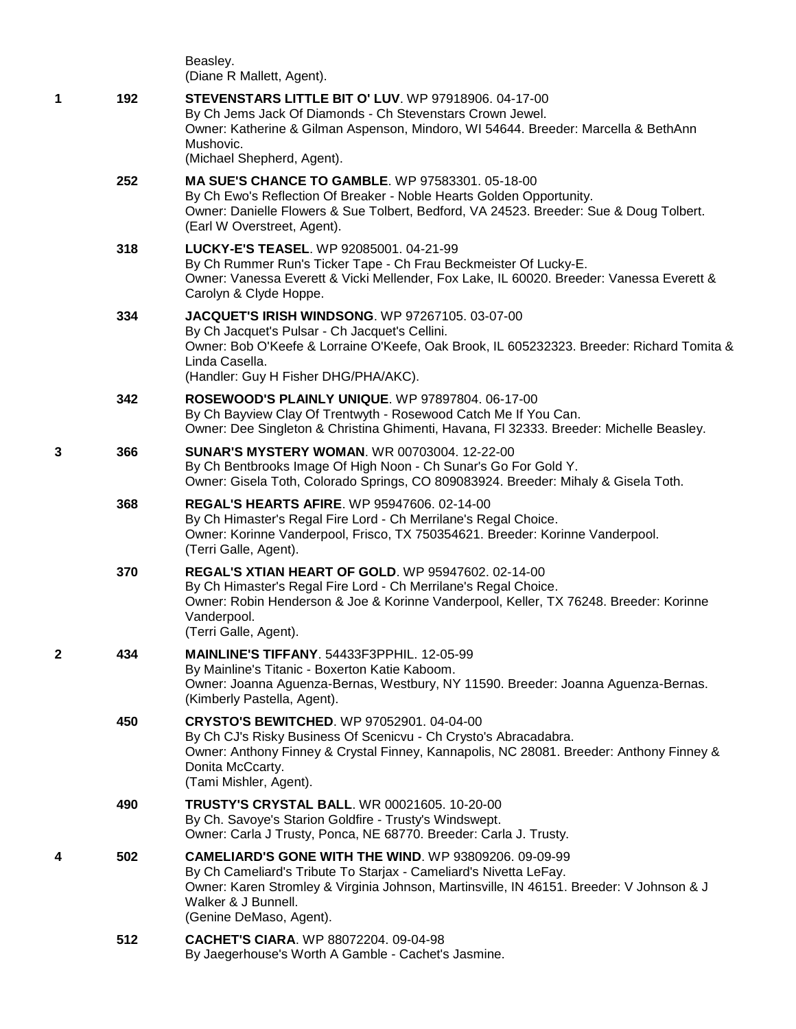Beasley. (Diane R Mallett, Agent). **1 192 [STEVENSTARS LITTLE BIT O' LUV](http://infodog.com/my/drlookup2.htm?makc=WP%2097918906&mdog=Stevenstars+Little+Bit+O%27+Luv&wins=all)**. WP 97918906. 04-17-00 By Ch Jems Jack Of Diamonds - Ch Stevenstars Crown Jewel. Owner: Katherine & Gilman Aspenson, Mindoro, WI 54644. Breeder: Marcella & BethAnn Mushovic. (Michael Shepherd, Agent). **252 [MA SUE'S CHANCE TO GAMBLE](http://infodog.com/my/drlookup2.htm?makc=WP%2097583301&mdog=Ma+Sue%27s+Chance+To+Gamble&wins=all)**. WP 97583301. 05-18-00 By Ch Ewo's Reflection Of Breaker - Noble Hearts Golden Opportunity. Owner: Danielle Flowers & Sue Tolbert, Bedford, VA 24523. Breeder: Sue & Doug Tolbert. (Earl W Overstreet, Agent). **318 [LUCKY-E'S TEASEL](http://infodog.com/my/drlookup2.htm?makc=WP%2092085001&mdog=Lucky-E%27s+Teasel&wins=all)**. WP 92085001. 04-21-99 By Ch Rummer Run's Ticker Tape - Ch Frau Beckmeister Of Lucky-E. Owner: Vanessa Everett & Vicki Mellender, Fox Lake, IL 60020. Breeder: Vanessa Everett & Carolyn & Clyde Hoppe. **334 [JACQUET'S IRISH WINDSONG](http://infodog.com/my/drlookup2.htm?makc=WP%2097267105&mdog=Jacquet%27s+Irish+Windsong&wins=all)**. WP 97267105. 03-07-00 By Ch Jacquet's Pulsar - Ch Jacquet's Cellini. Owner: Bob O'Keefe & Lorraine O'Keefe, Oak Brook, IL 605232323. Breeder: Richard Tomita & Linda Casella. (Handler: Guy H Fisher DHG/PHA/AKC). **342 [ROSEWOOD'S PLAINLY UNIQUE](http://infodog.com/my/drlookup2.htm?makc=WP%2097897804&mdog=Rosewood%27s+Plainly+Unique&wins=all)**. WP 97897804. 06-17-00 By Ch Bayview Clay Of Trentwyth - Rosewood Catch Me If You Can. Owner: Dee Singleton & Christina Ghimenti, Havana, Fl 32333. Breeder: Michelle Beasley. **3 366 [SUNAR'S MYSTERY WOMAN](http://infodog.com/my/drlookup2.htm?makc=WR%2000703004&mdog=Sunar%27s+Mystery+Woman&wins=all)**. WR 00703004. 12-22-00 By Ch Bentbrooks Image Of High Noon - Ch Sunar's Go For Gold Y. Owner: Gisela Toth, Colorado Springs, CO 809083924. Breeder: Mihaly & Gisela Toth. **368 [REGAL'S HEARTS AFIRE](http://infodog.com/my/drlookup2.htm?makc=WP%2095947606&mdog=Regal%27s+Hearts+AFire&wins=all)**. WP 95947606. 02-14-00 By Ch Himaster's Regal Fire Lord - Ch Merrilane's Regal Choice. Owner: Korinne Vanderpool, Frisco, TX 750354621. Breeder: Korinne Vanderpool. (Terri Galle, Agent). **370 [REGAL'S XTIAN HEART OF GOLD](http://infodog.com/my/drlookup2.htm?makc=WP%2095947602&mdog=Regal%27s+Xtian+Heart+Of+Gold&wins=all)**. WP 95947602. 02-14-00 By Ch Himaster's Regal Fire Lord - Ch Merrilane's Regal Choice. Owner: Robin Henderson & Joe & Korinne Vanderpool, Keller, TX 76248. Breeder: Korinne Vanderpool. (Terri Galle, Agent). **2 434 [MAINLINE'S TIFFANY](http://infodog.com/my/drlookup2.htm?makc=54433F3PPHIL&mdog=Mainline%27s+Tiffany&wins=all)**. 54433F3PPHIL. 12-05-99 By Mainline's Titanic - Boxerton Katie Kaboom. Owner: Joanna Aguenza-Bernas, Westbury, NY 11590. Breeder: Joanna Aguenza-Bernas. (Kimberly Pastella, Agent). **450 [CRYSTO'S BEWITCHED](http://infodog.com/my/drlookup2.htm?makc=WP%2097052901&mdog=Crysto%27s+Bewitched&wins=all)**. WP 97052901. 04-04-00 By Ch CJ's Risky Business Of Scenicvu - Ch Crysto's Abracadabra. Owner: Anthony Finney & Crystal Finney, Kannapolis, NC 28081. Breeder: Anthony Finney & Donita McCcarty. (Tami Mishler, Agent). **490 [TRUSTY'S CRYSTAL BALL](http://infodog.com/my/drlookup2.htm?makc=WR%2000021605&mdog=Trusty%27s+Crystal+Ball&wins=all)**. WR 00021605. 10-20-00 By Ch. Savoye's Starion Goldfire - Trusty's Windswept. Owner: Carla J Trusty, Ponca, NE 68770. Breeder: Carla J. Trusty. **4 502 [CAMELIARD'S GONE WITH THE WIND](http://infodog.com/my/drlookup2.htm?makc=WP%2093809206&mdog=Cameliard%27s+Gone+With+The+Wind&wins=all)**. WP 93809206. 09-09-99 By Ch Cameliard's Tribute To Starjax - Cameliard's Nivetta LeFay. Owner: Karen Stromley & Virginia Johnson, Martinsville, IN 46151. Breeder: V Johnson & J Walker & J Bunnell. (Genine DeMaso, Agent). **512 [CACHET'S CIARA](http://infodog.com/my/drlookup2.htm?makc=WP%2088072204&mdog=Cachet%27s+Ciara&wins=all)**. WP 88072204. 09-04-98 By Jaegerhouse's Worth A Gamble - Cachet's Jasmine.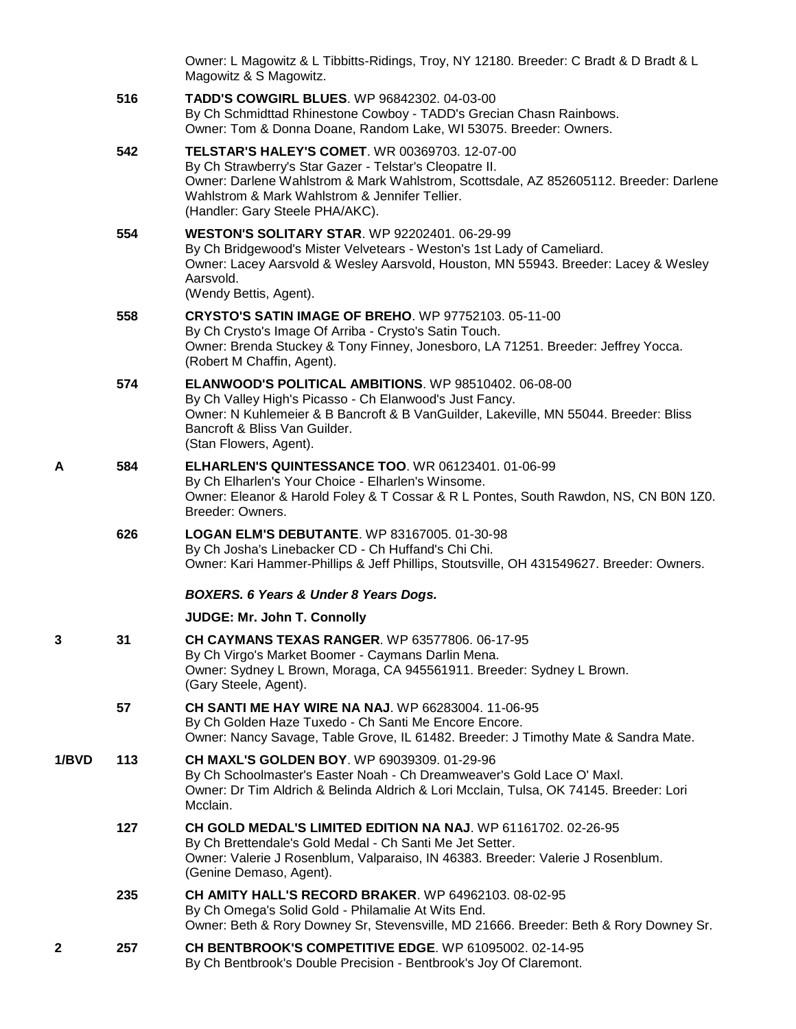|       |     | Owner: L Magowitz & L Tibbitts-Ridings, Troy, NY 12180. Breeder: C Bradt & D Bradt & L<br>Magowitz & S Magowitz.                                                                                                                                                                               |
|-------|-----|------------------------------------------------------------------------------------------------------------------------------------------------------------------------------------------------------------------------------------------------------------------------------------------------|
|       | 516 | TADD'S COWGIRL BLUES. WP 96842302. 04-03-00<br>By Ch Schmidttad Rhinestone Cowboy - TADD's Grecian Chasn Rainbows.<br>Owner: Tom & Donna Doane, Random Lake, WI 53075. Breeder: Owners.                                                                                                        |
|       | 542 | <b>TELSTAR'S HALEY'S COMET. WR 00369703. 12-07-00</b><br>By Ch Strawberry's Star Gazer - Telstar's Cleopatre II.<br>Owner: Darlene Wahlstrom & Mark Wahlstrom, Scottsdale, AZ 852605112. Breeder: Darlene<br>Wahlstrom & Mark Wahlstrom & Jennifer Tellier.<br>(Handler: Gary Steele PHA/AKC). |
|       | 554 | <b>WESTON'S SOLITARY STAR. WP 92202401. 06-29-99</b><br>By Ch Bridgewood's Mister Velvetears - Weston's 1st Lady of Cameliard.<br>Owner: Lacey Aarsvold & Wesley Aarsvold, Houston, MN 55943. Breeder: Lacey & Wesley<br>Aarsvold.<br>(Wendy Bettis, Agent).                                   |
|       | 558 | <b>CRYSTO'S SATIN IMAGE OF BREHO.</b> WP 97752103. 05-11-00<br>By Ch Crysto's Image Of Arriba - Crysto's Satin Touch.<br>Owner: Brenda Stuckey & Tony Finney, Jonesboro, LA 71251. Breeder: Jeffrey Yocca.<br>(Robert M Chaffin, Agent).                                                       |
|       | 574 | ELANWOOD'S POLITICAL AMBITIONS. WP 98510402. 06-08-00<br>By Ch Valley High's Picasso - Ch Elanwood's Just Fancy.<br>Owner: N Kuhlemeier & B Bancroft & B VanGuilder, Lakeville, MN 55044. Breeder: Bliss<br>Bancroft & Bliss Van Guilder.<br>(Stan Flowers, Agent).                            |
| Α     | 584 | <b>ELHARLEN'S QUINTESSANCE TOO. WR 06123401. 01-06-99</b><br>By Ch Elharlen's Your Choice - Elharlen's Winsome.<br>Owner: Eleanor & Harold Foley & T Cossar & R L Pontes, South Rawdon, NS, CN B0N 1Z0.<br>Breeder: Owners.                                                                    |
|       | 626 | <b>LOGAN ELM'S DEBUTANTE. WP 83167005. 01-30-98</b><br>By Ch Josha's Linebacker CD - Ch Huffand's Chi Chi.<br>Owner: Kari Hammer-Phillips & Jeff Phillips, Stoutsville, OH 431549627. Breeder: Owners.                                                                                         |
|       |     | <b>BOXERS. 6 Years &amp; Under 8 Years Dogs.</b>                                                                                                                                                                                                                                               |
|       |     | JUDGE: Mr. John T. Connolly                                                                                                                                                                                                                                                                    |
| 3     | 31  | CH CAYMANS TEXAS RANGER. WP 63577806. 06-17-95<br>By Ch Virgo's Market Boomer - Caymans Darlin Mena.<br>Owner: Sydney L Brown, Moraga, CA 945561911. Breeder: Sydney L Brown.<br>(Gary Steele, Agent).                                                                                         |
|       | 57  | <b>CH SANTI ME HAY WIRE NA NAJ.</b> WP 66283004, 11-06-95<br>By Ch Golden Haze Tuxedo - Ch Santi Me Encore Encore.<br>Owner: Nancy Savage, Table Grove, IL 61482. Breeder: J Timothy Mate & Sandra Mate.                                                                                       |
| 1/BVD | 113 | CH MAXL'S GOLDEN BOY, WP 69039309, 01-29-96<br>By Ch Schoolmaster's Easter Noah - Ch Dreamweaver's Gold Lace O' Maxl.<br>Owner: Dr Tim Aldrich & Belinda Aldrich & Lori Mcclain, Tulsa, OK 74145. Breeder: Lori<br>Mcclain.                                                                    |
|       | 127 | CH GOLD MEDAL'S LIMITED EDITION NA NAJ. WP 61161702. 02-26-95<br>By Ch Brettendale's Gold Medal - Ch Santi Me Jet Setter.<br>Owner: Valerie J Rosenblum, Valparaiso, IN 46383. Breeder: Valerie J Rosenblum.<br>(Genine Demaso, Agent).                                                        |
|       | 235 | <b>CH AMITY HALL'S RECORD BRAKER. WP 64962103. 08-02-95</b><br>By Ch Omega's Solid Gold - Philamalie At Wits End.<br>Owner: Beth & Rory Downey Sr, Stevensville, MD 21666. Breeder: Beth & Rory Downey Sr.                                                                                     |
| 2     | 257 | CH BENTBROOK'S COMPETITIVE EDGE. WP 61095002. 02-14-95<br>By Ch Bentbrook's Double Precision - Bentbrook's Joy Of Claremont.                                                                                                                                                                   |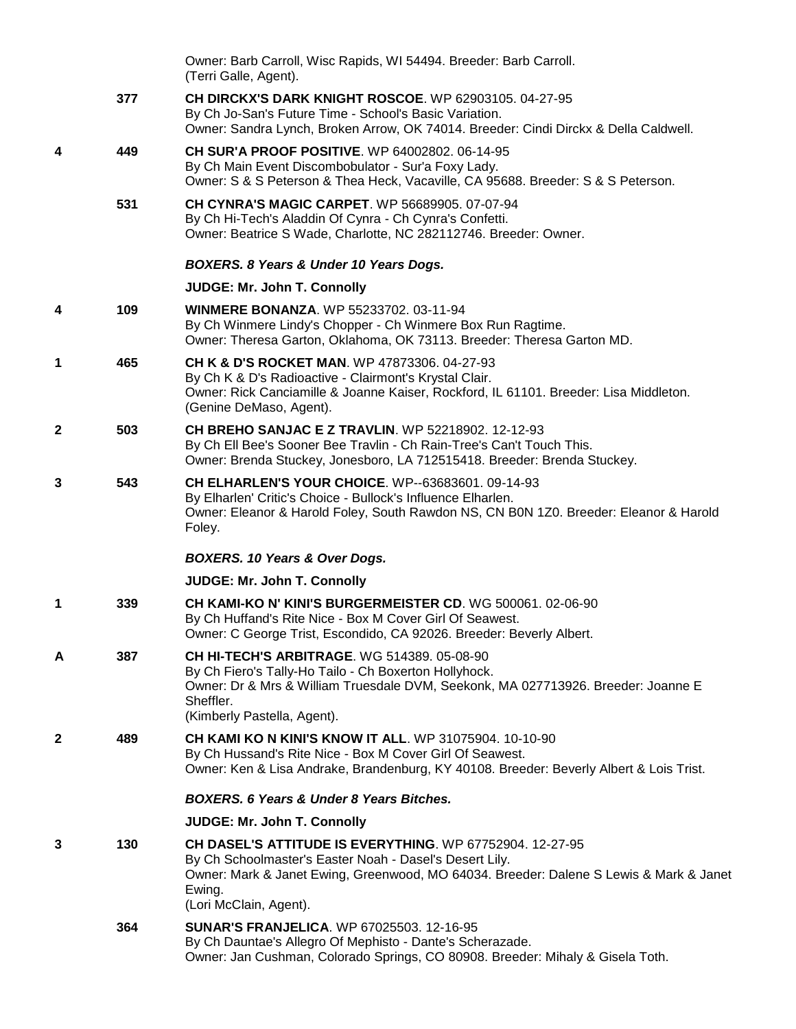|              |     | Owner: Barb Carroll, Wisc Rapids, WI 54494. Breeder: Barb Carroll.<br>(Terri Galle, Agent).                                                                                                                                                       |
|--------------|-----|---------------------------------------------------------------------------------------------------------------------------------------------------------------------------------------------------------------------------------------------------|
|              | 377 | <b>CH DIRCKX'S DARK KNIGHT ROSCOE.</b> WP 62903105. 04-27-95<br>By Ch Jo-San's Future Time - School's Basic Variation.<br>Owner: Sandra Lynch, Broken Arrow, OK 74014. Breeder: Cindi Dirckx & Della Caldwell.                                    |
| 4            | 449 | <b>CH SUR'A PROOF POSITIVE.</b> WP 64002802. 06-14-95<br>By Ch Main Event Discombobulator - Sur'a Foxy Lady.<br>Owner: S & S Peterson & Thea Heck, Vacaville, CA 95688. Breeder: S & S Peterson.                                                  |
|              | 531 | <b>CH CYNRA'S MAGIC CARPET. WP 56689905. 07-07-94</b><br>By Ch Hi-Tech's Aladdin Of Cynra - Ch Cynra's Confetti.<br>Owner: Beatrice S Wade, Charlotte, NC 282112746. Breeder: Owner.                                                              |
|              |     | BOXERS. 8 Years & Under 10 Years Dogs.                                                                                                                                                                                                            |
|              |     | <b>JUDGE: Mr. John T. Connolly</b>                                                                                                                                                                                                                |
| 4            | 109 | <b>WINMERE BONANZA. WP 55233702. 03-11-94</b><br>By Ch Winmere Lindy's Chopper - Ch Winmere Box Run Ragtime.<br>Owner: Theresa Garton, Oklahoma, OK 73113. Breeder: Theresa Garton MD.                                                            |
| 1            | 465 | CH K & D'S ROCKET MAN. WP 47873306, 04-27-93<br>By Ch K & D's Radioactive - Clairmont's Krystal Clair.<br>Owner: Rick Canciamille & Joanne Kaiser, Rockford, IL 61101. Breeder: Lisa Middleton.<br>(Genine DeMaso, Agent).                        |
| $\mathbf{2}$ | 503 | <b>CH BREHO SANJAC E Z TRAVLIN. WP 52218902. 12-12-93</b><br>By Ch Ell Bee's Sooner Bee Travlin - Ch Rain-Tree's Can't Touch This.<br>Owner: Brenda Stuckey, Jonesboro, LA 712515418. Breeder: Brenda Stuckey.                                    |
| 3            | 543 | <b>CH ELHARLEN'S YOUR CHOICE.</b> WP--63683601. 09-14-93<br>By Elharlen' Critic's Choice - Bullock's Influence Elharlen.<br>Owner: Eleanor & Harold Foley, South Rawdon NS, CN B0N 1Z0. Breeder: Eleanor & Harold<br>Foley.                       |
|              |     | <b>BOXERS. 10 Years &amp; Over Dogs.</b>                                                                                                                                                                                                          |
|              |     | <b>JUDGE: Mr. John T. Connolly</b>                                                                                                                                                                                                                |
| 1            | 339 | CH KAMI-KO N' KINI'S BURGERMEISTER CD. WG 500061.02-06-90<br>By Ch Huffand's Rite Nice - Box M Cover Girl Of Seawest.<br>Owner: C George Trist, Escondido, CA 92026. Breeder: Beverly Albert.                                                     |
| A            | 387 | CH HI-TECH'S ARBITRAGE. WG 514389. 05-08-90<br>By Ch Fiero's Tally-Ho Tailo - Ch Boxerton Hollyhock.<br>Owner: Dr & Mrs & William Truesdale DVM, Seekonk, MA 027713926. Breeder: Joanne E<br>Sheffler.<br>(Kimberly Pastella, Agent).             |
| $\mathbf{2}$ | 489 | <b>CH KAMI KO N KINI'S KNOW IT ALL. WP 31075904. 10-10-90</b><br>By Ch Hussand's Rite Nice - Box M Cover Girl Of Seawest.<br>Owner: Ken & Lisa Andrake, Brandenburg, KY 40108. Breeder: Beverly Albert & Lois Trist.                              |
|              |     | <b>BOXERS. 6 Years &amp; Under 8 Years Bitches.</b>                                                                                                                                                                                               |
|              |     | JUDGE: Mr. John T. Connolly                                                                                                                                                                                                                       |
| 3            | 130 | CH DASEL'S ATTITUDE IS EVERYTHING. WP 67752904. 12-27-95<br>By Ch Schoolmaster's Easter Noah - Dasel's Desert Lily.<br>Owner: Mark & Janet Ewing, Greenwood, MO 64034. Breeder: Dalene S Lewis & Mark & Janet<br>Ewing.<br>(Lori McClain, Agent). |
|              | 364 | <b>SUNAR'S FRANJELICA.</b> WP 67025503. 12-16-95<br>By Ch Dauntae's Allegro Of Mephisto - Dante's Scherazade.<br>Owner: Jan Cushman, Colorado Springs, CO 80908. Breeder: Mihaly & Gisela Toth.                                                   |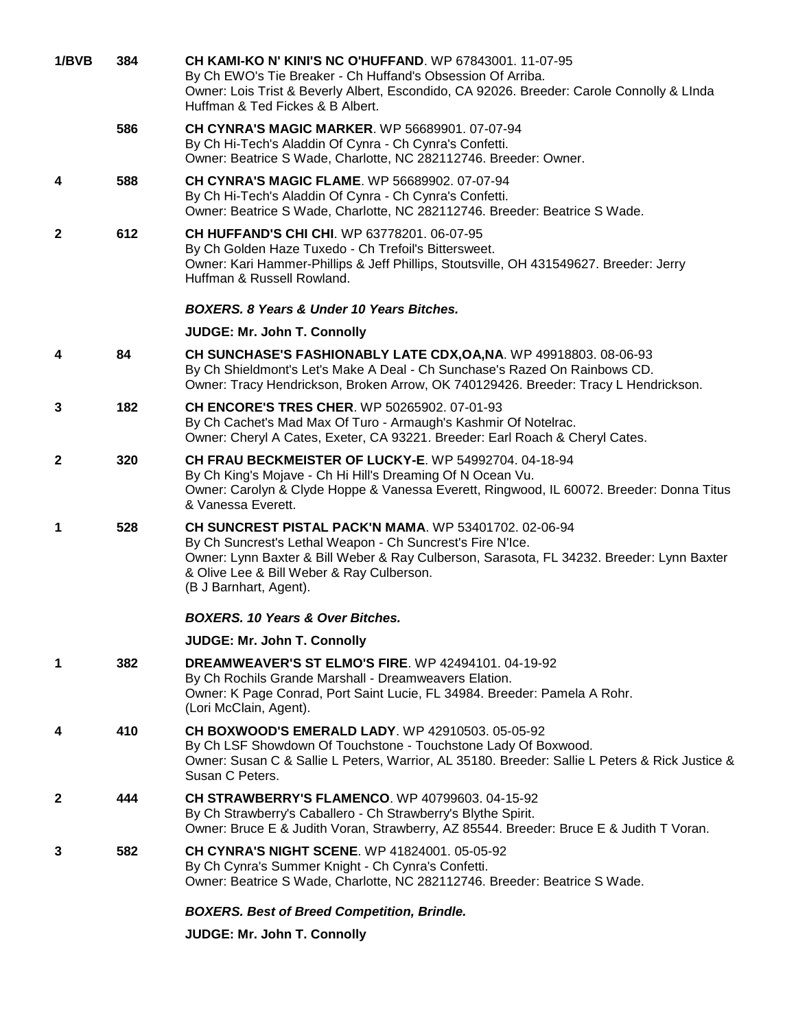| 1/BVB        | 384 | CH KAMI-KO N' KINI'S NC O'HUFFAND. WP 67843001. 11-07-95<br>By Ch EWO's Tie Breaker - Ch Huffand's Obsession Of Arriba.<br>Owner: Lois Trist & Beverly Albert, Escondido, CA 92026. Breeder: Carole Connolly & LInda<br>Huffman & Ted Fickes & B Albert.                                |
|--------------|-----|-----------------------------------------------------------------------------------------------------------------------------------------------------------------------------------------------------------------------------------------------------------------------------------------|
|              | 586 | CH CYNRA'S MAGIC MARKER. WP 56689901. 07-07-94<br>By Ch Hi-Tech's Aladdin Of Cynra - Ch Cynra's Confetti.<br>Owner: Beatrice S Wade, Charlotte, NC 282112746. Breeder: Owner.                                                                                                           |
| 4            | 588 | <b>CH CYNRA'S MAGIC FLAME.</b> WP 56689902. 07-07-94<br>By Ch Hi-Tech's Aladdin Of Cynra - Ch Cynra's Confetti.<br>Owner: Beatrice S Wade, Charlotte, NC 282112746. Breeder: Beatrice S Wade.                                                                                           |
| $\mathbf{2}$ | 612 | <b>CH HUFFAND'S CHI CHI. WP 63778201, 06-07-95</b><br>By Ch Golden Haze Tuxedo - Ch Trefoil's Bittersweet.<br>Owner: Kari Hammer-Phillips & Jeff Phillips, Stoutsville, OH 431549627. Breeder: Jerry<br>Huffman & Russell Rowland.                                                      |
|              |     | <b>BOXERS. 8 Years &amp; Under 10 Years Bitches.</b>                                                                                                                                                                                                                                    |
|              |     | <b>JUDGE: Mr. John T. Connolly</b>                                                                                                                                                                                                                                                      |
| 4            | 84  | CH SUNCHASE'S FASHIONABLY LATE CDX, OA, NA. WP 49918803. 08-06-93<br>By Ch Shieldmont's Let's Make A Deal - Ch Sunchase's Razed On Rainbows CD.<br>Owner: Tracy Hendrickson, Broken Arrow, OK 740129426. Breeder: Tracy L Hendrickson.                                                  |
| 3            | 182 | <b>CH ENCORE'S TRES CHER. WP 50265902. 07-01-93</b><br>By Ch Cachet's Mad Max Of Turo - Armaugh's Kashmir Of Notelrac.<br>Owner: Cheryl A Cates, Exeter, CA 93221. Breeder: Earl Roach & Cheryl Cates.                                                                                  |
| $\mathbf{2}$ | 320 | CH FRAU BECKMEISTER OF LUCKY-E. WP 54992704. 04-18-94<br>By Ch King's Mojave - Ch Hi Hill's Dreaming Of N Ocean Vu.<br>Owner: Carolyn & Clyde Hoppe & Vanessa Everett, Ringwood, IL 60072. Breeder: Donna Titus<br>& Vanessa Everett.                                                   |
| 1            | 528 | CH SUNCREST PISTAL PACK'N MAMA. WP 53401702. 02-06-94<br>By Ch Suncrest's Lethal Weapon - Ch Suncrest's Fire N'Ice.<br>Owner: Lynn Baxter & Bill Weber & Ray Culberson, Sarasota, FL 34232. Breeder: Lynn Baxter<br>& Olive Lee & Bill Weber & Ray Culberson.<br>(B J Barnhart, Agent). |
|              |     | <b>BOXERS. 10 Years &amp; Over Bitches.</b>                                                                                                                                                                                                                                             |
|              |     | JUDGE: Mr. John T. Connolly                                                                                                                                                                                                                                                             |
| 1            | 382 | <b>DREAMWEAVER'S ST ELMO'S FIRE. WP 42494101, 04-19-92</b><br>By Ch Rochils Grande Marshall - Dreamweavers Elation.<br>Owner: K Page Conrad, Port Saint Lucie, FL 34984. Breeder: Pamela A Rohr.<br>(Lori McClain, Agent).                                                              |
| 4            | 410 | <b>CH BOXWOOD'S EMERALD LADY.</b> WP 42910503, 05-05-92<br>By Ch LSF Showdown Of Touchstone - Touchstone Lady Of Boxwood.<br>Owner: Susan C & Sallie L Peters, Warrior, AL 35180. Breeder: Sallie L Peters & Rick Justice &<br>Susan C Peters.                                          |
| 2            | 444 | <b>CH STRAWBERRY'S FLAMENCO.</b> WP 40799603, 04-15-92<br>By Ch Strawberry's Caballero - Ch Strawberry's Blythe Spirit.<br>Owner: Bruce E & Judith Voran, Strawberry, AZ 85544. Breeder: Bruce E & Judith T Voran.                                                                      |
| 3            | 582 | <b>CH CYNRA'S NIGHT SCENE.</b> WP 41824001. 05-05-92<br>By Ch Cynra's Summer Knight - Ch Cynra's Confetti.<br>Owner: Beatrice S Wade, Charlotte, NC 282112746. Breeder: Beatrice S Wade.                                                                                                |
|              |     | <b>BOXERS. Best of Breed Competition, Brindle.</b>                                                                                                                                                                                                                                      |
|              |     | JUDGE: Mr. John T. Connolly                                                                                                                                                                                                                                                             |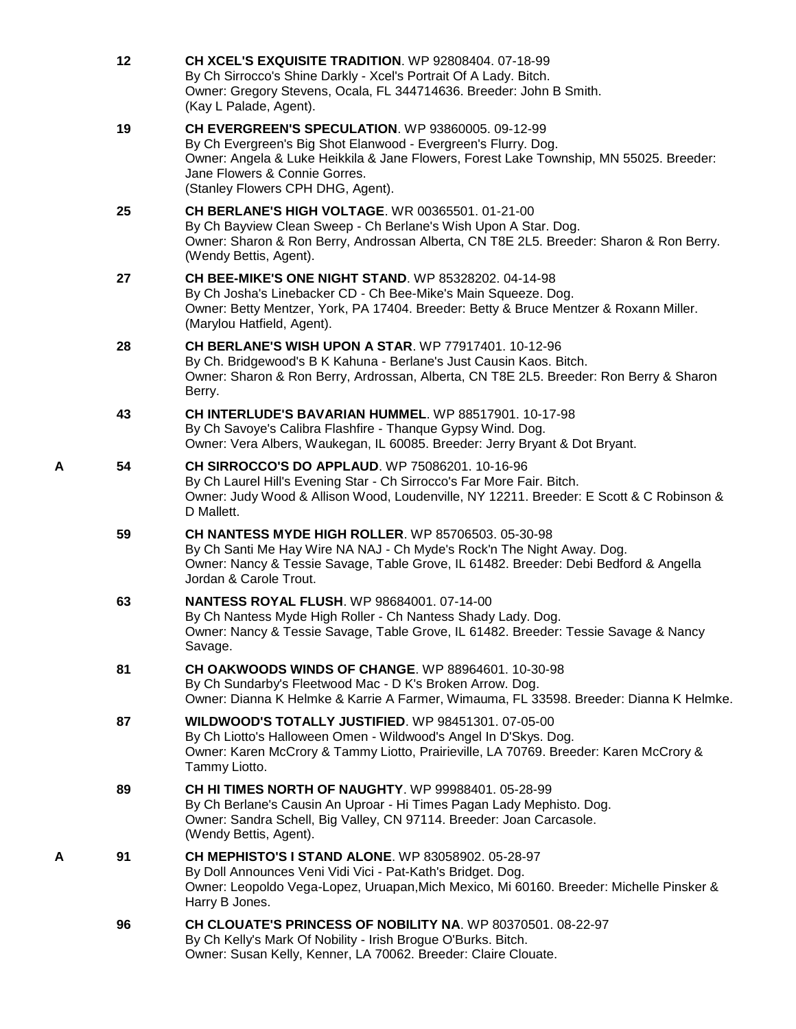|   | 12 | CH XCEL'S EXQUISITE TRADITION. WP 92808404. 07-18-99<br>By Ch Sirrocco's Shine Darkly - Xcel's Portrait Of A Lady. Bitch.<br>Owner: Gregory Stevens, Ocala, FL 344714636. Breeder: John B Smith.<br>(Kay L Palade, Agent).                                                          |
|---|----|-------------------------------------------------------------------------------------------------------------------------------------------------------------------------------------------------------------------------------------------------------------------------------------|
|   | 19 | CH EVERGREEN'S SPECULATION. WP 93860005. 09-12-99<br>By Ch Evergreen's Big Shot Elanwood - Evergreen's Flurry. Dog.<br>Owner: Angela & Luke Heikkila & Jane Flowers, Forest Lake Township, MN 55025. Breeder:<br>Jane Flowers & Connie Gorres.<br>(Stanley Flowers CPH DHG, Agent). |
|   | 25 | <b>CH BERLANE'S HIGH VOLTAGE. WR 00365501. 01-21-00</b><br>By Ch Bayview Clean Sweep - Ch Berlane's Wish Upon A Star. Dog.<br>Owner: Sharon & Ron Berry, Androssan Alberta, CN T8E 2L5. Breeder: Sharon & Ron Berry.<br>(Wendy Bettis, Agent).                                      |
|   | 27 | CH BEE-MIKE'S ONE NIGHT STAND. WP 85328202. 04-14-98<br>By Ch Josha's Linebacker CD - Ch Bee-Mike's Main Squeeze. Dog.<br>Owner: Betty Mentzer, York, PA 17404. Breeder: Betty & Bruce Mentzer & Roxann Miller.<br>(Marylou Hatfield, Agent).                                       |
|   | 28 | <b>CH BERLANE'S WISH UPON A STAR. WP 77917401. 10-12-96</b><br>By Ch. Bridgewood's B K Kahuna - Berlane's Just Causin Kaos. Bitch.<br>Owner: Sharon & Ron Berry, Ardrossan, Alberta, CN T8E 2L5. Breeder: Ron Berry & Sharon<br>Berry.                                              |
|   | 43 | CH INTERLUDE'S BAVARIAN HUMMEL. WP 88517901. 10-17-98<br>By Ch Savoye's Calibra Flashfire - Thanque Gypsy Wind. Dog.<br>Owner: Vera Albers, Waukegan, IL 60085. Breeder: Jerry Bryant & Dot Bryant.                                                                                 |
| Α | 54 | CH SIRROCCO'S DO APPLAUD. WP 75086201. 10-16-96<br>By Ch Laurel Hill's Evening Star - Ch Sirrocco's Far More Fair. Bitch.<br>Owner: Judy Wood & Allison Wood, Loudenville, NY 12211. Breeder: E Scott & C Robinson &<br>D Mallett.                                                  |
|   | 59 | <b>CH NANTESS MYDE HIGH ROLLER. WP 85706503. 05-30-98</b><br>By Ch Santi Me Hay Wire NA NAJ - Ch Myde's Rock'n The Night Away. Dog.<br>Owner: Nancy & Tessie Savage, Table Grove, IL 61482. Breeder: Debi Bedford & Angella<br>Jordan & Carole Trout.                               |
|   | 63 | <b>NANTESS ROYAL FLUSH.</b> WP 98684001. 07-14-00<br>By Ch Nantess Myde High Roller - Ch Nantess Shady Lady. Dog.<br>Owner: Nancy & Tessie Savage, Table Grove, IL 61482. Breeder: Tessie Savage & Nancy<br>Savage.                                                                 |
|   | 81 | <b>CH OAKWOODS WINDS OF CHANGE. WP 88964601. 10-30-98</b><br>By Ch Sundarby's Fleetwood Mac - D K's Broken Arrow. Dog.<br>Owner: Dianna K Helmke & Karrie A Farmer, Wimauma, FL 33598. Breeder: Dianna K Helmke.                                                                    |
|   | 87 | WILDWOOD'S TOTALLY JUSTIFIED. WP 98451301. 07-05-00<br>By Ch Liotto's Halloween Omen - Wildwood's Angel In D'Skys. Dog.<br>Owner: Karen McCrory & Tammy Liotto, Prairieville, LA 70769. Breeder: Karen McCrory &<br>Tammy Liotto.                                                   |
|   | 89 | <b>CH HI TIMES NORTH OF NAUGHTY.</b> WP 99988401, 05-28-99<br>By Ch Berlane's Causin An Uproar - Hi Times Pagan Lady Mephisto. Dog.<br>Owner: Sandra Schell, Big Valley, CN 97114. Breeder: Joan Carcasole.<br>(Wendy Bettis, Agent).                                               |
| Α | 91 | <b>CH MEPHISTO'S I STAND ALONE.</b> WP 83058902. 05-28-97<br>By Doll Announces Veni Vidi Vici - Pat-Kath's Bridget. Dog.<br>Owner: Leopoldo Vega-Lopez, Uruapan, Mich Mexico, Mi 60160. Breeder: Michelle Pinsker &<br>Harry B Jones.                                               |
|   | 96 | CH CLOUATE'S PRINCESS OF NOBILITY NA. WP 80370501, 08-22-97<br>By Ch Kelly's Mark Of Nobility - Irish Brogue O'Burks. Bitch.<br>Owner: Susan Kelly, Kenner, LA 70062. Breeder: Claire Clouate.                                                                                      |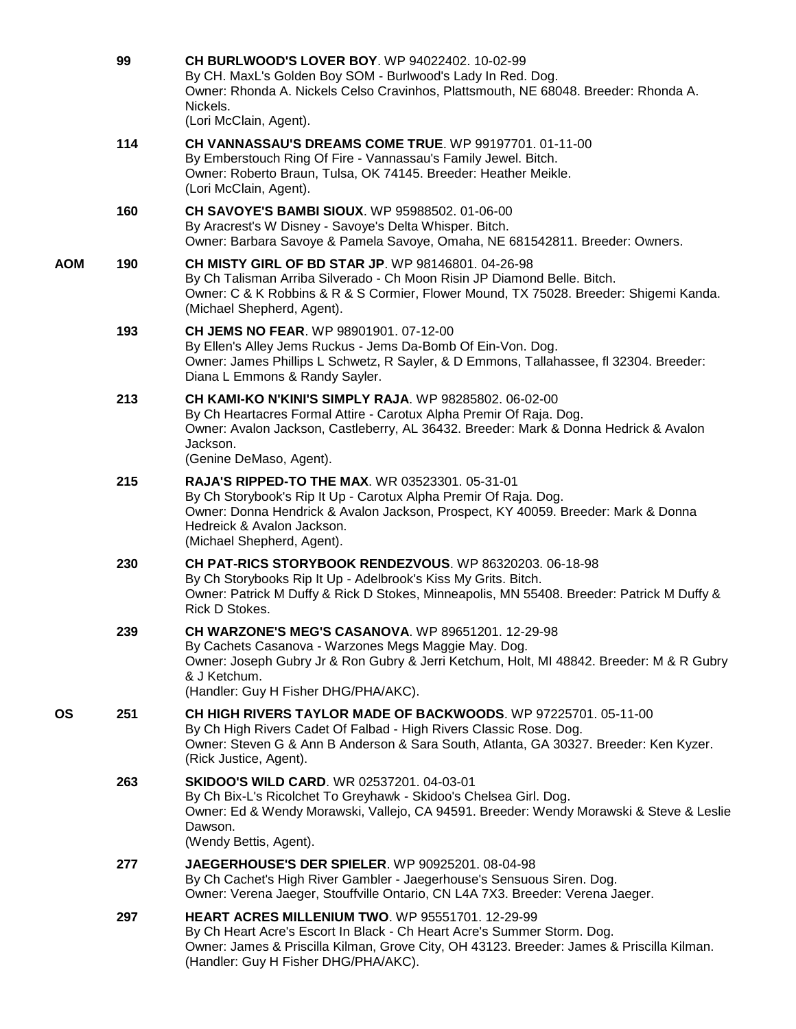|     | 99  | CH BURLWOOD'S LOVER BOY. WP 94022402. 10-02-99<br>By CH. MaxL's Golden Boy SOM - Burlwood's Lady In Red. Dog.<br>Owner: Rhonda A. Nickels Celso Cravinhos, Plattsmouth, NE 68048. Breeder: Rhonda A.<br>Nickels.<br>(Lori McClain, Agent).                                  |
|-----|-----|-----------------------------------------------------------------------------------------------------------------------------------------------------------------------------------------------------------------------------------------------------------------------------|
|     | 114 | CH VANNASSAU'S DREAMS COME TRUE. WP 99197701, 01-11-00<br>By Emberstouch Ring Of Fire - Vannassau's Family Jewel. Bitch.<br>Owner: Roberto Braun, Tulsa, OK 74145. Breeder: Heather Meikle.<br>(Lori McClain, Agent).                                                       |
|     | 160 | <b>CH SAVOYE'S BAMBI SIOUX.</b> WP 95988502. 01-06-00<br>By Aracrest's W Disney - Savoye's Delta Whisper. Bitch.<br>Owner: Barbara Savoye & Pamela Savoye, Omaha, NE 681542811. Breeder: Owners.                                                                            |
| AOM | 190 | <b>CH MISTY GIRL OF BD STAR JP. WP 98146801. 04-26-98</b><br>By Ch Talisman Arriba Silverado - Ch Moon Risin JP Diamond Belle. Bitch.<br>Owner: C & K Robbins & R & S Cormier, Flower Mound, TX 75028. Breeder: Shigemi Kanda.<br>(Michael Shepherd, Agent).                |
|     | 193 | <b>CH JEMS NO FEAR. WP 98901901, 07-12-00</b><br>By Ellen's Alley Jems Ruckus - Jems Da-Bomb Of Ein-Von. Dog.<br>Owner: James Phillips L Schwetz, R Sayler, & D Emmons, Tallahassee, fl 32304. Breeder:<br>Diana L Emmons & Randy Sayler.                                   |
|     | 213 | <b>CH KAMI-KO N'KINI'S SIMPLY RAJA. WP 98285802. 06-02-00</b><br>By Ch Heartacres Formal Attire - Carotux Alpha Premir Of Raja. Dog.<br>Owner: Avalon Jackson, Castleberry, AL 36432. Breeder: Mark & Donna Hedrick & Avalon<br>Jackson.<br>(Genine DeMaso, Agent).         |
|     | 215 | <b>RAJA'S RIPPED-TO THE MAX. WR 03523301. 05-31-01</b><br>By Ch Storybook's Rip It Up - Carotux Alpha Premir Of Raja. Dog.<br>Owner: Donna Hendrick & Avalon Jackson, Prospect, KY 40059. Breeder: Mark & Donna<br>Hedreick & Avalon Jackson.<br>(Michael Shepherd, Agent). |
|     | 230 | CH PAT-RICS STORYBOOK RENDEZVOUS. WP 86320203. 06-18-98<br>By Ch Storybooks Rip It Up - Adelbrook's Kiss My Grits. Bitch.<br>Owner: Patrick M Duffy & Rick D Stokes, Minneapolis, MN 55408. Breeder: Patrick M Duffy &<br>Rick D Stokes.                                    |
|     | 239 | CH WARZONE'S MEG'S CASANOVA. WP 89651201. 12-29-98<br>By Cachets Casanova - Warzones Megs Maggie May. Dog.<br>Owner: Joseph Gubry Jr & Ron Gubry & Jerri Ketchum, Holt, MI 48842. Breeder: M & R Gubry<br>& J Ketchum.<br>(Handler: Guy H Fisher DHG/PHA/AKC).              |
| OS  | 251 | <b>CH HIGH RIVERS TAYLOR MADE OF BACKWOODS. WP 97225701, 05-11-00</b><br>By Ch High Rivers Cadet Of Falbad - High Rivers Classic Rose. Dog.<br>Owner: Steven G & Ann B Anderson & Sara South, Atlanta, GA 30327. Breeder: Ken Kyzer.<br>(Rick Justice, Agent).              |
|     | 263 | <b>SKIDOO'S WILD CARD.</b> WR 02537201. 04-03-01<br>By Ch Bix-L's Ricolchet To Greyhawk - Skidoo's Chelsea Girl. Dog.<br>Owner: Ed & Wendy Morawski, Vallejo, CA 94591. Breeder: Wendy Morawski & Steve & Leslie<br>Dawson.<br>(Wendy Bettis, Agent).                       |
|     | 277 | <b>JAEGERHOUSE'S DER SPIELER. WP 90925201. 08-04-98</b><br>By Ch Cachet's High River Gambler - Jaegerhouse's Sensuous Siren. Dog.<br>Owner: Verena Jaeger, Stouffville Ontario, CN L4A 7X3. Breeder: Verena Jaeger.                                                         |
|     | 297 | <b>HEART ACRES MILLENIUM TWO. WP 95551701. 12-29-99</b><br>By Ch Heart Acre's Escort In Black - Ch Heart Acre's Summer Storm. Dog.<br>Owner: James & Priscilla Kilman, Grove City, OH 43123. Breeder: James & Priscilla Kilman.<br>(Handler: Guy H Fisher DHG/PHA/AKC).     |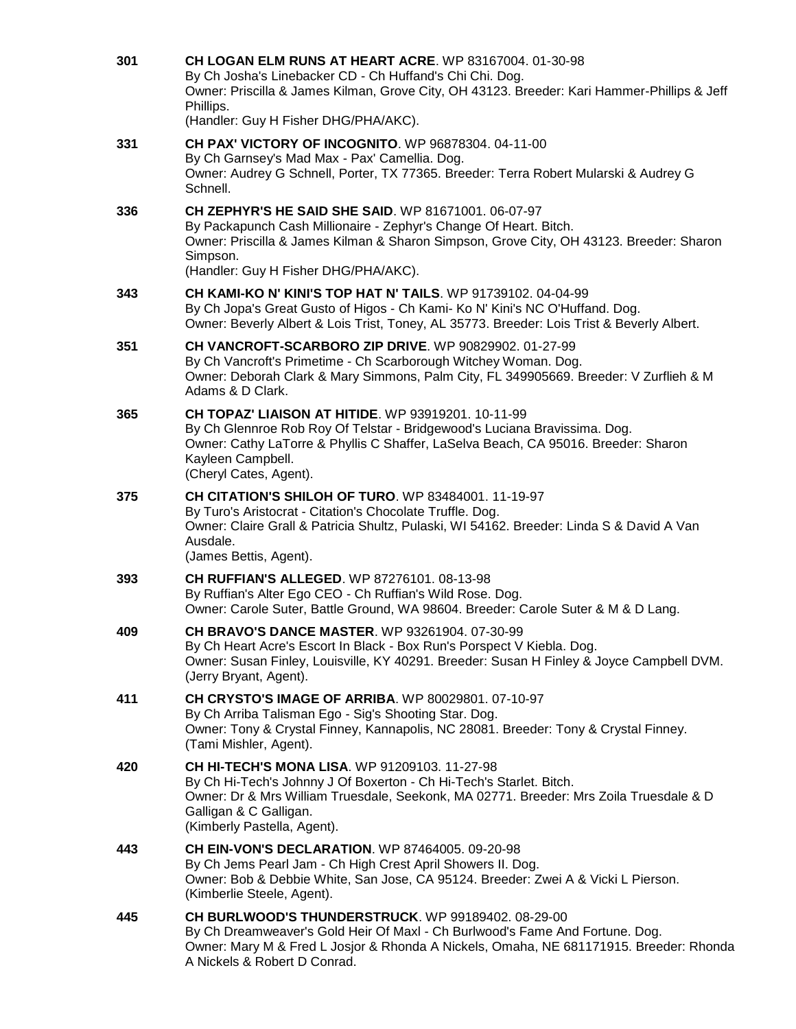| 301 | CH LOGAN ELM RUNS AT HEART ACRE. WP 83167004. 01-30-98<br>By Ch Josha's Linebacker CD - Ch Huffand's Chi Chi. Dog.<br>Owner: Priscilla & James Kilman, Grove City, OH 43123. Breeder: Kari Hammer-Phillips & Jeff<br>Phillips.<br>(Handler: Guy H Fisher DHG/PHA/AKC).         |
|-----|--------------------------------------------------------------------------------------------------------------------------------------------------------------------------------------------------------------------------------------------------------------------------------|
| 331 | <b>CH PAX' VICTORY OF INCOGNITO. WP 96878304. 04-11-00</b><br>By Ch Garnsey's Mad Max - Pax' Camellia. Dog.<br>Owner: Audrey G Schnell, Porter, TX 77365. Breeder: Terra Robert Mularski & Audrey G<br>Schnell.                                                                |
| 336 | <b>CH ZEPHYR'S HE SAID SHE SAID.</b> WP 81671001, 06-07-97<br>By Packapunch Cash Millionaire - Zephyr's Change Of Heart. Bitch.<br>Owner: Priscilla & James Kilman & Sharon Simpson, Grove City, OH 43123. Breeder: Sharon<br>Simpson.<br>(Handler: Guy H Fisher DHG/PHA/AKC). |
| 343 | <b>CH KAMI-KO N' KINI'S TOP HAT N' TAILS.</b> WP 91739102, 04-04-99<br>By Ch Jopa's Great Gusto of Higos - Ch Kami- Ko N' Kini's NC O'Huffand. Dog.<br>Owner: Beverly Albert & Lois Trist, Toney, AL 35773. Breeder: Lois Trist & Beverly Albert.                              |
| 351 | <b>CH VANCROFT-SCARBORO ZIP DRIVE. WP 90829902. 01-27-99</b><br>By Ch Vancroft's Primetime - Ch Scarborough Witchey Woman. Dog.<br>Owner: Deborah Clark & Mary Simmons, Palm City, FL 349905669. Breeder: V Zurflieh & M<br>Adams & D Clark.                                   |
| 365 | <b>CH TOPAZ' LIAISON AT HITIDE. WP 93919201. 10-11-99</b><br>By Ch Glennroe Rob Roy Of Telstar - Bridgewood's Luciana Bravissima. Dog.<br>Owner: Cathy LaTorre & Phyllis C Shaffer, LaSelva Beach, CA 95016. Breeder: Sharon<br>Kayleen Campbell.<br>(Cheryl Cates, Agent).    |
| 375 | <b>CH CITATION'S SHILOH OF TURO. WP 83484001. 11-19-97</b><br>By Turo's Aristocrat - Citation's Chocolate Truffle. Dog.<br>Owner: Claire Grall & Patricia Shultz, Pulaski, WI 54162. Breeder: Linda S & David A Van<br>Ausdale.<br>(James Bettis, Agent).                      |
| 393 | CH RUFFIAN'S ALLEGED. WP 87276101. 08-13-98<br>By Ruffian's Alter Ego CEO - Ch Ruffian's Wild Rose. Dog.<br>Owner: Carole Suter, Battle Ground, WA 98604. Breeder: Carole Suter & M & D Lang.                                                                                  |
| 409 | CH BRAVO'S DANCE MASTER. WP 93261904. 07-30-99<br>By Ch Heart Acre's Escort In Black - Box Run's Porspect V Kiebla. Dog.<br>Owner: Susan Finley, Louisville, KY 40291. Breeder: Susan H Finley & Joyce Campbell DVM.<br>(Jerry Bryant, Agent).                                 |
| 411 | <b>CH CRYSTO'S IMAGE OF ARRIBA. WP 80029801. 07-10-97</b><br>By Ch Arriba Talisman Ego - Sig's Shooting Star. Dog.<br>Owner: Tony & Crystal Finney, Kannapolis, NC 28081. Breeder: Tony & Crystal Finney.<br>(Tami Mishler, Agent).                                            |
| 420 | <b>CH HI-TECH'S MONA LISA. WP 91209103. 11-27-98</b><br>By Ch Hi-Tech's Johnny J Of Boxerton - Ch Hi-Tech's Starlet. Bitch.<br>Owner: Dr & Mrs William Truesdale, Seekonk, MA 02771. Breeder: Mrs Zoila Truesdale & D<br>Galligan & C Galligan.<br>(Kimberly Pastella, Agent). |
| 443 | <b>CH EIN-VON'S DECLARATION.</b> WP 87464005. 09-20-98<br>By Ch Jems Pearl Jam - Ch High Crest April Showers II. Dog.<br>Owner: Bob & Debbie White, San Jose, CA 95124. Breeder: Zwei A & Vicki L Pierson.<br>(Kimberlie Steele, Agent).                                       |
| 445 | CH BURLWOOD'S THUNDERSTRUCK. WP 99189402. 08-29-00<br>By Ch Dreamweaver's Gold Heir Of Maxl - Ch Burlwood's Fame And Fortune. Dog.<br>Owner: Mary M & Fred L Josjor & Rhonda A Nickels, Omaha, NE 681171915. Breeder: Rhonda<br>A Nickels & Robert D Conrad.                   |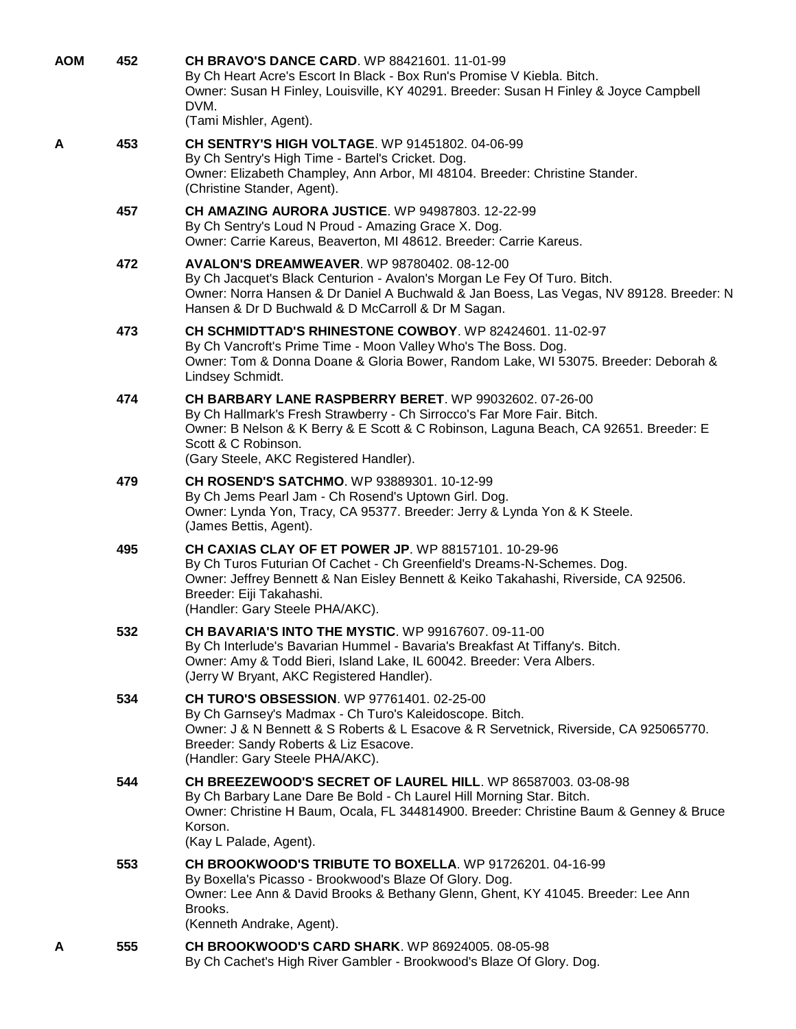| 452<br>AOM | CH BRAVO'S DANCE CARD. WP 88421601. 11-01-99<br>By Ch Heart Acre's Escort In Black - Box Run's Promise V Kiebla. Bitch.<br>Owner: Susan H Finley, Louisville, KY 40291. Breeder: Susan H Finley & Joyce Campbell<br>DVM.<br>(Tami Mishler, Agent).                                         |  |
|------------|--------------------------------------------------------------------------------------------------------------------------------------------------------------------------------------------------------------------------------------------------------------------------------------------|--|
| 453<br>А   | <b>CH SENTRY'S HIGH VOLTAGE. WP 91451802. 04-06-99</b><br>By Ch Sentry's High Time - Bartel's Cricket. Dog.<br>Owner: Elizabeth Champley, Ann Arbor, MI 48104. Breeder: Christine Stander.<br>(Christine Stander, Agent).                                                                  |  |
| 457        | <b>CH AMAZING AURORA JUSTICE. WP 94987803. 12-22-99</b><br>By Ch Sentry's Loud N Proud - Amazing Grace X. Dog.<br>Owner: Carrie Kareus, Beaverton, MI 48612. Breeder: Carrie Kareus.                                                                                                       |  |
| 472        | <b>AVALON'S DREAMWEAVER. WP 98780402. 08-12-00</b><br>By Ch Jacquet's Black Centurion - Avalon's Morgan Le Fey Of Turo. Bitch.<br>Owner: Norra Hansen & Dr Daniel A Buchwald & Jan Boess, Las Vegas, NV 89128. Breeder: N<br>Hansen & Dr D Buchwald & D McCarroll & Dr M Sagan.            |  |
| 473        | CH SCHMIDTTAD'S RHINESTONE COWBOY, WP 82424601, 11-02-97<br>By Ch Vancroft's Prime Time - Moon Valley Who's The Boss. Dog.<br>Owner: Tom & Donna Doane & Gloria Bower, Random Lake, WI 53075. Breeder: Deborah &<br>Lindsey Schmidt.                                                       |  |
| 474        | CH BARBARY LANE RASPBERRY BERET. WP 99032602. 07-26-00<br>By Ch Hallmark's Fresh Strawberry - Ch Sirrocco's Far More Fair. Bitch.<br>Owner: B Nelson & K Berry & E Scott & C Robinson, Laguna Beach, CA 92651. Breeder: E<br>Scott & C Robinson.<br>(Gary Steele, AKC Registered Handler). |  |
| 479        | CH ROSEND'S SATCHMO. WP 93889301. 10-12-99<br>By Ch Jems Pearl Jam - Ch Rosend's Uptown Girl. Dog.<br>Owner: Lynda Yon, Tracy, CA 95377. Breeder: Jerry & Lynda Yon & K Steele.<br>(James Bettis, Agent).                                                                                  |  |
| 495        | CH CAXIAS CLAY OF ET POWER JP. WP 88157101. 10-29-96<br>By Ch Turos Futurian Of Cachet - Ch Greenfield's Dreams-N-Schemes. Dog.<br>Owner: Jeffrey Bennett & Nan Eisley Bennett & Keiko Takahashi, Riverside, CA 92506.<br>Breeder: Eiji Takahashi.<br>(Handler: Gary Steele PHA/AKC).      |  |
| 532        | <b>CH BAVARIA'S INTO THE MYSTIC. WP 99167607. 09-11-00</b><br>By Ch Interlude's Bavarian Hummel - Bavaria's Breakfast At Tiffany's. Bitch.<br>Owner: Amy & Todd Bieri, Island Lake, IL 60042. Breeder: Vera Albers.<br>(Jerry W Bryant, AKC Registered Handler).                           |  |
| 534        | <b>CH TURO'S OBSESSION.</b> WP 97761401. 02-25-00<br>By Ch Garnsey's Madmax - Ch Turo's Kaleidoscope. Bitch.<br>Owner: J & N Bennett & S Roberts & L Esacove & R Servetnick, Riverside, CA 925065770.<br>Breeder: Sandy Roberts & Liz Esacove.<br>(Handler: Gary Steele PHA/AKC).          |  |
| 544        | CH BREEZEWOOD'S SECRET OF LAUREL HILL. WP 86587003. 03-08-98<br>By Ch Barbary Lane Dare Be Bold - Ch Laurel Hill Morning Star. Bitch.<br>Owner: Christine H Baum, Ocala, FL 344814900. Breeder: Christine Baum & Genney & Bruce<br>Korson.<br>(Kay L Palade, Agent).                       |  |
| 553        | <b>CH BROOKWOOD'S TRIBUTE TO BOXELLA.</b> WP 91726201. 04-16-99<br>By Boxella's Picasso - Brookwood's Blaze Of Glory. Dog.<br>Owner: Lee Ann & David Brooks & Bethany Glenn, Ghent, KY 41045. Breeder: Lee Ann<br>Brooks.<br>(Kenneth Andrake, Agent).                                     |  |
| 555<br>А   | <b>CH BROOKWOOD'S CARD SHARK.</b> WP 86924005. 08-05-98<br>By Ch Cachet's High River Gambler - Brookwood's Blaze Of Glory. Dog.                                                                                                                                                            |  |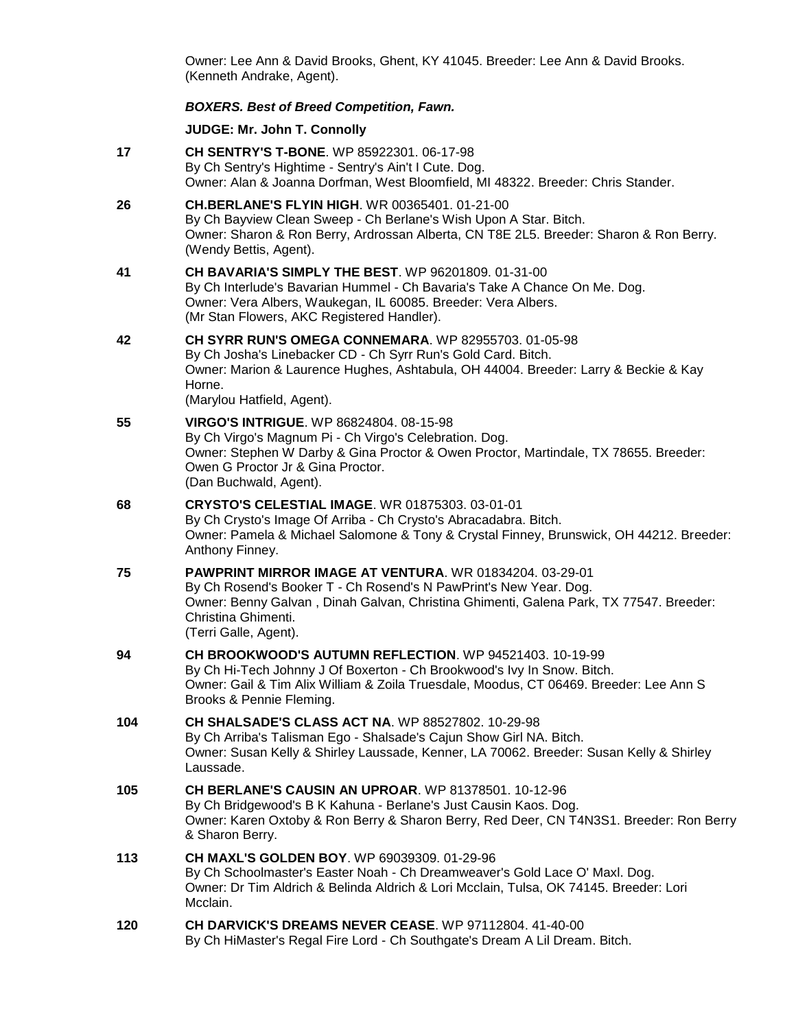Owner: Lee Ann & David Brooks, Ghent, KY 41045. Breeder: Lee Ann & David Brooks. (Kenneth Andrake, Agent).

## *BOXERS. Best of Breed Competition, Fawn.*

#### **JUDGE: [Mr. John T. Connolly](http://infodog.com/show/judge/jdgprofile.htm?jn=401)**

- **17 [CH SENTRY'S T-BONE](http://infodog.com/my/drlookup2.htm?makc=WP%2085922301&mdog=Ch+Sentry%27s+T-Bone&wins=all)**. WP 85922301. 06-17-98 By Ch Sentry's Hightime - Sentry's Ain't I Cute. Dog. Owner: Alan & Joanna Dorfman, West Bloomfield, MI 48322. Breeder: Chris Stander.
- **26 [CH.BERLANE'S FLYIN HIGH](http://infodog.com/my/drlookup2.htm?makc=WR%2000365401&mdog=Ch.Berlane%27s+Flyin+High&wins=all)**. WR 00365401. 01-21-00 By Ch Bayview Clean Sweep - Ch Berlane's Wish Upon A Star. Bitch. Owner: Sharon & Ron Berry, Ardrossan Alberta, CN T8E 2L5. Breeder: Sharon & Ron Berry. (Wendy Bettis, Agent).
- **41 [CH BAVARIA'S SIMPLY THE BEST](http://infodog.com/my/drlookup2.htm?makc=WP%2096201809&mdog=Ch+Bavaria%27s+Simply+The+Best&wins=all)**. WP 96201809. 01-31-00 By Ch Interlude's Bavarian Hummel - Ch Bavaria's Take A Chance On Me. Dog. Owner: Vera Albers, Waukegan, IL 60085. Breeder: Vera Albers. (Mr Stan Flowers, AKC Registered Handler).
- **42 [CH SYRR RUN'S OMEGA CONNEMARA](http://infodog.com/my/drlookup2.htm?makc=WP%2082955703&mdog=Ch+Syrr+Run%27s+Omega+Connemara&wins=all)**. WP 82955703. 01-05-98 By Ch Josha's Linebacker CD - Ch Syrr Run's Gold Card. Bitch. Owner: Marion & Laurence Hughes, Ashtabula, OH 44004. Breeder: Larry & Beckie & Kay Horne. (Marylou Hatfield, Agent).
- **55 [VIRGO'S INTRIGUE](http://infodog.com/my/drlookup2.htm?makc=WP%2086824804&mdog=Virgo%27s+Intrigue&wins=all)**. WP 86824804. 08-15-98 By Ch Virgo's Magnum Pi - Ch Virgo's Celebration. Dog. Owner: Stephen W Darby & Gina Proctor & Owen Proctor, Martindale, TX 78655. Breeder: Owen G Proctor Jr & Gina Proctor. (Dan Buchwald, Agent).
- **68 [CRYSTO'S CELESTIAL IMAGE](http://infodog.com/my/drlookup2.htm?makc=WR%2001875303&mdog=Crysto%27s+Celestial+Image&wins=all)**. WR 01875303. 03-01-01 By Ch Crysto's Image Of Arriba - Ch Crysto's Abracadabra. Bitch. Owner: Pamela & Michael Salomone & Tony & Crystal Finney, Brunswick, OH 44212. Breeder: Anthony Finney.
- **75 [PAWPRINT MIRROR IMAGE AT VENTURA](http://infodog.com/my/drlookup2.htm?makc=WR%2001834204&mdog=PawPrint+Mirror+Image+At+Ventura&wins=all)**. WR 01834204. 03-29-01 By Ch Rosend's Booker T - Ch Rosend's N PawPrint's New Year. Dog. Owner: Benny Galvan , Dinah Galvan, Christina Ghimenti, Galena Park, TX 77547. Breeder: Christina Ghimenti. (Terri Galle, Agent).
- **94 [CH BROOKWOOD'S AUTUMN REFLECTION](http://infodog.com/my/drlookup2.htm?makc=WP%2094521403&mdog=Ch+Brookwood%27s+Autumn+Reflection&wins=all)**. WP 94521403. 10-19-99 By Ch Hi-Tech Johnny J Of Boxerton - Ch Brookwood's Ivy In Snow. Bitch. Owner: Gail & Tim Alix William & Zoila Truesdale, Moodus, CT 06469. Breeder: Lee Ann S Brooks & Pennie Fleming.
- **104 [CH SHALSADE'S CLASS ACT NA](http://infodog.com/my/drlookup2.htm?makc=WP%2088527802&mdog=Ch+Shalsade%27s+Class+Act+NA&wins=all)**. WP 88527802. 10-29-98 By Ch Arriba's Talisman Ego - Shalsade's Cajun Show Girl NA. Bitch. Owner: Susan Kelly & Shirley Laussade, Kenner, LA 70062. Breeder: Susan Kelly & Shirley Laussade. **105 [CH BERLANE'S CAUSIN AN UPROAR](http://infodog.com/my/drlookup2.htm?makc=WP%2081378501&mdog=Ch+Berlane%27s+Causin+An+Uproar&wins=all)**. WP 81378501. 10-12-96
	- By Ch Bridgewood's B K Kahuna Berlane's Just Causin Kaos. Dog. Owner: Karen Oxtoby & Ron Berry & Sharon Berry, Red Deer, CN T4N3S1. Breeder: Ron Berry & Sharon Berry.
- **113 [CH MAXL'S GOLDEN BOY](http://infodog.com/my/drlookup2.htm?makc=WP%2069039309&mdog=Ch+Maxl%27s+Golden+Boy&wins=all)**. WP 69039309. 01-29-96 By Ch Schoolmaster's Easter Noah - Ch Dreamweaver's Gold Lace O' Maxl. Dog. Owner: Dr Tim Aldrich & Belinda Aldrich & Lori Mcclain, Tulsa, OK 74145. Breeder: Lori Mcclain.
- **120 [CH DARVICK'S DREAMS NEVER CEASE](http://infodog.com/my/drlookup2.htm?makc=WP%2097112804&mdog=Ch+Darvick%27s+Dreams+Never+Cease&wins=all)**. WP 97112804. 41-40-00 By Ch HiMaster's Regal Fire Lord - Ch Southgate's Dream A Lil Dream. Bitch.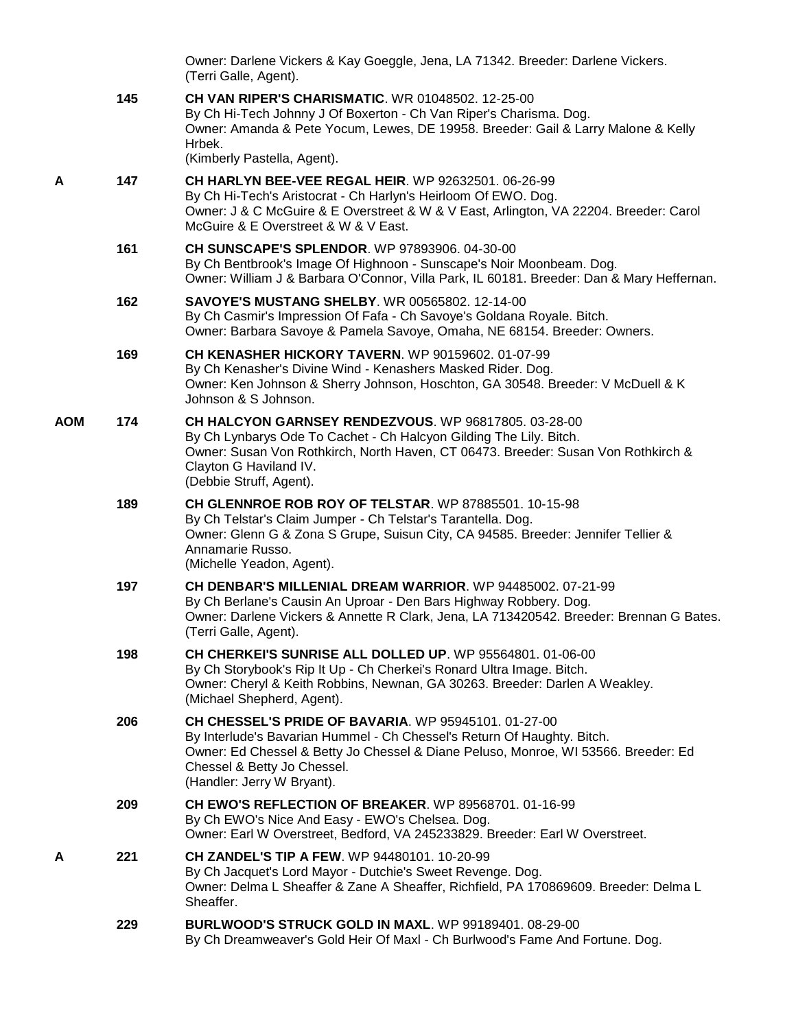|            |     | Owner: Darlene Vickers & Kay Goeggle, Jena, LA 71342. Breeder: Darlene Vickers.<br>(Terri Galle, Agent).                                                                                                                                                                                  |
|------------|-----|-------------------------------------------------------------------------------------------------------------------------------------------------------------------------------------------------------------------------------------------------------------------------------------------|
|            | 145 | <b>CH VAN RIPER'S CHARISMATIC. WR 01048502. 12-25-00</b><br>By Ch Hi-Tech Johnny J Of Boxerton - Ch Van Riper's Charisma. Dog.<br>Owner: Amanda & Pete Yocum, Lewes, DE 19958. Breeder: Gail & Larry Malone & Kelly<br>Hrbek.                                                             |
|            |     | (Kimberly Pastella, Agent).                                                                                                                                                                                                                                                               |
| A          | 147 | <b>CH HARLYN BEE-VEE REGAL HEIR. WP 92632501. 06-26-99</b><br>By Ch Hi-Tech's Aristocrat - Ch Harlyn's Heirloom Of EWO. Dog.<br>Owner: J & C McGuire & E Overstreet & W & V East, Arlington, VA 22204. Breeder: Carol<br>McGuire & E Overstreet & W & V East.                             |
|            | 161 | <b>CH SUNSCAPE'S SPLENDOR.</b> WP 97893906. 04-30-00<br>By Ch Bentbrook's Image Of Highnoon - Sunscape's Noir Moonbeam. Dog.<br>Owner: William J & Barbara O'Connor, Villa Park, IL 60181. Breeder: Dan & Mary Heffernan.                                                                 |
|            | 162 | <b>SAVOYE'S MUSTANG SHELBY. WR 00565802. 12-14-00</b><br>By Ch Casmir's Impression Of Fafa - Ch Savoye's Goldana Royale. Bitch.<br>Owner: Barbara Savoye & Pamela Savoye, Omaha, NE 68154. Breeder: Owners.                                                                               |
|            | 169 | <b>CH KENASHER HICKORY TAVERN.</b> WP 90159602, 01-07-99<br>By Ch Kenasher's Divine Wind - Kenashers Masked Rider. Dog.<br>Owner: Ken Johnson & Sherry Johnson, Hoschton, GA 30548. Breeder: V McDuell & K<br>Johnson & S Johnson.                                                        |
| <b>AOM</b> | 174 | CH HALCYON GARNSEY RENDEZVOUS. WP 96817805. 03-28-00<br>By Ch Lynbarys Ode To Cachet - Ch Halcyon Gilding The Lily. Bitch.<br>Owner: Susan Von Rothkirch, North Haven, CT 06473. Breeder: Susan Von Rothkirch &<br>Clayton G Haviland IV.<br>(Debbie Struff, Agent).                      |
|            | 189 | CH GLENNROE ROB ROY OF TELSTAR. WP 87885501. 10-15-98<br>By Ch Telstar's Claim Jumper - Ch Telstar's Tarantella. Dog.<br>Owner: Glenn G & Zona S Grupe, Suisun City, CA 94585. Breeder: Jennifer Tellier &<br>Annamarie Russo.<br>(Michelle Yeadon, Agent).                               |
|            | 197 | <b>CH DENBAR'S MILLENIAL DREAM WARRIOR. WP 94485002. 07-21-99</b><br>By Ch Berlane's Causin An Uproar - Den Bars Highway Robbery. Dog.<br>Owner: Darlene Vickers & Annette R Clark, Jena, LA 713420542. Breeder: Brennan G Bates.<br>(Terri Galle, Agent).                                |
|            | 198 | CH CHERKEI'S SUNRISE ALL DOLLED UP. WP 95564801. 01-06-00<br>By Ch Storybook's Rip It Up - Ch Cherkei's Ronard Ultra Image. Bitch.<br>Owner: Cheryl & Keith Robbins, Newnan, GA 30263. Breeder: Darlen A Weakley.<br>(Michael Shepherd, Agent).                                           |
|            | 206 | <b>CH CHESSEL'S PRIDE OF BAVARIA. WP 95945101. 01-27-00</b><br>By Interlude's Bavarian Hummel - Ch Chessel's Return Of Haughty. Bitch.<br>Owner: Ed Chessel & Betty Jo Chessel & Diane Peluso, Monroe, WI 53566. Breeder: Ed<br>Chessel & Betty Jo Chessel.<br>(Handler: Jerry W Bryant). |
|            | 209 | <b>CH EWO'S REFLECTION OF BREAKER. WP 89568701. 01-16-99</b><br>By Ch EWO's Nice And Easy - EWO's Chelsea. Dog.<br>Owner: Earl W Overstreet, Bedford, VA 245233829. Breeder: Earl W Overstreet.                                                                                           |
| A          | 221 | <b>CH ZANDEL'S TIP A FEW. WP 94480101. 10-20-99</b><br>By Ch Jacquet's Lord Mayor - Dutchie's Sweet Revenge. Dog.<br>Owner: Delma L Sheaffer & Zane A Sheaffer, Richfield, PA 170869609. Breeder: Delma L<br>Sheaffer.                                                                    |
|            | 229 | <b>BURLWOOD'S STRUCK GOLD IN MAXL. WP 99189401. 08-29-00</b><br>By Ch Dreamweaver's Gold Heir Of Maxl - Ch Burlwood's Fame And Fortune. Dog.                                                                                                                                              |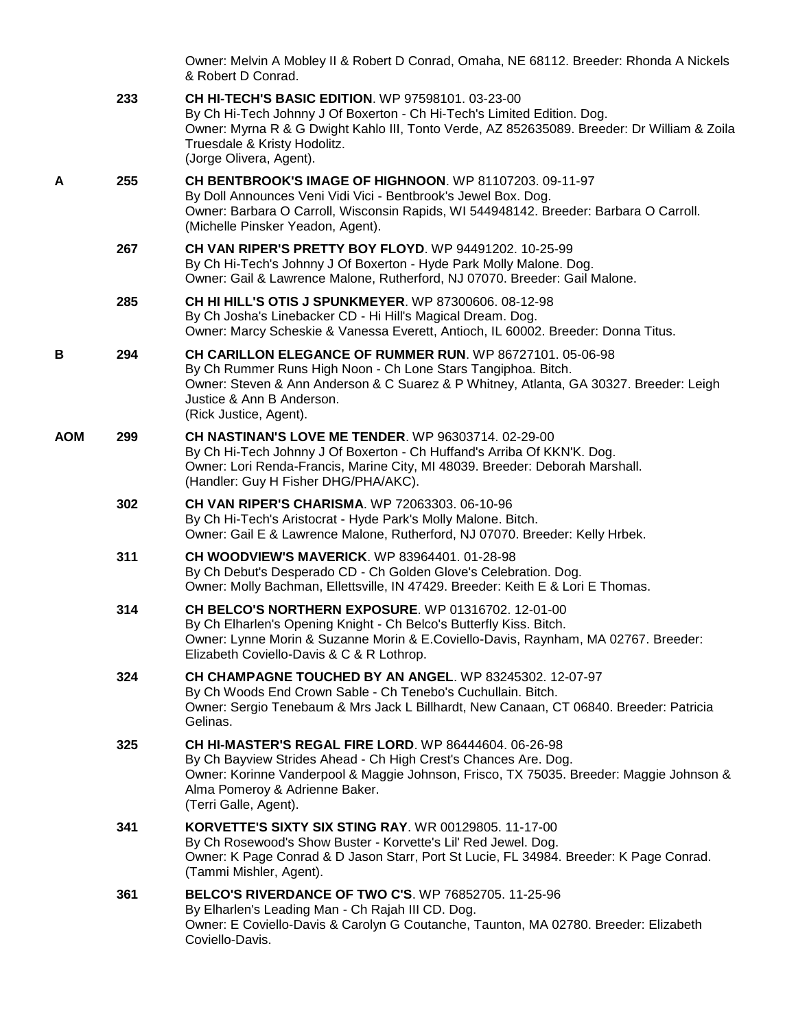|            |     | Owner: Melvin A Mobley II & Robert D Conrad, Omaha, NE 68112. Breeder: Rhonda A Nickels<br>& Robert D Conrad.                                                                                                                                                                                 |
|------------|-----|-----------------------------------------------------------------------------------------------------------------------------------------------------------------------------------------------------------------------------------------------------------------------------------------------|
|            | 233 | <b>CH HI-TECH'S BASIC EDITION.</b> WP 97598101. 03-23-00<br>By Ch Hi-Tech Johnny J Of Boxerton - Ch Hi-Tech's Limited Edition. Dog.<br>Owner: Myrna R & G Dwight Kahlo III, Tonto Verde, AZ 852635089. Breeder: Dr William & Zoila<br>Truesdale & Kristy Hodolitz.<br>(Jorge Olivera, Agent). |
| A          | 255 | <b>CH BENTBROOK'S IMAGE OF HIGHNOON. WP 81107203. 09-11-97</b><br>By Doll Announces Veni Vidi Vici - Bentbrook's Jewel Box. Dog.<br>Owner: Barbara O Carroll, Wisconsin Rapids, WI 544948142. Breeder: Barbara O Carroll.<br>(Michelle Pinsker Yeadon, Agent).                                |
|            | 267 | CH VAN RIPER'S PRETTY BOY FLOYD. WP 94491202. 10-25-99<br>By Ch Hi-Tech's Johnny J Of Boxerton - Hyde Park Molly Malone. Dog.<br>Owner: Gail & Lawrence Malone, Rutherford, NJ 07070. Breeder: Gail Malone.                                                                                   |
|            | 285 | CH HI HILL'S OTIS J SPUNKMEYER. WP 87300606. 08-12-98<br>By Ch Josha's Linebacker CD - Hi Hill's Magical Dream. Dog.<br>Owner: Marcy Scheskie & Vanessa Everett, Antioch, IL 60002. Breeder: Donna Titus.                                                                                     |
| В          | 294 | CH CARILLON ELEGANCE OF RUMMER RUN. WP 86727101. 05-06-98<br>By Ch Rummer Runs High Noon - Ch Lone Stars Tangiphoa. Bitch.<br>Owner: Steven & Ann Anderson & C Suarez & P Whitney, Atlanta, GA 30327. Breeder: Leigh<br>Justice & Ann B Anderson.<br>(Rick Justice, Agent).                   |
| <b>AOM</b> | 299 | <b>CH NASTINAN'S LOVE ME TENDER.</b> WP 96303714, 02-29-00<br>By Ch Hi-Tech Johnny J Of Boxerton - Ch Huffand's Arriba Of KKN'K. Dog.<br>Owner: Lori Renda-Francis, Marine City, MI 48039. Breeder: Deborah Marshall.<br>(Handler: Guy H Fisher DHG/PHA/AKC).                                 |
|            | 302 | CH VAN RIPER'S CHARISMA. WP 72063303. 06-10-96<br>By Ch Hi-Tech's Aristocrat - Hyde Park's Molly Malone. Bitch.<br>Owner: Gail E & Lawrence Malone, Rutherford, NJ 07070. Breeder: Kelly Hrbek.                                                                                               |
|            | 311 | <b>CH WOODVIEW'S MAVERICK.</b> WP 83964401. 01-28-98<br>By Ch Debut's Desperado CD - Ch Golden Glove's Celebration. Dog.<br>Owner: Molly Bachman, Ellettsville, IN 47429. Breeder: Keith E & Lori E Thomas.                                                                                   |
|            | 314 | <b>CH BELCO'S NORTHERN EXPOSURE.</b> WP 01316702. 12-01-00<br>By Ch Elharlen's Opening Knight - Ch Belco's Butterfly Kiss. Bitch.<br>Owner: Lynne Morin & Suzanne Morin & E.Coviello-Davis, Raynham, MA 02767. Breeder:<br>Elizabeth Coviello-Davis & C & R Lothrop.                          |
|            | 324 | CH CHAMPAGNE TOUCHED BY AN ANGEL. WP 83245302. 12-07-97<br>By Ch Woods End Crown Sable - Ch Tenebo's Cuchullain. Bitch.<br>Owner: Sergio Tenebaum & Mrs Jack L Billhardt, New Canaan, CT 06840. Breeder: Patricia<br>Gelinas.                                                                 |
|            | 325 | <b>CH HI-MASTER'S REGAL FIRE LORD.</b> WP 86444604, 06-26-98<br>By Ch Bayview Strides Ahead - Ch High Crest's Chances Are. Dog.<br>Owner: Korinne Vanderpool & Maggie Johnson, Frisco, TX 75035. Breeder: Maggie Johnson &<br>Alma Pomeroy & Adrienne Baker.<br>(Terri Galle, Agent).         |
|            | 341 | <b>KORVETTE'S SIXTY SIX STING RAY.</b> WR 00129805. 11-17-00<br>By Ch Rosewood's Show Buster - Korvette's Lil' Red Jewel. Dog.<br>Owner: K Page Conrad & D Jason Starr, Port St Lucie, FL 34984. Breeder: K Page Conrad.<br>(Tammi Mishler, Agent).                                           |
|            | 361 | <b>BELCO'S RIVERDANCE OF TWO C'S. WP 76852705. 11-25-96</b><br>By Elharlen's Leading Man - Ch Rajah III CD. Dog.<br>Owner: E Coviello-Davis & Carolyn G Coutanche, Taunton, MA 02780. Breeder: Elizabeth<br>Coviello-Davis.                                                                   |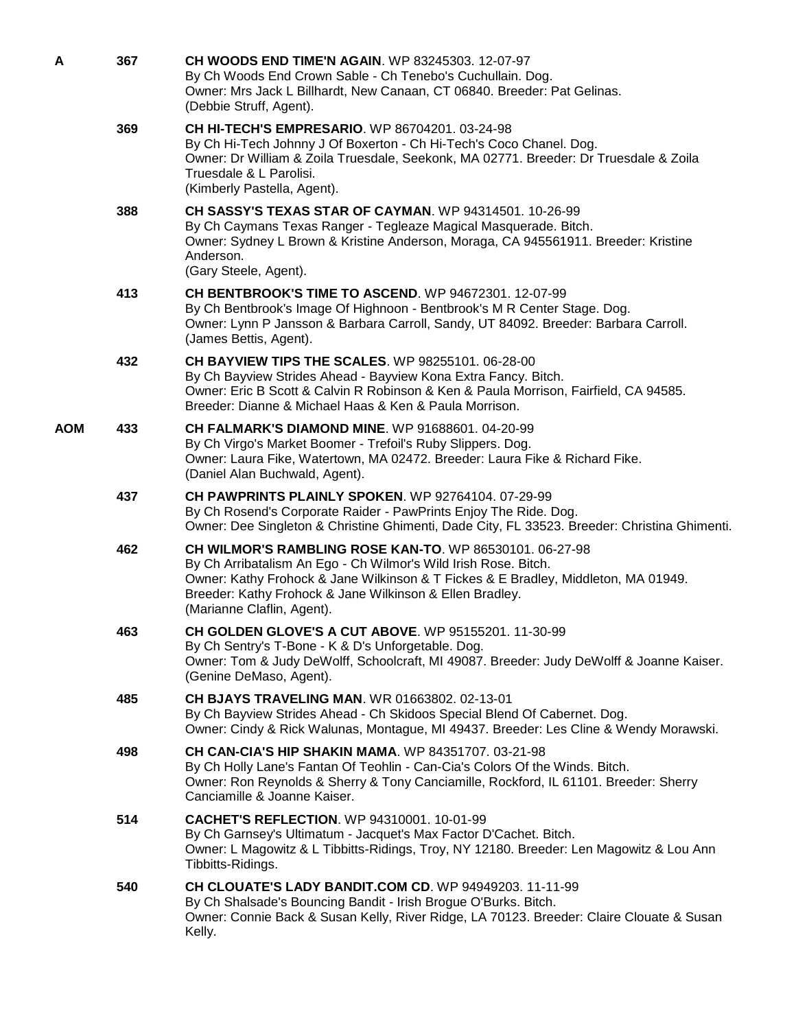| A          | 367 | CH WOODS END TIME'N AGAIN. WP 83245303. 12-07-97<br>By Ch Woods End Crown Sable - Ch Tenebo's Cuchullain. Dog.<br>Owner: Mrs Jack L Billhardt, New Canaan, CT 06840. Breeder: Pat Gelinas.<br>(Debbie Struff, Agent).                                                                                             |
|------------|-----|-------------------------------------------------------------------------------------------------------------------------------------------------------------------------------------------------------------------------------------------------------------------------------------------------------------------|
|            | 369 | <b>CH HI-TECH'S EMPRESARIO. WP 86704201. 03-24-98</b><br>By Ch Hi-Tech Johnny J Of Boxerton - Ch Hi-Tech's Coco Chanel. Dog.<br>Owner: Dr William & Zoila Truesdale, Seekonk, MA 02771. Breeder: Dr Truesdale & Zoila<br>Truesdale & L Parolisi.<br>(Kimberly Pastella, Agent).                                   |
|            | 388 | <b>CH SASSY'S TEXAS STAR OF CAYMAN.</b> WP 94314501, 10-26-99<br>By Ch Caymans Texas Ranger - Tegleaze Magical Masquerade. Bitch.<br>Owner: Sydney L Brown & Kristine Anderson, Moraga, CA 945561911. Breeder: Kristine<br>Anderson.<br>(Gary Steele, Agent).                                                     |
|            | 413 | CH BENTBROOK'S TIME TO ASCEND. WP 94672301. 12-07-99<br>By Ch Bentbrook's Image Of Highnoon - Bentbrook's M R Center Stage. Dog.<br>Owner: Lynn P Jansson & Barbara Carroll, Sandy, UT 84092. Breeder: Barbara Carroll.<br>(James Bettis, Agent).                                                                 |
|            | 432 | <b>CH BAYVIEW TIPS THE SCALES. WP 98255101, 06-28-00</b><br>By Ch Bayview Strides Ahead - Bayview Kona Extra Fancy. Bitch.<br>Owner: Eric B Scott & Calvin R Robinson & Ken & Paula Morrison, Fairfield, CA 94585.<br>Breeder: Dianne & Michael Haas & Ken & Paula Morrison.                                      |
| <b>AOM</b> | 433 | <b>CH FALMARK'S DIAMOND MINE. WP 91688601. 04-20-99</b><br>By Ch Virgo's Market Boomer - Trefoil's Ruby Slippers. Dog.<br>Owner: Laura Fike, Watertown, MA 02472. Breeder: Laura Fike & Richard Fike.<br>(Daniel Alan Buchwald, Agent).                                                                           |
|            | 437 | CH PAWPRINTS PLAINLY SPOKEN. WP 92764104. 07-29-99<br>By Ch Rosend's Corporate Raider - PawPrints Enjoy The Ride. Dog.<br>Owner: Dee Singleton & Christine Ghimenti, Dade City, FL 33523. Breeder: Christina Ghimenti.                                                                                            |
|            | 462 | <b>CH WILMOR'S RAMBLING ROSE KAN-TO. WP 86530101. 06-27-98</b><br>By Ch Arribatalism An Ego - Ch Wilmor's Wild Irish Rose. Bitch.<br>Owner: Kathy Frohock & Jane Wilkinson & T Fickes & E Bradley, Middleton, MA 01949.<br>Breeder: Kathy Frohock & Jane Wilkinson & Ellen Bradley.<br>(Marianne Claflin, Agent). |
|            | 463 | <b>CH GOLDEN GLOVE'S A CUT ABOVE. WP 95155201. 11-30-99</b><br>By Ch Sentry's T-Bone - K & D's Unforgetable. Dog.<br>Owner: Tom & Judy DeWolff, Schoolcraft, MI 49087. Breeder: Judy DeWolff & Joanne Kaiser.<br>(Genine DeMaso, Agent).                                                                          |
|            | 485 | <b>CH BJAYS TRAVELING MAN. WR 01663802. 02-13-01</b><br>By Ch Bayview Strides Ahead - Ch Skidoos Special Blend Of Cabernet. Dog.<br>Owner: Cindy & Rick Walunas, Montague, MI 49437. Breeder: Les Cline & Wendy Morawski.                                                                                         |
|            | 498 | <b>CH CAN-CIA'S HIP SHAKIN MAMA. WP 84351707. 03-21-98</b><br>By Ch Holly Lane's Fantan Of Teohlin - Can-Cia's Colors Of the Winds. Bitch.<br>Owner: Ron Reynolds & Sherry & Tony Canciamille, Rockford, IL 61101. Breeder: Sherry<br>Canciamille & Joanne Kaiser.                                                |
|            | 514 | <b>CACHET'S REFLECTION. WP 94310001. 10-01-99</b><br>By Ch Garnsey's Ultimatum - Jacquet's Max Factor D'Cachet. Bitch.<br>Owner: L Magowitz & L Tibbitts-Ridings, Troy, NY 12180. Breeder: Len Magowitz & Lou Ann<br>Tibbitts-Ridings.                                                                            |
|            | 540 | CH CLOUATE'S LADY BANDIT.COM CD. WP 94949203. 11-11-99<br>By Ch Shalsade's Bouncing Bandit - Irish Brogue O'Burks. Bitch.<br>Owner: Connie Back & Susan Kelly, River Ridge, LA 70123. Breeder: Claire Clouate & Susan<br>Kelly.                                                                                   |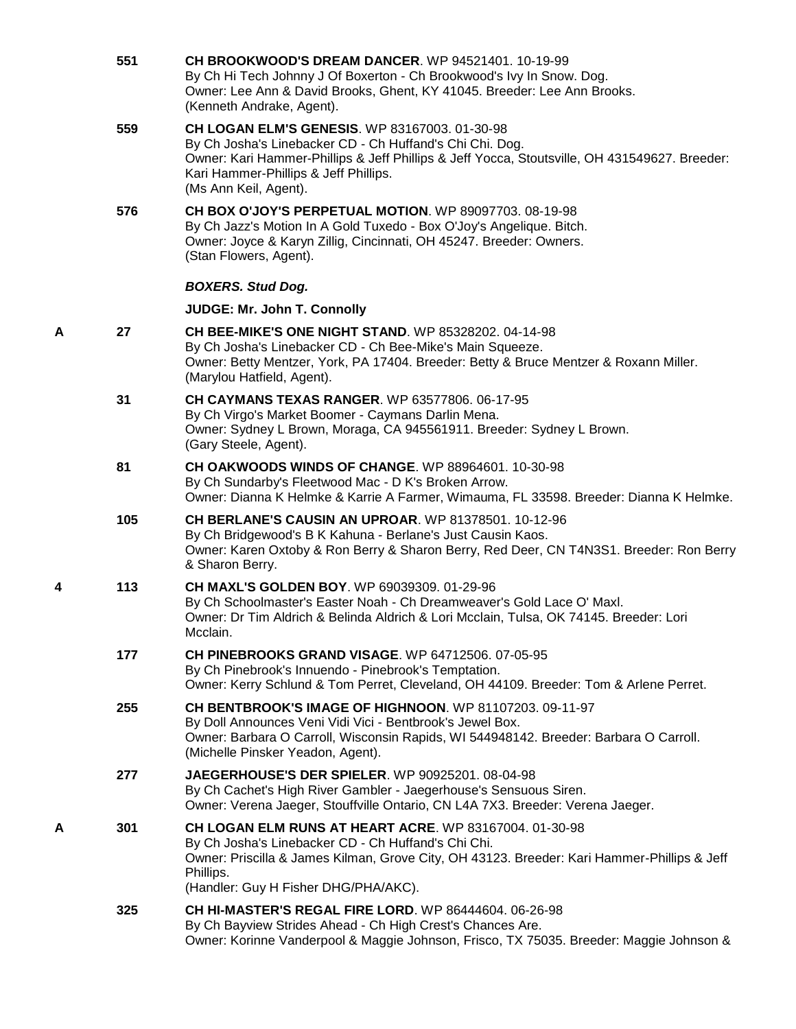|   | 551 | CH BROOKWOOD'S DREAM DANCER. WP 94521401. 10-19-99<br>By Ch Hi Tech Johnny J Of Boxerton - Ch Brookwood's Ivy In Snow. Dog.<br>Owner: Lee Ann & David Brooks, Ghent, KY 41045. Breeder: Lee Ann Brooks.<br>(Kenneth Andrake, Agent).                                         |
|---|-----|------------------------------------------------------------------------------------------------------------------------------------------------------------------------------------------------------------------------------------------------------------------------------|
|   | 559 | CH LOGAN ELM'S GENESIS. WP 83167003. 01-30-98<br>By Ch Josha's Linebacker CD - Ch Huffand's Chi Chi. Dog.<br>Owner: Kari Hammer-Phillips & Jeff Phillips & Jeff Yocca, Stoutsville, OH 431549627. Breeder:<br>Kari Hammer-Phillips & Jeff Phillips.<br>(Ms Ann Keil, Agent). |
|   | 576 | <b>CH BOX O'JOY'S PERPETUAL MOTION. WP 89097703. 08-19-98</b><br>By Ch Jazz's Motion In A Gold Tuxedo - Box O'Joy's Angelique. Bitch.<br>Owner: Joyce & Karyn Zillig, Cincinnati, OH 45247. Breeder: Owners.<br>(Stan Flowers, Agent).                                       |
|   |     | <b>BOXERS. Stud Dog.</b>                                                                                                                                                                                                                                                     |
|   |     | JUDGE: Mr. John T. Connolly                                                                                                                                                                                                                                                  |
| A | 27  | <b>CH BEE-MIKE'S ONE NIGHT STAND. WP 85328202. 04-14-98</b><br>By Ch Josha's Linebacker CD - Ch Bee-Mike's Main Squeeze.<br>Owner: Betty Mentzer, York, PA 17404. Breeder: Betty & Bruce Mentzer & Roxann Miller.<br>(Marylou Hatfield, Agent).                              |
|   | 31  | <b>CH CAYMANS TEXAS RANGER. WP 63577806. 06-17-95</b><br>By Ch Virgo's Market Boomer - Caymans Darlin Mena.<br>Owner: Sydney L Brown, Moraga, CA 945561911. Breeder: Sydney L Brown.<br>(Gary Steele, Agent).                                                                |
|   | 81  | <b>CH OAKWOODS WINDS OF CHANGE. WP 88964601. 10-30-98</b><br>By Ch Sundarby's Fleetwood Mac - D K's Broken Arrow.<br>Owner: Dianna K Helmke & Karrie A Farmer, Wimauma, FL 33598. Breeder: Dianna K Helmke.                                                                  |
|   | 105 | <b>CH BERLANE'S CAUSIN AN UPROAR. WP 81378501. 10-12-96</b><br>By Ch Bridgewood's B K Kahuna - Berlane's Just Causin Kaos.<br>Owner: Karen Oxtoby & Ron Berry & Sharon Berry, Red Deer, CN T4N3S1. Breeder: Ron Berry<br>& Sharon Berry.                                     |
| 4 | 113 | <b>CH MAXL'S GOLDEN BOY.</b> WP 69039309. 01-29-96<br>By Ch Schoolmaster's Easter Noah - Ch Dreamweaver's Gold Lace O' Maxl.<br>Owner: Dr Tim Aldrich & Belinda Aldrich & Lori Mcclain, Tulsa, OK 74145. Breeder: Lori<br>Mcclain.                                           |
|   | 177 | <b>CH PINEBROOKS GRAND VISAGE. WP 64712506. 07-05-95</b><br>By Ch Pinebrook's Innuendo - Pinebrook's Temptation.<br>Owner: Kerry Schlund & Tom Perret, Cleveland, OH 44109. Breeder: Tom & Arlene Perret.                                                                    |
|   | 255 | <b>CH BENTBROOK'S IMAGE OF HIGHNOON. WP 81107203. 09-11-97</b><br>By Doll Announces Veni Vidi Vici - Bentbrook's Jewel Box.<br>Owner: Barbara O Carroll, Wisconsin Rapids, WI 544948142. Breeder: Barbara O Carroll.<br>(Michelle Pinsker Yeadon, Agent).                    |
|   | 277 | JAEGERHOUSE'S DER SPIELER. WP 90925201. 08-04-98<br>By Ch Cachet's High River Gambler - Jaegerhouse's Sensuous Siren.<br>Owner: Verena Jaeger, Stouffville Ontario, CN L4A 7X3. Breeder: Verena Jaeger.                                                                      |
| Α | 301 | CH LOGAN ELM RUNS AT HEART ACRE. WP 83167004. 01-30-98<br>By Ch Josha's Linebacker CD - Ch Huffand's Chi Chi.<br>Owner: Priscilla & James Kilman, Grove City, OH 43123. Breeder: Kari Hammer-Phillips & Jeff<br>Phillips.<br>(Handler: Guy H Fisher DHG/PHA/AKC).            |
|   | 325 | <b>CH HI-MASTER'S REGAL FIRE LORD. WP 86444604. 06-26-98</b><br>By Ch Bayview Strides Ahead - Ch High Crest's Chances Are.<br>Owner: Korinne Vanderpool & Maggie Johnson, Frisco, TX 75035. Breeder: Maggie Johnson &                                                        |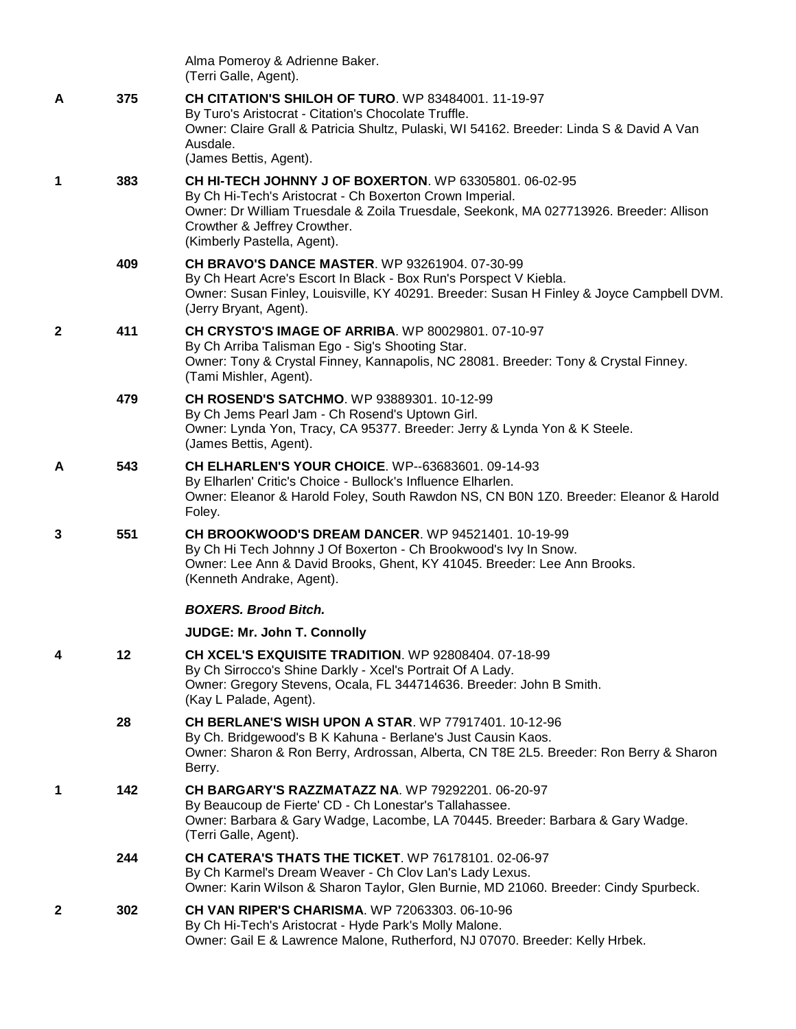|              |     | Alma Pomeroy & Adrienne Baker.<br>(Terri Galle, Agent).                                                                                                                                                                                                                            |
|--------------|-----|------------------------------------------------------------------------------------------------------------------------------------------------------------------------------------------------------------------------------------------------------------------------------------|
| A            | 375 | <b>CH CITATION'S SHILOH OF TURO.</b> WP 83484001, 11-19-97<br>By Turo's Aristocrat - Citation's Chocolate Truffle.<br>Owner: Claire Grall & Patricia Shultz, Pulaski, WI 54162. Breeder: Linda S & David A Van<br>Ausdale.<br>(James Bettis, Agent).                               |
| 1            | 383 | <b>CH HI-TECH JOHNNY J OF BOXERTON. WP 63305801. 06-02-95</b><br>By Ch Hi-Tech's Aristocrat - Ch Boxerton Crown Imperial.<br>Owner: Dr William Truesdale & Zoila Truesdale, Seekonk, MA 027713926. Breeder: Allison<br>Crowther & Jeffrey Crowther.<br>(Kimberly Pastella, Agent). |
|              | 409 | <b>CH BRAVO'S DANCE MASTER. WP 93261904. 07-30-99</b><br>By Ch Heart Acre's Escort In Black - Box Run's Porspect V Kiebla.<br>Owner: Susan Finley, Louisville, KY 40291. Breeder: Susan H Finley & Joyce Campbell DVM.<br>(Jerry Bryant, Agent).                                   |
| $\mathbf{2}$ | 411 | <b>CH CRYSTO'S IMAGE OF ARRIBA. WP 80029801. 07-10-97</b><br>By Ch Arriba Talisman Ego - Sig's Shooting Star.<br>Owner: Tony & Crystal Finney, Kannapolis, NC 28081. Breeder: Tony & Crystal Finney.<br>(Tami Mishler, Agent).                                                     |
|              | 479 | <b>CH ROSEND'S SATCHMO. WP 93889301. 10-12-99</b><br>By Ch Jems Pearl Jam - Ch Rosend's Uptown Girl.<br>Owner: Lynda Yon, Tracy, CA 95377. Breeder: Jerry & Lynda Yon & K Steele.<br>(James Bettis, Agent).                                                                        |
| A            | 543 | <b>CH ELHARLEN'S YOUR CHOICE.</b> WP--63683601. 09-14-93<br>By Elharlen' Critic's Choice - Bullock's Influence Elharlen.<br>Owner: Eleanor & Harold Foley, South Rawdon NS, CN B0N 1Z0. Breeder: Eleanor & Harold<br>Foley.                                                        |
| 3            | 551 | <b>CH BROOKWOOD'S DREAM DANCER. WP 94521401. 10-19-99</b><br>By Ch Hi Tech Johnny J Of Boxerton - Ch Brookwood's Ivy In Snow.<br>Owner: Lee Ann & David Brooks, Ghent, KY 41045. Breeder: Lee Ann Brooks.<br>(Kenneth Andrake, Agent).                                             |
|              |     | <b>BOXERS, Brood Bitch.</b>                                                                                                                                                                                                                                                        |
|              |     | <b>JUDGE: Mr. John T. Connolly</b>                                                                                                                                                                                                                                                 |
| 4            | 12  | CH XCEL'S EXQUISITE TRADITION. WP 92808404. 07-18-99<br>By Ch Sirrocco's Shine Darkly - Xcel's Portrait Of A Lady.<br>Owner: Gregory Stevens, Ocala, FL 344714636. Breeder: John B Smith.<br>(Kay L Palade, Agent).                                                                |
|              | 28  | CH BERLANE'S WISH UPON A STAR. WP 77917401. 10-12-96<br>By Ch. Bridgewood's B K Kahuna - Berlane's Just Causin Kaos.<br>Owner: Sharon & Ron Berry, Ardrossan, Alberta, CN T8E 2L5. Breeder: Ron Berry & Sharon<br>Berry.                                                           |
| 1            | 142 | <b>CH BARGARY'S RAZZMATAZZ NA. WP 79292201. 06-20-97</b><br>By Beaucoup de Fierte' CD - Ch Lonestar's Tallahassee.<br>Owner: Barbara & Gary Wadge, Lacombe, LA 70445. Breeder: Barbara & Gary Wadge.<br>(Terri Galle, Agent).                                                      |
|              | 244 | <b>CH CATERA'S THATS THE TICKET.</b> WP 76178101. 02-06-97<br>By Ch Karmel's Dream Weaver - Ch Clov Lan's Lady Lexus.<br>Owner: Karin Wilson & Sharon Taylor, Glen Burnie, MD 21060. Breeder: Cindy Spurbeck.                                                                      |
| $\mathbf{2}$ | 302 | CH VAN RIPER'S CHARISMA. WP 72063303. 06-10-96<br>By Ch Hi-Tech's Aristocrat - Hyde Park's Molly Malone.<br>Owner: Gail E & Lawrence Malone, Rutherford, NJ 07070. Breeder: Kelly Hrbek.                                                                                           |